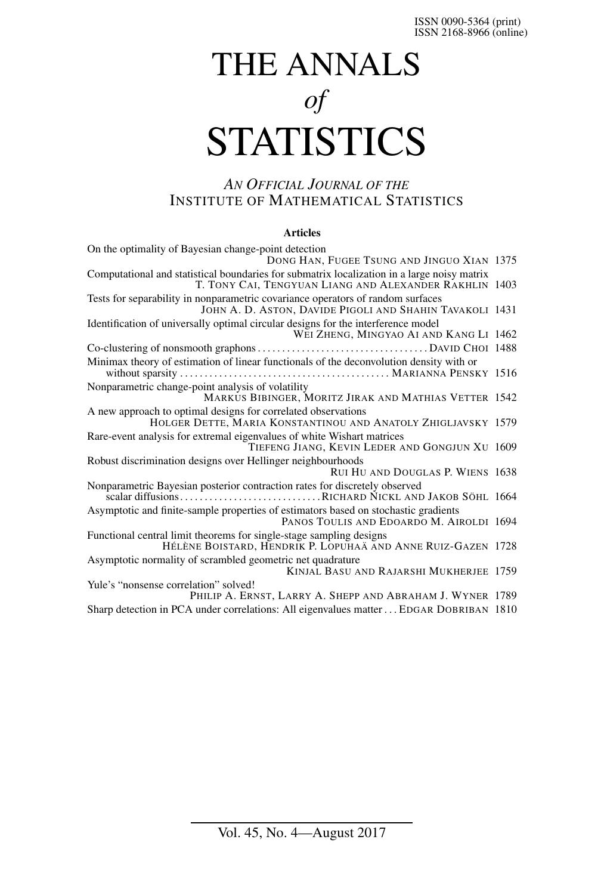# THE ANNALS *of* **STATISTICS**

# *AN OFFICIAL JOURNAL OF THE* INSTITUTE OF MATHEMATICAL STATISTICS

## **Articles**

| On the optimality of Bayesian change-point detection<br>DONG HAN, FUGEE TSUNG AND JINGUO XIAN 1375                                                    |  |
|-------------------------------------------------------------------------------------------------------------------------------------------------------|--|
| Computational and statistical boundaries for submatrix localization in a large noisy matrix<br>T. TONY CAI, TENGYUAN LIANG AND ALEXANDER RAKHLIN 1403 |  |
| Tests for separability in nonparametric covariance operators of random surfaces<br>JOHN A. D. ASTON, DAVIDE PIGOLI AND SHAHIN TAVAKOLI 1431           |  |
| Identification of universally optimal circular designs for the interference model<br>WEI ZHENG, MINGYAO AI AND KANG LI 1462                           |  |
|                                                                                                                                                       |  |
| Minimax theory of estimation of linear functionals of the deconvolution density with or                                                               |  |
| Nonparametric change-point analysis of volatility<br>MARKUS BIBINGER, MORITZ JIRAK AND MATHIAS VETTER 1542                                            |  |
| A new approach to optimal designs for correlated observations<br>HOLGER DETTE, MARIA KONSTANTINOU AND ANATOLY ZHIGLJAVSKY 1579                        |  |
| Rare-event analysis for extremal eigenvalues of white Wishart matrices<br>TIEFENG JIANG, KEVIN LEDER AND GONGJUN XU 1609                              |  |
| Robust discrimination designs over Hellinger neighbourhoods<br>RUI HU AND DOUGLAS P. WIENS 1638                                                       |  |
| Nonparametric Bayesian posterior contraction rates for discretely observed<br>scalar diffusionsRICHARD NICKL AND JAKOB SÖHL 1664                      |  |
| Asymptotic and finite-sample properties of estimators based on stochastic gradients<br>PANOS TOULIS AND EDOARDO M. AIROLDI 1694                       |  |
| Functional central limit theorems for single-stage sampling designs<br>HÉLÈNE BOISTARD, HENDRIK P. LOPUHAÄ AND ANNE RUIZ-GAZEN 1728                   |  |
| Asymptotic normality of scrambled geometric net quadrature<br>KINJAL BASU AND RAJARSHI MUKHERJEE 1759                                                 |  |
| Yule's "nonsense correlation" solved!<br>PHILIP A. ERNST, LARRY A. SHEPP AND ABRAHAM J. WYNER 1789                                                    |  |
| Sharp detection in PCA under correlations: All eigenvalues matter  EDGAR DOBRIBAN 1810                                                                |  |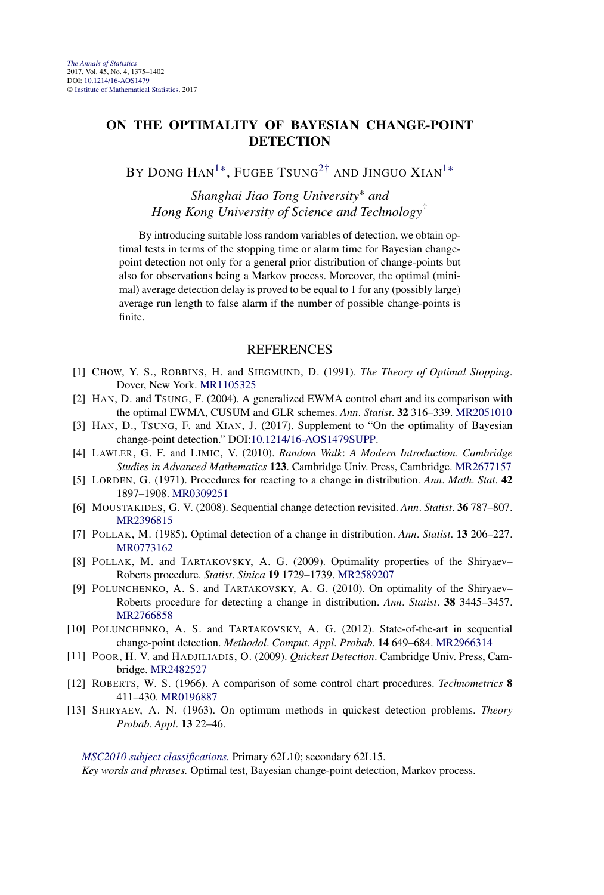## <span id="page-1-0"></span>**ON THE OPTIMALITY OF BAYESIAN CHANGE-POINT DETECTION**

BY DONG HAN<sup>1∗</sup>, FUGEE TSUNG<sup>2†</sup> AND JINGUO XIAN<sup>1</sup><sup>\*</sup>

*Shanghai Jiao Tong University*∗ *and Hong Kong University of Science and Technology*†

By introducing suitable loss random variables of detection, we obtain optimal tests in terms of the stopping time or alarm time for Bayesian changepoint detection not only for a general prior distribution of change-points but also for observations being a Markov process. Moreover, the optimal (minimal) average detection delay is proved to be equal to 1 for any (possibly large) average run length to false alarm if the number of possible change-points is finite.

- [1] CHOW, Y. S., ROBBINS, H. and SIEGMUND, D. (1991). *The Theory of Optimal Stopping*. Dover, New York. [MR1105325](http://www.ams.org/mathscinet-getitem?mr=1105325)
- [2] HAN, D. and TSUNG, F. (2004). A generalized EWMA control chart and its comparison with the optimal EWMA, CUSUM and GLR schemes. *Ann*. *Statist*. **32** 316–339. [MR2051010](http://www.ams.org/mathscinet-getitem?mr=2051010)
- [3] HAN, D., TSUNG, F. and XIAN, J. (2017). Supplement to "On the optimality of Bayesian change-point detection." DOI[:10.1214/16-AOS1479SUPP](http://dx.doi.org/10.1214/16-AOS1479SUPP).
- [4] LAWLER, G. F. and LIMIC, V. (2010). *Random Walk*: *A Modern Introduction*. *Cambridge Studies in Advanced Mathematics* **123**. Cambridge Univ. Press, Cambridge. [MR2677157](http://www.ams.org/mathscinet-getitem?mr=2677157)
- [5] LORDEN, G. (1971). Procedures for reacting to a change in distribution. *Ann*. *Math*. *Stat*. **42** 1897–1908. [MR0309251](http://www.ams.org/mathscinet-getitem?mr=0309251)
- [6] MOUSTAKIDES, G. V. (2008). Sequential change detection revisited. *Ann*. *Statist*. **36** 787–807. [MR2396815](http://www.ams.org/mathscinet-getitem?mr=2396815)
- [7] POLLAK, M. (1985). Optimal detection of a change in distribution. *Ann*. *Statist*. **13** 206–227. [MR0773162](http://www.ams.org/mathscinet-getitem?mr=0773162)
- [8] POLLAK, M. and TARTAKOVSKY, A. G. (2009). Optimality properties of the Shiryaev– Roberts procedure. *Statist*. *Sinica* **19** 1729–1739. [MR2589207](http://www.ams.org/mathscinet-getitem?mr=2589207)
- [9] POLUNCHENKO, A. S. and TARTAKOVSKY, A. G. (2010). On optimality of the Shiryaev– Roberts procedure for detecting a change in distribution. *Ann*. *Statist*. **38** 3445–3457. [MR2766858](http://www.ams.org/mathscinet-getitem?mr=2766858)
- [10] POLUNCHENKO, A. S. and TARTAKOVSKY, A. G. (2012). State-of-the-art in sequential change-point detection. *Methodol*. *Comput*. *Appl*. *Probab*. **14** 649–684. [MR2966314](http://www.ams.org/mathscinet-getitem?mr=2966314)
- [11] POOR, H. V. and HADJILIADIS, O. (2009). *Quickest Detection*. Cambridge Univ. Press, Cambridge. [MR2482527](http://www.ams.org/mathscinet-getitem?mr=2482527)
- [12] ROBERTS, W. S. (1966). A comparison of some control chart procedures. *Technometrics* **8** 411–430. [MR0196887](http://www.ams.org/mathscinet-getitem?mr=0196887)
- [13] SHIRYAEV, A. N. (1963). On optimum methods in quickest detection problems. *Theory Probab*. *Appl*. **13** 22–46.

*[MSC2010 subject classifications.](http://www.ams.org/mathscinet/msc/msc2010.html)* Primary 62L10; secondary 62L15.

*Key words and phrases.* Optimal test, Bayesian change-point detection, Markov process.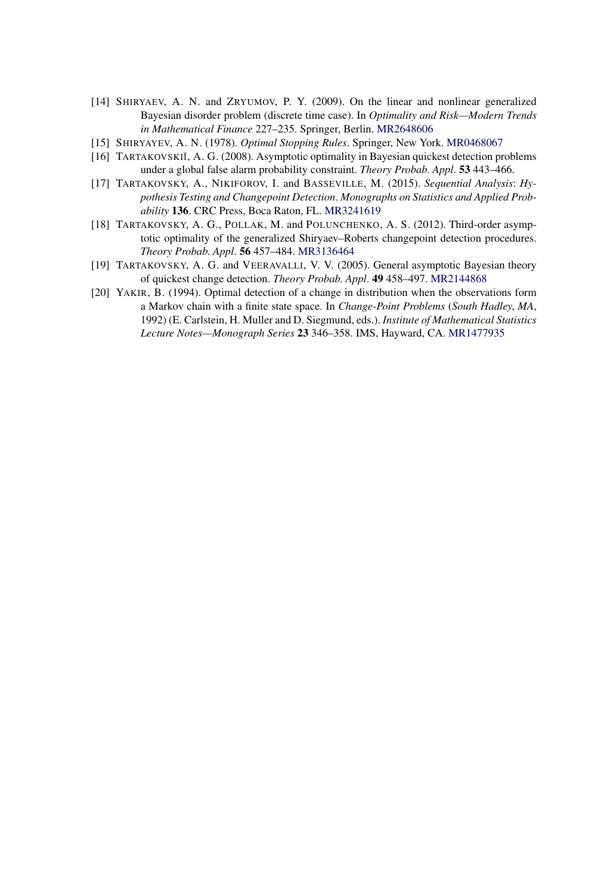- [14] SHIRYAEV, A. N. and ZRYUMOV, P. Y. (2009). On the linear and nonlinear generalized Bayesian disorder problem (discrete time case). In *Optimality and Risk—Modern Trends in Mathematical Finance* 227–235. Springer, Berlin. [MR2648606](http://www.ams.org/mathscinet-getitem?mr=2648606)
- [15] SHIRYAYEV, A. N. (1978). *Optimal Stopping Rules*. Springer, New York. [MR0468067](http://www.ams.org/mathscinet-getitem?mr=0468067)
- [16] TARTAKOVSKIĬ, A. G. (2008). Asymptotic optimality in Bayesian quickest detection problems under a global false alarm probability constraint. *Theory Probab*. *Appl*. **53** 443–466.
- [17] TARTAKOVSKY, A., NIKIFOROV, I. and BASSEVILLE, M. (2015). *Sequential Analysis*: *Hypothesis Testing and Changepoint Detection*. *Monographs on Statistics and Applied Probability* **136**. CRC Press, Boca Raton, FL. [MR3241619](http://www.ams.org/mathscinet-getitem?mr=3241619)
- [18] TARTAKOVSKY, A. G., POLLAK, M. and POLUNCHENKO, A. S. (2012). Third-order asymptotic optimality of the generalized Shiryaev–Roberts changepoint detection procedures. *Theory Probab*. *Appl*. **56** 457–484. [MR3136464](http://www.ams.org/mathscinet-getitem?mr=3136464)
- [19] TARTAKOVSKY, A. G. and VEERAVALLI, V. V. (2005). General asymptotic Bayesian theory of quickest change detection. *Theory Probab*. *Appl*. **49** 458–497. [MR2144868](http://www.ams.org/mathscinet-getitem?mr=2144868)
- [20] YAKIR, B. (1994). Optimal detection of a change in distribution when the observations form a Markov chain with a finite state space. In *Change-Point Problems* (*South Hadley*, *MA*, 1992) (E. Carlstein, H. Muller and D. Siegmund, eds.). *Institute of Mathematical Statistics Lecture Notes—Monograph Series* **23** 346–358. IMS, Hayward, CA. [MR1477935](http://www.ams.org/mathscinet-getitem?mr=1477935)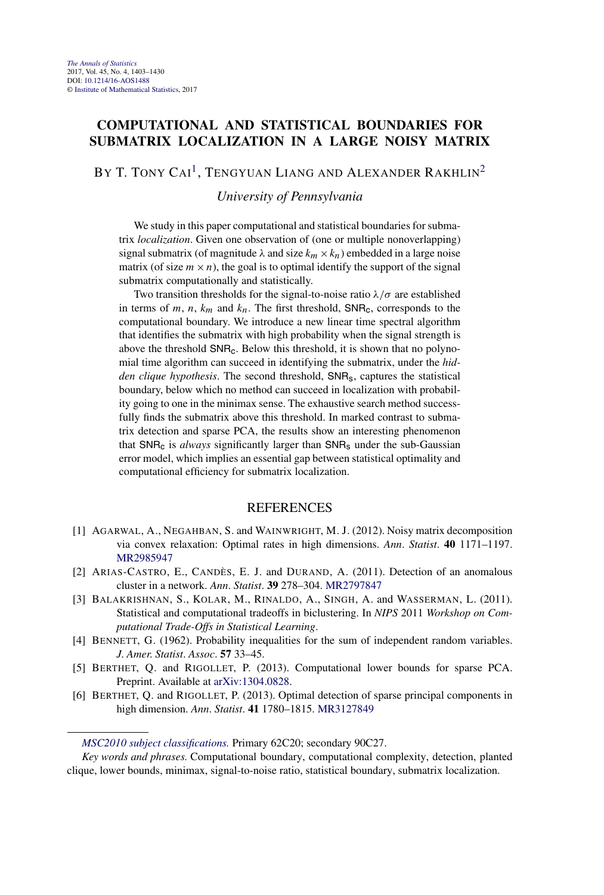## **COMPUTATIONAL AND STATISTICAL BOUNDARIES FOR SUBMATRIX LOCALIZATION IN A LARGE NOISY MATRIX**

BY T. TONY CAI<sup>1</sup>, TENGYUAN LIANG AND ALEXANDER RAKHLIN<sup>[2](#page-1-0)</sup>

*University of Pennsylvania*

We study in this paper computational and statistical boundaries for submatrix *localization*. Given one observation of (one or multiple nonoverlapping) signal submatrix (of magnitude  $\lambda$  and size  $k_m \times k_n$ ) embedded in a large noise matrix (of size  $m \times n$ ), the goal is to optimal identify the support of the signal submatrix computationally and statistically.

Two transition thresholds for the signal-to-noise ratio  $\lambda/\sigma$  are established in terms of *m*, *n*,  $k_m$  and  $k_n$ . The first threshold,  $SNR_c$ , corresponds to the computational boundary. We introduce a new linear time spectral algorithm that identifies the submatrix with high probability when the signal strength is above the threshold SNR<sub>c</sub>. Below this threshold, it is shown that no polynomial time algorithm can succeed in identifying the submatrix, under the *hidden clique hypothesis*. The second threshold, SNRs, captures the statistical boundary, below which no method can succeed in localization with probability going to one in the minimax sense. The exhaustive search method successfully finds the submatrix above this threshold. In marked contrast to submatrix detection and sparse PCA, the results show an interesting phenomenon that SNR<sub>c</sub> is *always* significantly larger than SNR<sub>s</sub> under the sub-Gaussian error model, which implies an essential gap between statistical optimality and computational efficiency for submatrix localization.

- [1] AGARWAL, A., NEGAHBAN, S. and WAINWRIGHT, M. J. (2012). Noisy matrix decomposition via convex relaxation: Optimal rates in high dimensions. *Ann*. *Statist*. **40** 1171–1197. [MR2985947](http://www.ams.org/mathscinet-getitem?mr=2985947)
- [2] ARIAS-CASTRO, E., CANDÈS, E. J. and DURAND, A. (2011). Detection of an anomalous cluster in a network. *Ann*. *Statist*. **39** 278–304. [MR2797847](http://www.ams.org/mathscinet-getitem?mr=2797847)
- [3] BALAKRISHNAN, S., KOLAR, M., RINALDO, A., SINGH, A. and WASSERMAN, L. (2011). Statistical and computational tradeoffs in biclustering. In *NIPS* 2011 *Workshop on Computational Trade-Offs in Statistical Learning*.
- [4] BENNETT, G. (1962). Probability inequalities for the sum of independent random variables. *J*. *Amer*. *Statist*. *Assoc*. **57** 33–45.
- [5] BERTHET, Q. and RIGOLLET, P. (2013). Computational lower bounds for sparse PCA. Preprint. Available at [arXiv:1304.0828.](http://arxiv.org/abs/arXiv:1304.0828)
- [6] BERTHET, Q. and RIGOLLET, P. (2013). Optimal detection of sparse principal components in high dimension. *Ann*. *Statist*. **41** 1780–1815. [MR3127849](http://www.ams.org/mathscinet-getitem?mr=3127849)

*[MSC2010 subject classifications.](http://www.ams.org/mathscinet/msc/msc2010.html)* Primary 62C20; secondary 90C27.

*Key words and phrases.* Computational boundary, computational complexity, detection, planted clique, lower bounds, minimax, signal-to-noise ratio, statistical boundary, submatrix localization.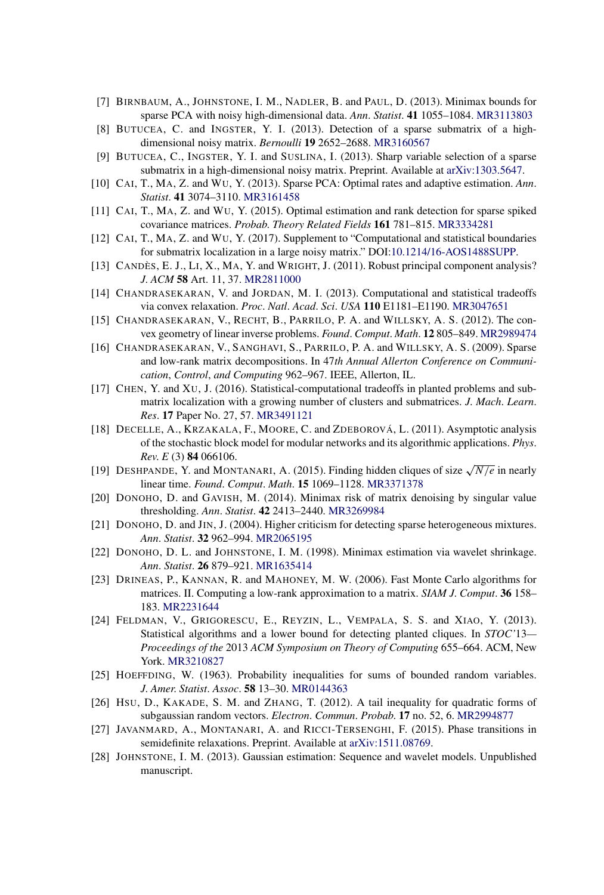- [7] BIRNBAUM, A., JOHNSTONE, I. M., NADLER, B. and PAUL, D. (2013). Minimax bounds for sparse PCA with noisy high-dimensional data. *Ann*. *Statist*. **41** 1055–1084. [MR3113803](http://www.ams.org/mathscinet-getitem?mr=3113803)
- [8] BUTUCEA, C. and INGSTER, Y. I. (2013). Detection of a sparse submatrix of a highdimensional noisy matrix. *Bernoulli* **19** 2652–2688. [MR3160567](http://www.ams.org/mathscinet-getitem?mr=3160567)
- [9] BUTUCEA, C., INGSTER, Y. I. and SUSLINA, I. (2013). Sharp variable selection of a sparse submatrix in a high-dimensional noisy matrix. Preprint. Available at [arXiv:1303.5647](http://arxiv.org/abs/arXiv:1303.5647).
- [10] CAI, T., MA, Z. and WU, Y. (2013). Sparse PCA: Optimal rates and adaptive estimation. *Ann*. *Statist*. **41** 3074–3110. [MR3161458](http://www.ams.org/mathscinet-getitem?mr=3161458)
- [11] CAI, T., MA, Z. and WU, Y. (2015). Optimal estimation and rank detection for sparse spiked covariance matrices. *Probab*. *Theory Related Fields* **161** 781–815. [MR3334281](http://www.ams.org/mathscinet-getitem?mr=3334281)
- [12] CAI, T., MA, Z. and WU, Y. (2017). Supplement to "Computational and statistical boundaries for submatrix localization in a large noisy matrix." DOI[:10.1214/16-AOS1488SUPP](http://dx.doi.org/10.1214/16-AOS1488SUPP).
- [13] CANDÈS, E. J., LI, X., MA, Y. and WRIGHT, J. (2011). Robust principal component analysis? *J*. *ACM* **58** Art. 11, 37. [MR2811000](http://www.ams.org/mathscinet-getitem?mr=2811000)
- [14] CHANDRASEKARAN, V. and JORDAN, M. I. (2013). Computational and statistical tradeoffs via convex relaxation. *Proc*. *Natl*. *Acad*. *Sci*. *USA* **110** E1181–E1190. [MR3047651](http://www.ams.org/mathscinet-getitem?mr=3047651)
- [15] CHANDRASEKARAN, V., RECHT, B., PARRILO, P. A. and WILLSKY, A. S. (2012). The convex geometry of linear inverse problems. *Found*. *Comput*. *Math*. **12** 805–849. [MR2989474](http://www.ams.org/mathscinet-getitem?mr=2989474)
- [16] CHANDRASEKARAN, V., SANGHAVI, S., PARRILO, P. A. and WILLSKY, A. S. (2009). Sparse and low-rank matrix decompositions. In 47*th Annual Allerton Conference on Communication*, *Control*, *and Computing* 962–967. IEEE, Allerton, IL.
- [17] CHEN, Y. and XU, J. (2016). Statistical-computational tradeoffs in planted problems and submatrix localization with a growing number of clusters and submatrices. *J*. *Mach*. *Learn*. *Res*. **17** Paper No. 27, 57. [MR3491121](http://www.ams.org/mathscinet-getitem?mr=3491121)
- [18] DECELLE, A., KRZAKALA, F., MOORE, C. and ZDEBOROVÁ, L. (2011). Asymptotic analysis of the stochastic block model for modular networks and its algorithmic applications. *Phys*. *Rev*. *E* (3) **84** 066106.
- [19] DESHPANDE, Y. and MONTANARI, A. (2015). Finding hidden cliques of size <sup>√</sup>*N/e* in nearly linear time. *Found*. *Comput*. *Math*. **15** 1069–1128. [MR3371378](http://www.ams.org/mathscinet-getitem?mr=3371378)
- [20] DONOHO, D. and GAVISH, M. (2014). Minimax risk of matrix denoising by singular value thresholding. *Ann*. *Statist*. **42** 2413–2440. [MR3269984](http://www.ams.org/mathscinet-getitem?mr=3269984)
- [21] DONOHO, D. and JIN, J. (2004). Higher criticism for detecting sparse heterogeneous mixtures. *Ann*. *Statist*. **32** 962–994. [MR2065195](http://www.ams.org/mathscinet-getitem?mr=2065195)
- [22] DONOHO, D. L. and JOHNSTONE, I. M. (1998). Minimax estimation via wavelet shrinkage. *Ann*. *Statist*. **26** 879–921. [MR1635414](http://www.ams.org/mathscinet-getitem?mr=1635414)
- [23] DRINEAS, P., KANNAN, R. and MAHONEY, M. W. (2006). Fast Monte Carlo algorithms for matrices. II. Computing a low-rank approximation to a matrix. *SIAM J*. *Comput*. **36** 158– 183. [MR2231644](http://www.ams.org/mathscinet-getitem?mr=2231644)
- [24] FELDMAN, V., GRIGORESCU, E., REYZIN, L., VEMPALA, S. S. and XIAO, Y. (2013). Statistical algorithms and a lower bound for detecting planted cliques. In *STOC'*13*— Proceedings of the* 2013 *ACM Symposium on Theory of Computing* 655–664. ACM, New York. [MR3210827](http://www.ams.org/mathscinet-getitem?mr=3210827)
- [25] HOEFFDING, W. (1963). Probability inequalities for sums of bounded random variables. *J*. *Amer*. *Statist*. *Assoc*. **58** 13–30. [MR0144363](http://www.ams.org/mathscinet-getitem?mr=0144363)
- [26] HSU, D., KAKADE, S. M. and ZHANG, T. (2012). A tail inequality for quadratic forms of subgaussian random vectors. *Electron*. *Commun*. *Probab*. **17** no. 52, 6. [MR2994877](http://www.ams.org/mathscinet-getitem?mr=2994877)
- [27] JAVANMARD, A., MONTANARI, A. and RICCI-TERSENGHI, F. (2015). Phase transitions in semidefinite relaxations. Preprint. Available at [arXiv:1511.08769.](http://arxiv.org/abs/arXiv:1511.08769)
- [28] JOHNSTONE, I. M. (2013). Gaussian estimation: Sequence and wavelet models. Unpublished manuscript.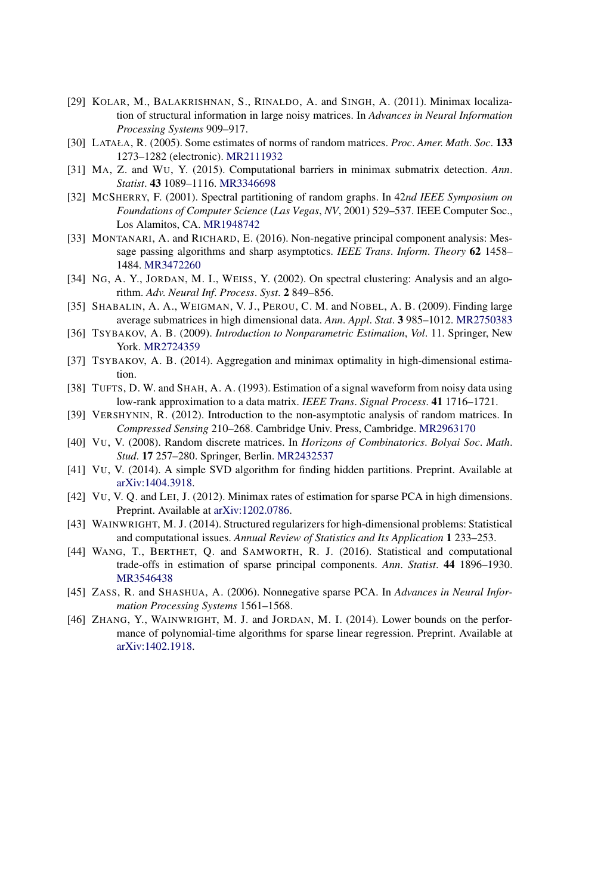- [29] KOLAR, M., BALAKRISHNAN, S., RINALDO, A. and SINGH, A. (2011). Minimax localization of structural information in large noisy matrices. In *Advances in Neural Information Processing Systems* 909–917.
- [30] LATAŁA, R. (2005). Some estimates of norms of random matrices. *Proc*. *Amer*. *Math*. *Soc*. **133** 1273–1282 (electronic). [MR2111932](http://www.ams.org/mathscinet-getitem?mr=2111932)
- [31] MA, Z. and WU, Y. (2015). Computational barriers in minimax submatrix detection. *Ann*. *Statist*. **43** 1089–1116. [MR3346698](http://www.ams.org/mathscinet-getitem?mr=3346698)
- [32] MCSHERRY, F. (2001). Spectral partitioning of random graphs. In 42*nd IEEE Symposium on Foundations of Computer Science* (*Las Vegas*, *NV*, 2001) 529–537. IEEE Computer Soc., Los Alamitos, CA. [MR1948742](http://www.ams.org/mathscinet-getitem?mr=1948742)
- [33] MONTANARI, A. and RICHARD, E. (2016). Non-negative principal component analysis: Message passing algorithms and sharp asymptotics. *IEEE Trans*. *Inform*. *Theory* **62** 1458– 1484. [MR3472260](http://www.ams.org/mathscinet-getitem?mr=3472260)
- [34] NG, A. Y., JORDAN, M. I., WEISS, Y. (2002). On spectral clustering: Analysis and an algorithm. *Adv*. *Neural Inf*. *Process*. *Syst*. **2** 849–856.
- [35] SHABALIN, A. A., WEIGMAN, V. J., PEROU, C. M. and NOBEL, A. B. (2009). Finding large average submatrices in high dimensional data. *Ann*. *Appl*. *Stat*. **3** 985–1012. [MR2750383](http://www.ams.org/mathscinet-getitem?mr=2750383)
- [36] TSYBAKOV, A. B. (2009). *Introduction to Nonparametric Estimation*, *Vol*. 11. Springer, New York. [MR2724359](http://www.ams.org/mathscinet-getitem?mr=2724359)
- [37] TSYBAKOV, A. B. (2014). Aggregation and minimax optimality in high-dimensional estimation.
- [38] TUFTS, D. W. and SHAH, A. A. (1993). Estimation of a signal waveform from noisy data using low-rank approximation to a data matrix. *IEEE Trans*. *Signal Process*. **41** 1716–1721.
- [39] VERSHYNIN, R. (2012). Introduction to the non-asymptotic analysis of random matrices. In *Compressed Sensing* 210–268. Cambridge Univ. Press, Cambridge. [MR2963170](http://www.ams.org/mathscinet-getitem?mr=2963170)
- [40] VU, V. (2008). Random discrete matrices. In *Horizons of Combinatorics*. *Bolyai Soc*. *Math*. *Stud*. **17** 257–280. Springer, Berlin. [MR2432537](http://www.ams.org/mathscinet-getitem?mr=2432537)
- [41] VU, V. (2014). A simple SVD algorithm for finding hidden partitions. Preprint. Available at [arXiv:1404.3918.](http://arxiv.org/abs/arXiv:1404.3918)
- [42] VU, V. Q. and LEI, J. (2012). Minimax rates of estimation for sparse PCA in high dimensions. Preprint. Available at [arXiv:1202.0786.](http://arxiv.org/abs/arXiv:1202.0786)
- [43] WAINWRIGHT, M. J. (2014). Structured regularizers for high-dimensional problems: Statistical and computational issues. *Annual Review of Statistics and Its Application* **1** 233–253.
- [44] WANG, T., BERTHET, Q. and SAMWORTH, R. J. (2016). Statistical and computational trade-offs in estimation of sparse principal components. *Ann*. *Statist*. **44** 1896–1930. [MR3546438](http://www.ams.org/mathscinet-getitem?mr=3546438)
- [45] ZASS, R. and SHASHUA, A. (2006). Nonnegative sparse PCA. In *Advances in Neural Information Processing Systems* 1561–1568.
- [46] ZHANG, Y., WAINWRIGHT, M. J. and JORDAN, M. I. (2014). Lower bounds on the performance of polynomial-time algorithms for sparse linear regression. Preprint. Available at [arXiv:1402.1918.](http://arxiv.org/abs/arXiv:1402.1918)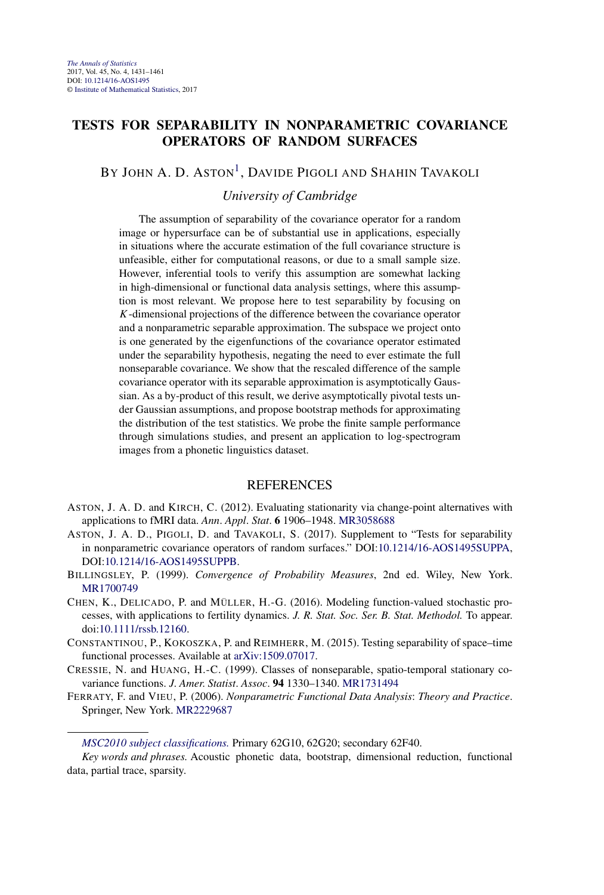## **TESTS FOR SEPARABILITY IN NONPARAMETRIC COVARIANCE OPERATORS OF RANDOM SURFACES**

## BY JOHN A. D. ASTON<sup>1</sup>, DAVIDE PIGOLI AND SHAHIN TAVAKOLI

## *University of Cambridge*

The assumption of separability of the covariance operator for a random image or hypersurface can be of substantial use in applications, especially in situations where the accurate estimation of the full covariance structure is unfeasible, either for computational reasons, or due to a small sample size. However, inferential tools to verify this assumption are somewhat lacking in high-dimensional or functional data analysis settings, where this assumption is most relevant. We propose here to test separability by focusing on *K*-dimensional projections of the difference between the covariance operator and a nonparametric separable approximation. The subspace we project onto is one generated by the eigenfunctions of the covariance operator estimated under the separability hypothesis, negating the need to ever estimate the full nonseparable covariance. We show that the rescaled difference of the sample covariance operator with its separable approximation is asymptotically Gaussian. As a by-product of this result, we derive asymptotically pivotal tests under Gaussian assumptions, and propose bootstrap methods for approximating the distribution of the test statistics. We probe the finite sample performance through simulations studies, and present an application to log-spectrogram images from a phonetic linguistics dataset.

- ASTON, J. A. D. and KIRCH, C. (2012). Evaluating stationarity via change-point alternatives with applications to fMRI data. *Ann*. *Appl*. *Stat*. **6** 1906–1948. [MR3058688](http://www.ams.org/mathscinet-getitem?mr=3058688)
- ASTON, J. A. D., PIGOLI, D. and TAVAKOLI, S. (2017). Supplement to "Tests for separability in nonparametric covariance operators of random surfaces." DOI[:10.1214/16-AOS1495SUPPA](http://dx.doi.org/10.1214/16-AOS1495SUPPA), DOI[:10.1214/16-AOS1495SUPPB.](http://dx.doi.org/10.1214/16-AOS1495SUPPB)
- BILLINGSLEY, P. (1999). *Convergence of Probability Measures*, 2nd ed. Wiley, New York. [MR1700749](http://www.ams.org/mathscinet-getitem?mr=1700749)
- CHEN, K., DELICADO, P. and MÜLLER, H.-G. (2016). Modeling function-valued stochastic processes, with applications to fertility dynamics. *J. R. Stat. Soc. Ser. B. Stat. Methodol.* To appear. doi[:10.1111/rssb.12160](http://dx.doi.org/10.1111/rssb.12160).
- CONSTANTINOU, P., KOKOSZKA, P. and REIMHERR, M. (2015). Testing separability of space–time functional processes. Available at [arXiv:1509.07017.](http://arxiv.org/abs/arXiv:1509.07017)
- CRESSIE, N. and HUANG, H.-C. (1999). Classes of nonseparable, spatio-temporal stationary covariance functions. *J*. *Amer*. *Statist*. *Assoc*. **94** 1330–1340. [MR1731494](http://www.ams.org/mathscinet-getitem?mr=1731494)
- FERRATY, F. and VIEU, P. (2006). *Nonparametric Functional Data Analysis*: *Theory and Practice*. Springer, New York. [MR2229687](http://www.ams.org/mathscinet-getitem?mr=2229687)

*[MSC2010 subject classifications.](http://www.ams.org/mathscinet/msc/msc2010.html)* Primary 62G10, 62G20; secondary 62F40.

*Key words and phrases.* Acoustic phonetic data, bootstrap, dimensional reduction, functional data, partial trace, sparsity.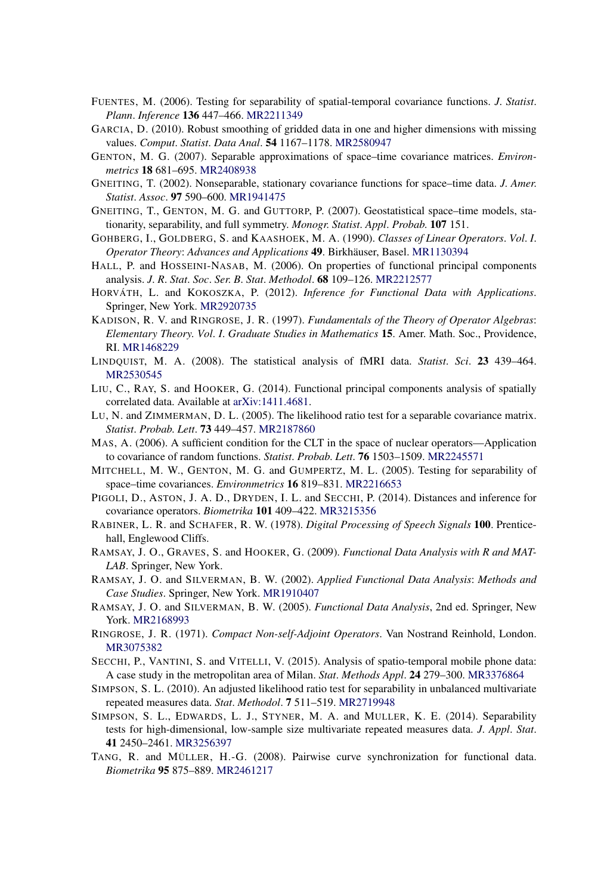- FUENTES, M. (2006). Testing for separability of spatial-temporal covariance functions. *J*. *Statist*. *Plann*. *Inference* **136** 447–466. [MR2211349](http://www.ams.org/mathscinet-getitem?mr=2211349)
- GARCIA, D. (2010). Robust smoothing of gridded data in one and higher dimensions with missing values. *Comput*. *Statist*. *Data Anal*. **54** 1167–1178. [MR2580947](http://www.ams.org/mathscinet-getitem?mr=2580947)
- GENTON, M. G. (2007). Separable approximations of space–time covariance matrices. *Environmetrics* **18** 681–695. [MR2408938](http://www.ams.org/mathscinet-getitem?mr=2408938)
- GNEITING, T. (2002). Nonseparable, stationary covariance functions for space–time data. *J*. *Amer*. *Statist*. *Assoc*. **97** 590–600. [MR1941475](http://www.ams.org/mathscinet-getitem?mr=1941475)
- GNEITING, T., GENTON, M. G. and GUTTORP, P. (2007). Geostatistical space–time models, stationarity, separability, and full symmetry. *Monogr*. *Statist*. *Appl*. *Probab*. **107** 151.
- GOHBERG, I., GOLDBERG, S. and KAASHOEK, M. A. (1990). *Classes of Linear Operators*. *Vol*. *I*. *Operator Theory*: *Advances and Applications* **49**. Birkhäuser, Basel. [MR1130394](http://www.ams.org/mathscinet-getitem?mr=1130394)
- HALL, P. and HOSSEINI-NASAB, M. (2006). On properties of functional principal components analysis. *J*. *R*. *Stat*. *Soc*. *Ser*. *B*. *Stat*. *Methodol*. **68** 109–126. [MR2212577](http://www.ams.org/mathscinet-getitem?mr=2212577)
- HORVÁTH, L. and KOKOSZKA, P. (2012). *Inference for Functional Data with Applications*. Springer, New York. [MR2920735](http://www.ams.org/mathscinet-getitem?mr=2920735)
- KADISON, R. V. and RINGROSE, J. R. (1997). *Fundamentals of the Theory of Operator Algebras*: *Elementary Theory*. *Vol*. *I*. *Graduate Studies in Mathematics* **15**. Amer. Math. Soc., Providence, RI. [MR1468229](http://www.ams.org/mathscinet-getitem?mr=1468229)
- LINDQUIST, M. A. (2008). The statistical analysis of fMRI data. *Statist*. *Sci*. **23** 439–464. [MR2530545](http://www.ams.org/mathscinet-getitem?mr=2530545)
- LIU, C., RAY, S. and HOOKER, G. (2014). Functional principal components analysis of spatially correlated data. Available at [arXiv:1411.4681.](http://arxiv.org/abs/arXiv:1411.4681)
- LU, N. and ZIMMERMAN, D. L. (2005). The likelihood ratio test for a separable covariance matrix. *Statist*. *Probab*. *Lett*. **73** 449–457. [MR2187860](http://www.ams.org/mathscinet-getitem?mr=2187860)
- MAS, A. (2006). A sufficient condition for the CLT in the space of nuclear operators—Application to covariance of random functions. *Statist*. *Probab*. *Lett*. **76** 1503–1509. [MR2245571](http://www.ams.org/mathscinet-getitem?mr=2245571)
- MITCHELL, M. W., GENTON, M. G. and GUMPERTZ, M. L. (2005). Testing for separability of space–time covariances. *Environmetrics* **16** 819–831. [MR2216653](http://www.ams.org/mathscinet-getitem?mr=2216653)
- PIGOLI, D., ASTON, J. A. D., DRYDEN, I. L. and SECCHI, P. (2014). Distances and inference for covariance operators. *Biometrika* **101** 409–422. [MR3215356](http://www.ams.org/mathscinet-getitem?mr=3215356)
- RABINER, L. R. and SCHAFER, R. W. (1978). *Digital Processing of Speech Signals* **100**. Prenticehall, Englewood Cliffs.
- RAMSAY, J. O., GRAVES, S. and HOOKER, G. (2009). *Functional Data Analysis with R and MAT-LAB*. Springer, New York.
- RAMSAY, J. O. and SILVERMAN, B. W. (2002). *Applied Functional Data Analysis*: *Methods and Case Studies*. Springer, New York. [MR1910407](http://www.ams.org/mathscinet-getitem?mr=1910407)
- RAMSAY, J. O. and SILVERMAN, B. W. (2005). *Functional Data Analysis*, 2nd ed. Springer, New York. [MR2168993](http://www.ams.org/mathscinet-getitem?mr=2168993)
- RINGROSE, J. R. (1971). *Compact Non-self-Adjoint Operators*. Van Nostrand Reinhold, London. [MR3075382](http://www.ams.org/mathscinet-getitem?mr=3075382)
- SECCHI, P., VANTINI, S. and VITELLI, V. (2015). Analysis of spatio-temporal mobile phone data: A case study in the metropolitan area of Milan. *Stat*. *Methods Appl*. **24** 279–300. [MR3376864](http://www.ams.org/mathscinet-getitem?mr=3376864)
- SIMPSON, S. L. (2010). An adjusted likelihood ratio test for separability in unbalanced multivariate repeated measures data. *Stat*. *Methodol*. **7** 511–519. [MR2719948](http://www.ams.org/mathscinet-getitem?mr=2719948)
- SIMPSON, S. L., EDWARDS, L. J., STYNER, M. A. and MULLER, K. E. (2014). Separability tests for high-dimensional, low-sample size multivariate repeated measures data. *J*. *Appl*. *Stat*. **41** 2450–2461. [MR3256397](http://www.ams.org/mathscinet-getitem?mr=3256397)
- TANG, R. and MÜLLER, H.-G. (2008). Pairwise curve synchronization for functional data. *Biometrika* **95** 875–889. [MR2461217](http://www.ams.org/mathscinet-getitem?mr=2461217)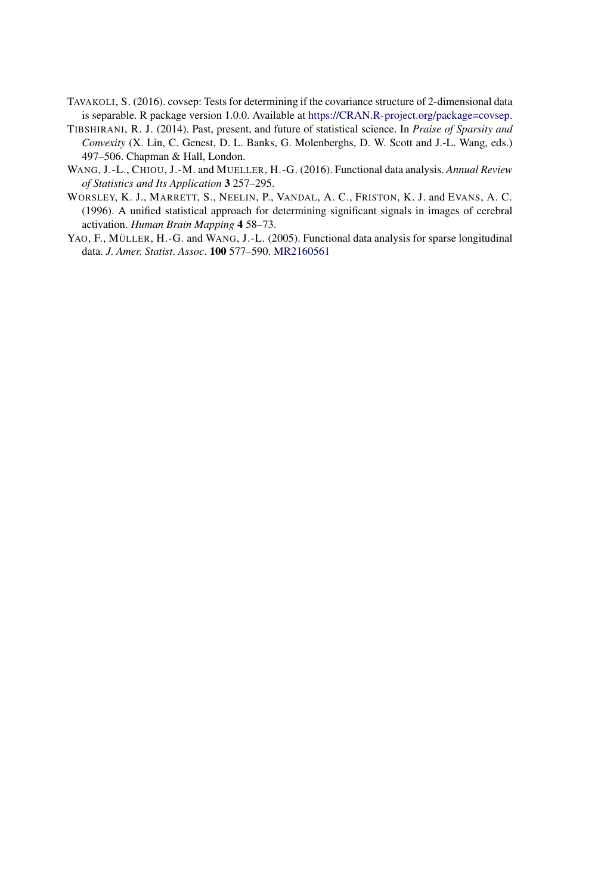- TAVAKOLI, S. (2016). covsep: Tests for determining if the covariance structure of 2-dimensional data is separable. R package version 1.0.0. Available at <https://CRAN.R-project.org/package=covsep>.
- TIBSHIRANI, R. J. (2014). Past, present, and future of statistical science. In *Praise of Sparsity and Convexity* (X. Lin, C. Genest, D. L. Banks, G. Molenberghs, D. W. Scott and J.-L. Wang, eds.) 497–506. Chapman & Hall, London.
- WANG, J.-L., CHIOU, J.-M. and MUELLER, H.-G. (2016). Functional data analysis. *Annual Review of Statistics and Its Application* **3** 257–295.
- WORSLEY, K. J., MARRETT, S., NEELIN, P., VANDAL, A. C., FRISTON, K. J. and EVANS, A. C. (1996). A unified statistical approach for determining significant signals in images of cerebral activation. *Human Brain Mapping* **4** 58–73.
- YAO, F., MÜLLER, H.-G. and WANG, J.-L. (2005). Functional data analysis for sparse longitudinal data. *J*. *Amer*. *Statist*. *Assoc*. **100** 577–590. [MR2160561](http://www.ams.org/mathscinet-getitem?mr=2160561)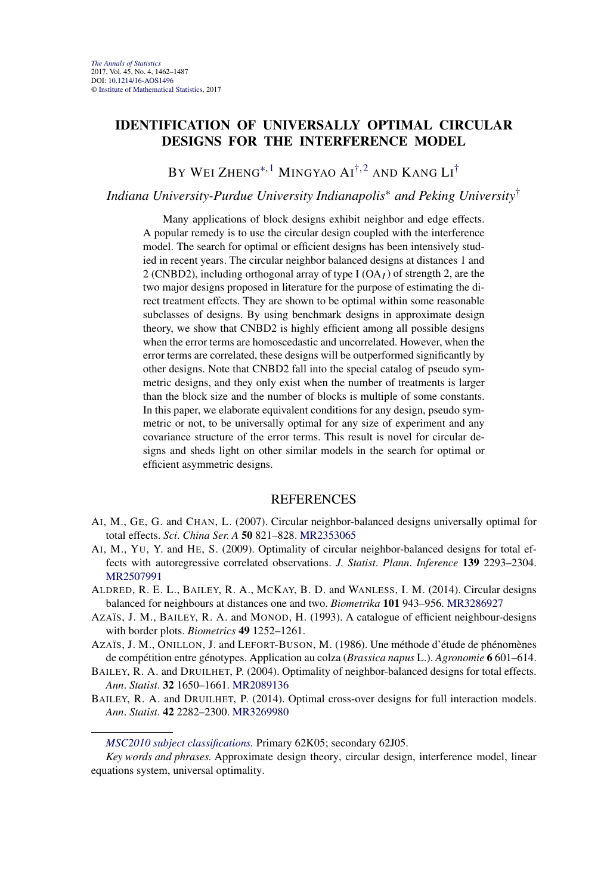## <span id="page-9-0"></span>**IDENTIFICATION OF UNIVERSALLY OPTIMAL CIRCULAR DESIGNS FOR THE INTERFERENCE MODEL**

BY WEI ZHENG\*<sup>, 1</sup> MINGYAO AI<sup>†, 2</sup> and Kang Li<sup>†</sup>

# *Indiana University-Purdue University Indianapolis*<sup>∗</sup> *and Peking University*†

Many applications of block designs exhibit neighbor and edge effects. A popular remedy is to use the circular design coupled with the interference model. The search for optimal or efficient designs has been intensively studied in recent years. The circular neighbor balanced designs at distances 1 and 2 (CNBD2), including orthogonal array of type I (OA*I* ) of strength 2, are the two major designs proposed in literature for the purpose of estimating the direct treatment effects. They are shown to be optimal within some reasonable subclasses of designs. By using benchmark designs in approximate design theory, we show that CNBD2 is highly efficient among all possible designs when the error terms are homoscedastic and uncorrelated. However, when the error terms are correlated, these designs will be outperformed significantly by other designs. Note that CNBD2 fall into the special catalog of pseudo symmetric designs, and they only exist when the number of treatments is larger than the block size and the number of blocks is multiple of some constants. In this paper, we elaborate equivalent conditions for any design, pseudo symmetric or not, to be universally optimal for any size of experiment and any covariance structure of the error terms. This result is novel for circular designs and sheds light on other similar models in the search for optimal or efficient asymmetric designs.

- AI, M., GE, G. and CHAN, L. (2007). Circular neighbor-balanced designs universally optimal for total effects. *Sci*. *China Ser*. *A* **50** 821–828. [MR2353065](http://www.ams.org/mathscinet-getitem?mr=2353065)
- AI, M., YU, Y. and HE, S. (2009). Optimality of circular neighbor-balanced designs for total effects with autoregressive correlated observations. *J*. *Statist*. *Plann*. *Inference* **139** 2293–2304. [MR2507991](http://www.ams.org/mathscinet-getitem?mr=2507991)
- ALDRED, R. E. L., BAILEY, R. A., MCKAY, B. D. and WANLESS, I. M. (2014). Circular designs balanced for neighbours at distances one and two. *Biometrika* **101** 943–956. [MR3286927](http://www.ams.org/mathscinet-getitem?mr=3286927)
- AZAÏS, J. M., BAILEY, R. A. and MONOD, H. (1993). A catalogue of efficient neighbour-designs with border plots. *Biometrics* **49** 1252–1261.
- AZAÏS, J. M., ONILLON, J. and LEFORT-BUSON, M. (1986). Une méthode d'étude de phénomènes de compétition entre génotypes. Application au colza (*Brassica napus* L.). *Agronomie* **6** 601–614.
- BAILEY, R. A. and DRUILHET, P. (2004). Optimality of neighbor-balanced designs for total effects. *Ann*. *Statist*. **32** 1650–1661. [MR2089136](http://www.ams.org/mathscinet-getitem?mr=2089136)
- BAILEY, R. A. and DRUILHET, P. (2014). Optimal cross-over designs for full interaction models. *Ann*. *Statist*. **42** 2282–2300. [MR3269980](http://www.ams.org/mathscinet-getitem?mr=3269980)

*[MSC2010 subject classifications.](http://www.ams.org/mathscinet/msc/msc2010.html)* Primary 62K05; secondary 62J05.

*Key words and phrases.* Approximate design theory, circular design, interference model, linear equations system, universal optimality.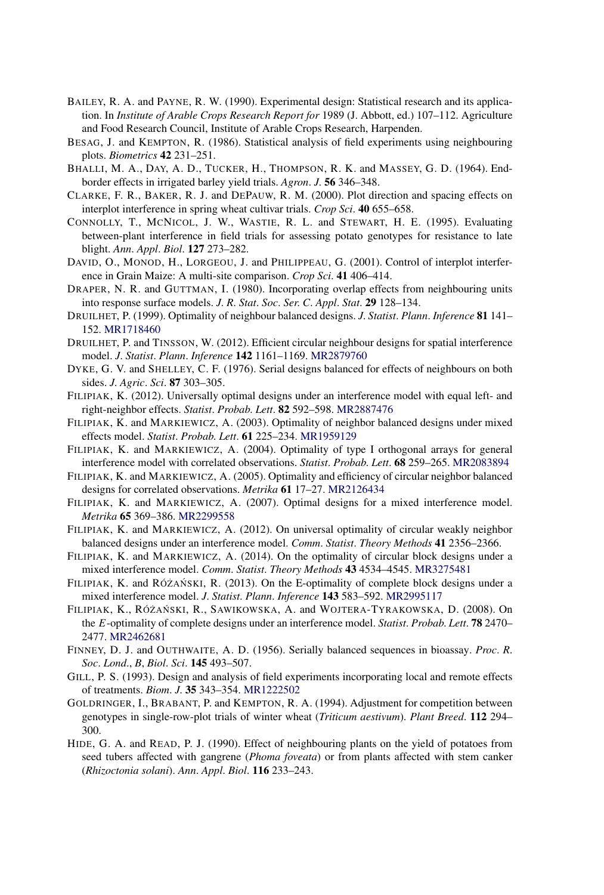- BAILEY, R. A. and PAYNE, R. W. (1990). Experimental design: Statistical research and its application. In *Institute of Arable Crops Research Report for* 1989 (J. Abbott, ed.) 107–112. Agriculture and Food Research Council, Institute of Arable Crops Research, Harpenden.
- BESAG, J. and KEMPTON, R. (1986). Statistical analysis of field experiments using neighbouring plots. *Biometrics* **42** 231–251.
- BHALLI, M. A., DAY, A. D., TUCKER, H., THOMPSON, R. K. and MASSEY, G. D. (1964). Endborder effects in irrigated barley yield trials. *Agron*. *J*. **56** 346–348.
- CLARKE, F. R., BAKER, R. J. and DEPAUW, R. M. (2000). Plot direction and spacing effects on interplot interference in spring wheat cultivar trials. *Crop Sci*. **40** 655–658.
- CONNOLLY, T., MCNICOL, J. W., WASTIE, R. L. and STEWART, H. E. (1995). Evaluating between-plant interference in field trials for assessing potato genotypes for resistance to late blight. *Ann*. *Appl*. *Biol*. **127** 273–282.
- DAVID, O., MONOD, H., LORGEOU, J. and PHILIPPEAU, G. (2001). Control of interplot interference in Grain Maize: A multi-site comparison. *Crop Sci*. **41** 406–414.
- DRAPER, N. R. and GUTTMAN, I. (1980). Incorporating overlap effects from neighbouring units into response surface models. *J*. *R*. *Stat*. *Soc*. *Ser*. *C*. *Appl*. *Stat*. **29** 128–134.
- DRUILHET, P. (1999). Optimality of neighbour balanced designs. *J*. *Statist*. *Plann*. *Inference* **81** 141– 152. [MR1718460](http://www.ams.org/mathscinet-getitem?mr=1718460)
- DRUILHET, P. and TINSSON, W. (2012). Efficient circular neighbour designs for spatial interference model. *J*. *Statist*. *Plann*. *Inference* **142** 1161–1169. [MR2879760](http://www.ams.org/mathscinet-getitem?mr=2879760)
- DYKE, G. V. and SHELLEY, C. F. (1976). Serial designs balanced for effects of neighbours on both sides. *J*. *Agric*. *Sci*. **87** 303–305.
- FILIPIAK, K. (2012). Universally optimal designs under an interference model with equal left- and right-neighbor effects. *Statist*. *Probab*. *Lett*. **82** 592–598. [MR2887476](http://www.ams.org/mathscinet-getitem?mr=2887476)
- FILIPIAK, K. and MARKIEWICZ, A. (2003). Optimality of neighbor balanced designs under mixed effects model. *Statist*. *Probab*. *Lett*. **61** 225–234. [MR1959129](http://www.ams.org/mathscinet-getitem?mr=1959129)
- FILIPIAK, K. and MARKIEWICZ, A. (2004). Optimality of type I orthogonal arrays for general interference model with correlated observations. *Statist*. *Probab*. *Lett*. **68** 259–265. [MR2083894](http://www.ams.org/mathscinet-getitem?mr=2083894)
- FILIPIAK, K. and MARKIEWICZ, A. (2005). Optimality and efficiency of circular neighbor balanced designs for correlated observations. *Metrika* **61** 17–27. [MR2126434](http://www.ams.org/mathscinet-getitem?mr=2126434)
- FILIPIAK, K. and MARKIEWICZ, A. (2007). Optimal designs for a mixed interference model. *Metrika* **65** 369–386. [MR2299558](http://www.ams.org/mathscinet-getitem?mr=2299558)
- FILIPIAK, K. and MARKIEWICZ, A. (2012). On universal optimality of circular weakly neighbor balanced designs under an interference model. *Comm*. *Statist*. *Theory Methods* **41** 2356–2366.
- FILIPIAK, K. and MARKIEWICZ, A. (2014). On the optimality of circular block designs under a mixed interference model. *Comm*. *Statist*. *Theory Methods* **43** 4534–4545. [MR3275481](http://www.ams.org/mathscinet-getitem?mr=3275481)
- FILIPIAK, K. and RÓŻAŃSKI, R. (2013). On the E-optimality of complete block designs under a mixed interference model. *J*. *Statist*. *Plann*. *Inference* **143** 583–592. [MR2995117](http://www.ams.org/mathscinet-getitem?mr=2995117)
- FILIPIAK, K., RÓŻAŃSKI, R., SAWIKOWSKA, A. and WOJTERA-TYRAKOWSKA, D. (2008). On the *E*-optimality of complete designs under an interference model. *Statist*. *Probab*. *Lett*. **78** 2470– 2477. [MR2462681](http://www.ams.org/mathscinet-getitem?mr=2462681)
- FINNEY, D. J. and OUTHWAITE, A. D. (1956). Serially balanced sequences in bioassay. *Proc*. *R*. *Soc*. *Lond*., *B*, *Biol*. *Sci*. **145** 493–507.
- GILL, P. S. (1993). Design and analysis of field experiments incorporating local and remote effects of treatments. *Biom*. *J*. **35** 343–354. [MR1222502](http://www.ams.org/mathscinet-getitem?mr=1222502)
- GOLDRINGER, I., BRABANT, P. and KEMPTON, R. A. (1994). Adjustment for competition between genotypes in single-row-plot trials of winter wheat (*Triticum aestivum*). *Plant Breed*. **112** 294– 300.
- HIDE, G. A. and READ, P. J. (1990). Effect of neighbouring plants on the yield of potatoes from seed tubers affected with gangrene (*Phoma foveata*) or from plants affected with stem canker (*Rhizoctonia solani*). *Ann*. *Appl*. *Biol*. **116** 233–243.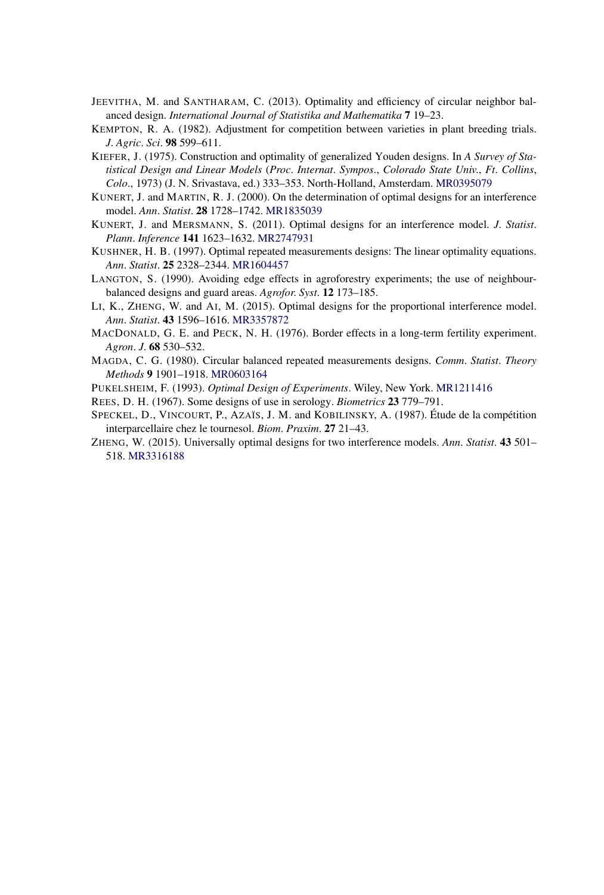- JEEVITHA, M. and SANTHARAM, C. (2013). Optimality and efficiency of circular neighbor balanced design. *International Journal of Statistika and Mathematika* **7** 19–23.
- KEMPTON, R. A. (1982). Adjustment for competition between varieties in plant breeding trials. *J*. *Agric*. *Sci*. **98** 599–611.
- KIEFER, J. (1975). Construction and optimality of generalized Youden designs. In *A Survey of Statistical Design and Linear Models* (*Proc*. *Internat*. *Sympos*., *Colorado State Univ*., *Ft*. *Collins*, *Colo*., 1973) (J. N. Srivastava, ed.) 333–353. North-Holland, Amsterdam. [MR0395079](http://www.ams.org/mathscinet-getitem?mr=0395079)
- KUNERT, J. and MARTIN, R. J. (2000). On the determination of optimal designs for an interference model. *Ann*. *Statist*. **28** 1728–1742. [MR1835039](http://www.ams.org/mathscinet-getitem?mr=1835039)
- KUNERT, J. and MERSMANN, S. (2011). Optimal designs for an interference model. *J*. *Statist*. *Plann*. *Inference* **141** 1623–1632. [MR2747931](http://www.ams.org/mathscinet-getitem?mr=2747931)
- KUSHNER, H. B. (1997). Optimal repeated measurements designs: The linear optimality equations. *Ann*. *Statist*. **25** 2328–2344. [MR1604457](http://www.ams.org/mathscinet-getitem?mr=1604457)
- LANGTON, S. (1990). Avoiding edge effects in agroforestry experiments; the use of neighbourbalanced designs and guard areas. *Agrofor*. *Syst*. **12** 173–185.
- LI, K., ZHENG, W. and AI, M. (2015). Optimal designs for the proportional interference model. *Ann*. *Statist*. **43** 1596–1616. [MR3357872](http://www.ams.org/mathscinet-getitem?mr=3357872)
- MACDONALD, G. E. and PECK, N. H. (1976). Border effects in a long-term fertility experiment. *Agron*. *J*. **68** 530–532.
- MAGDA, C. G. (1980). Circular balanced repeated measurements designs. *Comm*. *Statist*. *Theory Methods* **9** 1901–1918. [MR0603164](http://www.ams.org/mathscinet-getitem?mr=0603164)
- PUKELSHEIM, F. (1993). *Optimal Design of Experiments*. Wiley, New York. [MR1211416](http://www.ams.org/mathscinet-getitem?mr=1211416)
- REES, D. H. (1967). Some designs of use in serology. *Biometrics* **23** 779–791.
- SPECKEL, D., VINCOURT, P., AZAÏS, J. M. and KOBILINSKY, A. (1987). Étude de la compétition interparcellaire chez le tournesol. *Biom*. *Praxim*. **27** 21–43.
- ZHENG, W. (2015). Universally optimal designs for two interference models. *Ann*. *Statist*. **43** 501– 518. [MR3316188](http://www.ams.org/mathscinet-getitem?mr=3316188)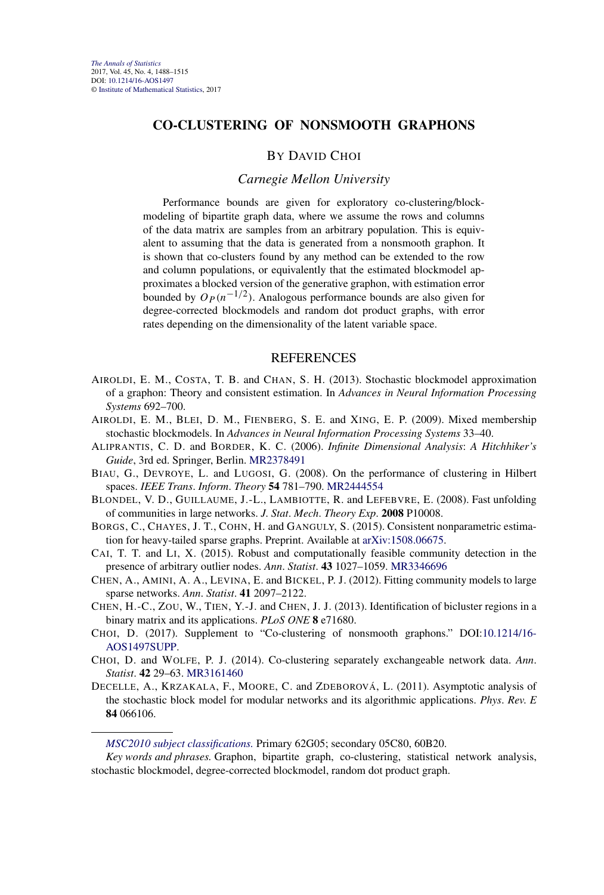## **CO-CLUSTERING OF NONSMOOTH GRAPHONS**

#### BY DAVID CHOI

#### *Carnegie Mellon University*

Performance bounds are given for exploratory co-clustering/blockmodeling of bipartite graph data, where we assume the rows and columns of the data matrix are samples from an arbitrary population. This is equivalent to assuming that the data is generated from a nonsmooth graphon. It is shown that co-clusters found by any method can be extended to the row and column populations, or equivalently that the estimated blockmodel approximates a blocked version of the generative graphon, with estimation error bounded by  $O_P(n^{-1/2})$ . Analogous performance bounds are also given for degree-corrected blockmodels and random dot product graphs, with error rates depending on the dimensionality of the latent variable space.

#### REFERENCES

- AIROLDI, E. M., COSTA, T. B. and CHAN, S. H. (2013). Stochastic blockmodel approximation of a graphon: Theory and consistent estimation. In *Advances in Neural Information Processing Systems* 692–700.
- AIROLDI, E. M., BLEI, D. M., FIENBERG, S. E. and XING, E. P. (2009). Mixed membership stochastic blockmodels. In *Advances in Neural Information Processing Systems* 33–40.
- ALIPRANTIS, C. D. and BORDER, K. C. (2006). *Infinite Dimensional Analysis*: *A Hitchhiker's Guide*, 3rd ed. Springer, Berlin. [MR2378491](http://www.ams.org/mathscinet-getitem?mr=2378491)
- BIAU, G., DEVROYE, L. and LUGOSI, G. (2008). On the performance of clustering in Hilbert spaces. *IEEE Trans*. *Inform*. *Theory* **54** 781–790. [MR2444554](http://www.ams.org/mathscinet-getitem?mr=2444554)
- BLONDEL, V. D., GUILLAUME, J.-L., LAMBIOTTE, R. and LEFEBVRE, E. (2008). Fast unfolding of communities in large networks. *J*. *Stat*. *Mech*. *Theory Exp*. **2008** P10008.
- BORGS, C., CHAYES, J. T., COHN, H. and GANGULY, S. (2015). Consistent nonparametric estimation for heavy-tailed sparse graphs. Preprint. Available at [arXiv:1508.06675](http://arxiv.org/abs/arXiv:1508.06675).
- CAI, T. T. and LI, X. (2015). Robust and computationally feasible community detection in the presence of arbitrary outlier nodes. *Ann*. *Statist*. **43** 1027–1059. [MR3346696](http://www.ams.org/mathscinet-getitem?mr=3346696)
- CHEN, A., AMINI, A. A., LEVINA, E. and BICKEL, P. J. (2012). Fitting community models to large sparse networks. *Ann*. *Statist*. **41** 2097–2122.
- CHEN, H.-C., ZOU, W., TIEN, Y.-J. and CHEN, J. J. (2013). Identification of bicluster regions in a binary matrix and its applications. *PLoS ONE* **8** e71680.
- CHOI, D. (2017). Supplement to "Co-clustering of nonsmooth graphons." DOI[:10.1214/16-](http://dx.doi.org/10.1214/16-AOS1497SUPP) [AOS1497SUPP](http://dx.doi.org/10.1214/16-AOS1497SUPP).
- CHOI, D. and WOLFE, P. J. (2014). Co-clustering separately exchangeable network data. *Ann*. *Statist*. **42** 29–63. [MR3161460](http://www.ams.org/mathscinet-getitem?mr=3161460)
- DECELLE, A., KRZAKALA, F., MOORE, C. and ZDEBOROVÁ, L. (2011). Asymptotic analysis of the stochastic block model for modular networks and its algorithmic applications. *Phys*. *Rev*. *E* **84** 066106.

#### *[MSC2010 subject classifications.](http://www.ams.org/mathscinet/msc/msc2010.html)* Primary 62G05; secondary 05C80, 60B20.

*Key words and phrases.* Graphon, bipartite graph, co-clustering, statistical network analysis, stochastic blockmodel, degree-corrected blockmodel, random dot product graph.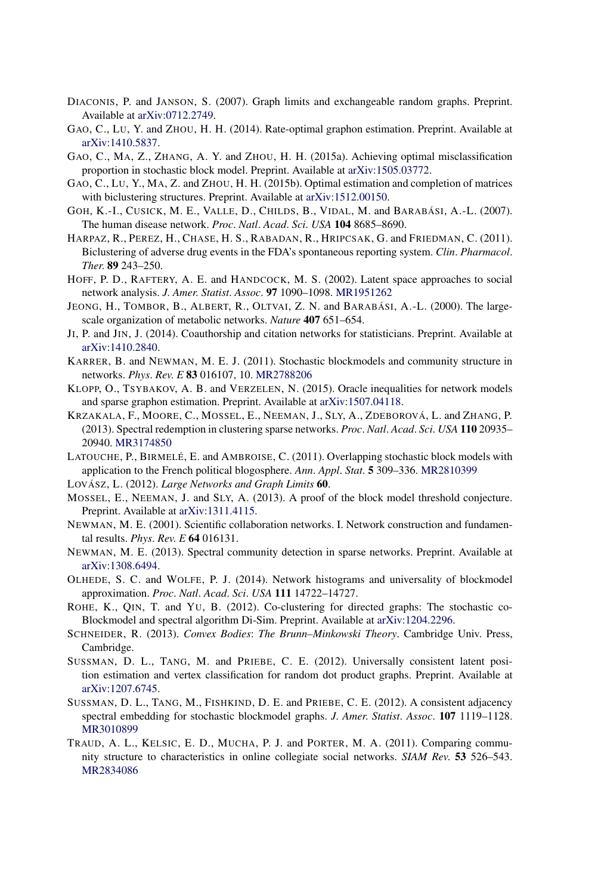- DIACONIS, P. and JANSON, S. (2007). Graph limits and exchangeable random graphs. Preprint. Available at [arXiv:0712.2749.](http://arxiv.org/abs/arXiv:0712.2749)
- GAO, C., LU, Y. and ZHOU, H. H. (2014). Rate-optimal graphon estimation. Preprint. Available at [arXiv:1410.5837.](http://arxiv.org/abs/arXiv:1410.5837)
- GAO, C., MA, Z., ZHANG, A. Y. and ZHOU, H. H. (2015a). Achieving optimal misclassification proportion in stochastic block model. Preprint. Available at [arXiv:1505.03772.](http://arxiv.org/abs/arXiv:1505.03772)
- GAO, C., LU, Y., MA, Z. and ZHOU, H. H. (2015b). Optimal estimation and completion of matrices with biclustering structures. Preprint. Available at [arXiv:1512.00150.](http://arxiv.org/abs/arXiv:1512.00150)
- GOH, K.-I., CUSICK, M. E., VALLE, D., CHILDS, B., VIDAL, M. and BARABÁSI, A.-L. (2007). The human disease network. *Proc*. *Natl*. *Acad*. *Sci*. *USA* **104** 8685–8690.
- HARPAZ, R., PEREZ, H., CHASE, H. S., RABADAN, R., HRIPCSAK, G. and FRIEDMAN, C. (2011). Biclustering of adverse drug events in the FDA's spontaneous reporting system. *Clin*. *Pharmacol*. *Ther*. **89** 243–250.
- HOFF, P. D., RAFTERY, A. E. and HANDCOCK, M. S. (2002). Latent space approaches to social network analysis. *J*. *Amer*. *Statist*. *Assoc*. **97** 1090–1098. [MR1951262](http://www.ams.org/mathscinet-getitem?mr=1951262)
- JEONG, H., TOMBOR, B., ALBERT, R., OLTVAI, Z. N. and BARABÁSI, A.-L. (2000). The largescale organization of metabolic networks. *Nature* **407** 651–654.
- JI, P. and JIN, J. (2014). Coauthorship and citation networks for statisticians. Preprint. Available at [arXiv:1410.2840.](http://arxiv.org/abs/arXiv:1410.2840)
- KARRER, B. and NEWMAN, M. E. J. (2011). Stochastic blockmodels and community structure in networks. *Phys*. *Rev*. *E* **83** 016107, 10. [MR2788206](http://www.ams.org/mathscinet-getitem?mr=2788206)
- KLOPP, O., TSYBAKOV, A. B. and VERZELEN, N. (2015). Oracle inequalities for network models and sparse graphon estimation. Preprint. Available at [arXiv:1507.04118.](http://arxiv.org/abs/arXiv:1507.04118)
- KRZAKALA, F., MOORE, C., MOSSEL, E., NEEMAN, J., SLY, A., ZDEBOROVÁ, L. and ZHANG, P. (2013). Spectral redemption in clustering sparse networks. *Proc*. *Natl*. *Acad*. *Sci*. *USA* **110** 20935– 20940. [MR3174850](http://www.ams.org/mathscinet-getitem?mr=3174850)
- LATOUCHE, P., BIRMELÉ, E. and AMBROISE, C. (2011). Overlapping stochastic block models with application to the French political blogosphere. *Ann*. *Appl*. *Stat*. **5** 309–336. [MR2810399](http://www.ams.org/mathscinet-getitem?mr=2810399)
- LOVÁSZ, L. (2012). *Large Networks and Graph Limits* **60**.
- MOSSEL, E., NEEMAN, J. and SLY, A. (2013). A proof of the block model threshold conjecture. Preprint. Available at [arXiv:1311.4115](http://arxiv.org/abs/arXiv:1311.4115).
- NEWMAN, M. E. (2001). Scientific collaboration networks. I. Network construction and fundamental results. *Phys*. *Rev*. *E* **64** 016131.
- NEWMAN, M. E. (2013). Spectral community detection in sparse networks. Preprint. Available at [arXiv:1308.6494.](http://arxiv.org/abs/arXiv:1308.6494)
- OLHEDE, S. C. and WOLFE, P. J. (2014). Network histograms and universality of blockmodel approximation. *Proc*. *Natl*. *Acad*. *Sci*. *USA* **111** 14722–14727.
- ROHE, K., QIN, T. and YU, B. (2012). Co-clustering for directed graphs: The stochastic co-Blockmodel and spectral algorithm Di-Sim. Preprint. Available at [arXiv:1204.2296](http://arxiv.org/abs/arXiv:1204.2296).
- SCHNEIDER, R. (2013). *Convex Bodies*: *The Brunn–Minkowski Theory*. Cambridge Univ. Press, Cambridge.
- SUSSMAN, D. L., TANG, M. and PRIEBE, C. E. (2012). Universally consistent latent position estimation and vertex classification for random dot product graphs. Preprint. Available at [arXiv:1207.6745.](http://arxiv.org/abs/arXiv:1207.6745)
- SUSSMAN, D. L., TANG, M., FISHKIND, D. E. and PRIEBE, C. E. (2012). A consistent adjacency spectral embedding for stochastic blockmodel graphs. *J*. *Amer*. *Statist*. *Assoc*. **107** 1119–1128. [MR3010899](http://www.ams.org/mathscinet-getitem?mr=3010899)
- TRAUD, A. L., KELSIC, E. D., MUCHA, P. J. and PORTER, M. A. (2011). Comparing community structure to characteristics in online collegiate social networks. *SIAM Rev*. **53** 526–543. [MR2834086](http://www.ams.org/mathscinet-getitem?mr=2834086)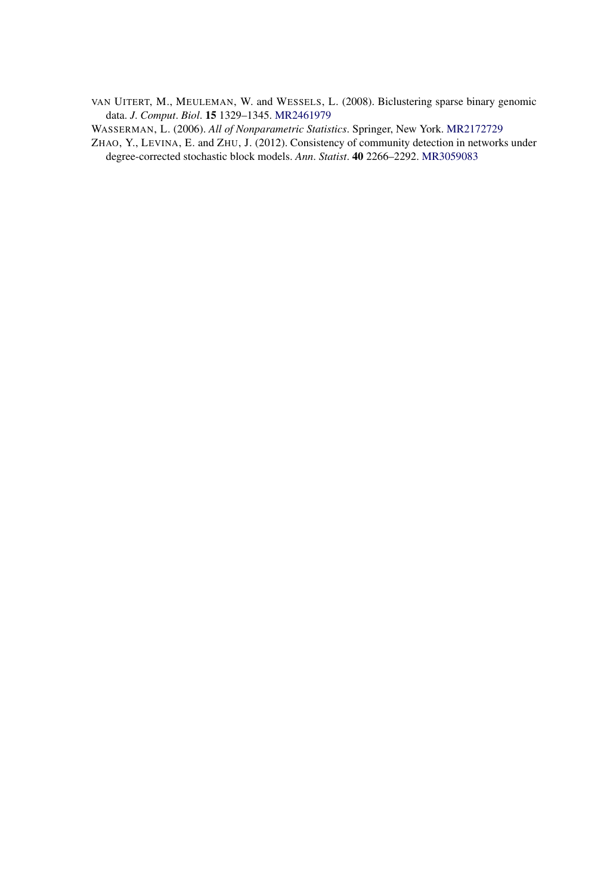VAN UITERT, M., MEULEMAN, W. and WESSELS, L. (2008). Biclustering sparse binary genomic data. *J*. *Comput*. *Biol*. **15** 1329–1345. [MR2461979](http://www.ams.org/mathscinet-getitem?mr=2461979)

WASSERMAN, L. (2006). *All of Nonparametric Statistics*. Springer, New York. [MR2172729](http://www.ams.org/mathscinet-getitem?mr=2172729)

ZHAO, Y., LEVINA, E. and ZHU, J. (2012). Consistency of community detection in networks under degree-corrected stochastic block models. *Ann*. *Statist*. **40** 2266–2292. [MR3059083](http://www.ams.org/mathscinet-getitem?mr=3059083)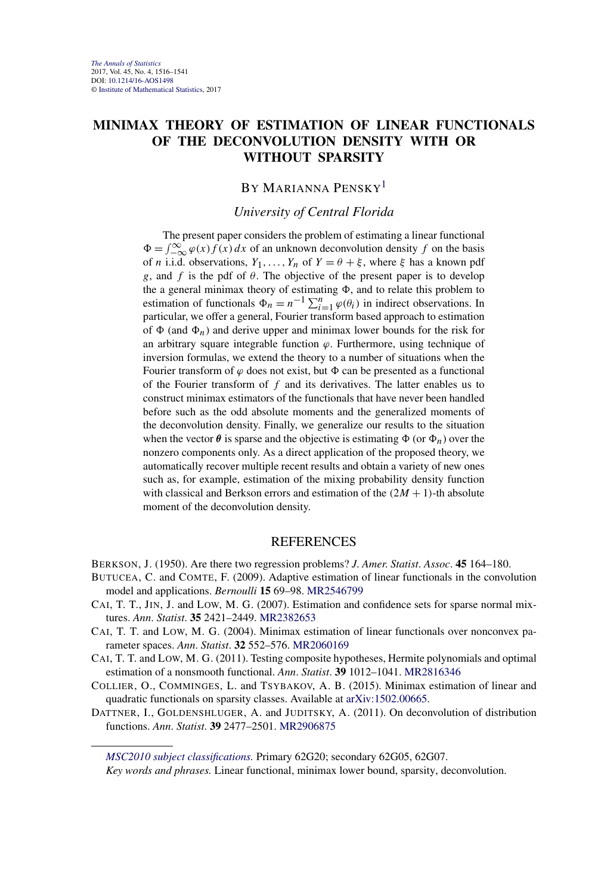## **MINIMAX THEORY OF ESTIMATION OF LINEAR FUNCTIONALS OF THE DECONVOLUTION DENSITY WITH OR WITHOUT SPARSITY**

# BY MARIANNA PENSKY<sup>1</sup>

## *University of Central Florida*

The present paper considers the problem of estimating a linear functional  $\Phi = \int_{-\infty}^{\infty} \varphi(x) f(x) dx$  of an unknown deconvolution density *f* on the basis of *n* i.i.d. observations,  $Y_1, \ldots, Y_n$  of  $Y = \theta + \xi$ , where  $\xi$  has a known pdf *g*, and *f* is the pdf of *θ*. The objective of the present paper is to develop the a general minimax theory of estimating  $\Phi$ , and to relate this problem to estimation of functionals  $\Phi_n = n^{-1} \sum_{i=1}^n \varphi(\theta_i)$  in indirect observations. In particular, we offer a general, Fourier transform based approach to estimation of  $\Phi$  (and  $\Phi_n$ ) and derive upper and minimax lower bounds for the risk for an arbitrary square integrable function *ϕ*. Furthermore, using technique of inversion formulas, we extend the theory to a number of situations when the Fourier transform of  $\varphi$  does not exist, but  $\Phi$  can be presented as a functional of the Fourier transform of *f* and its derivatives. The latter enables us to construct minimax estimators of the functionals that have never been handled before such as the odd absolute moments and the generalized moments of the deconvolution density. Finally, we generalize our results to the situation when the vector  $\theta$  is sparse and the objective is estimating  $\Phi$  (or  $\Phi_n$ ) over the nonzero components only. As a direct application of the proposed theory, we automatically recover multiple recent results and obtain a variety of new ones such as, for example, estimation of the mixing probability density function with classical and Berkson errors and estimation of the  $(2M + 1)$ -th absolute moment of the deconvolution density.

## REFERENCES

- BERKSON, J. (1950). Are there two regression problems? *J*. *Amer*. *Statist*. *Assoc*. **45** 164–180.
- BUTUCEA, C. and COMTE, F. (2009). Adaptive estimation of linear functionals in the convolution model and applications. *Bernoulli* **15** 69–98. [MR2546799](http://www.ams.org/mathscinet-getitem?mr=2546799)
- CAI, T. T., JIN, J. and LOW, M. G. (2007). Estimation and confidence sets for sparse normal mixtures. *Ann*. *Statist*. **35** 2421–2449. [MR2382653](http://www.ams.org/mathscinet-getitem?mr=2382653)
- CAI, T. T. and LOW, M. G. (2004). Minimax estimation of linear functionals over nonconvex parameter spaces. *Ann*. *Statist*. **32** 552–576. [MR2060169](http://www.ams.org/mathscinet-getitem?mr=2060169)
- CAI, T. T. and LOW, M. G. (2011). Testing composite hypotheses, Hermite polynomials and optimal estimation of a nonsmooth functional. *Ann*. *Statist*. **39** 1012–1041. [MR2816346](http://www.ams.org/mathscinet-getitem?mr=2816346)
- COLLIER, O., COMMINGES, L. and TSYBAKOV, A. B. (2015). Minimax estimation of linear and quadratic functionals on sparsity classes. Available at [arXiv:1502.00665.](http://arxiv.org/abs/arXiv:1502.00665)
- DATTNER, I., GOLDENSHLUGER, A. and JUDITSKY, A. (2011). On deconvolution of distribution functions. *Ann*. *Statist*. **39** 2477–2501. [MR2906875](http://www.ams.org/mathscinet-getitem?mr=2906875)

*[MSC2010 subject classifications.](http://www.ams.org/mathscinet/msc/msc2010.html)* Primary 62G20; secondary 62G05, 62G07.

*Key words and phrases.* Linear functional, minimax lower bound, sparsity, deconvolution.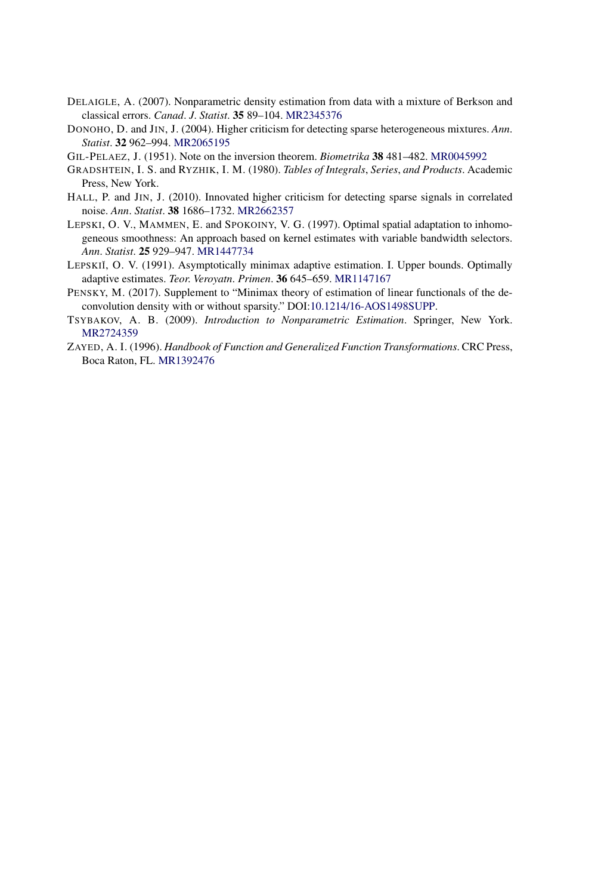- DELAIGLE, A. (2007). Nonparametric density estimation from data with a mixture of Berkson and classical errors. *Canad*. *J*. *Statist*. **35** 89–104. [MR2345376](http://www.ams.org/mathscinet-getitem?mr=2345376)
- DONOHO, D. and JIN, J. (2004). Higher criticism for detecting sparse heterogeneous mixtures. *Ann*. *Statist*. **32** 962–994. [MR2065195](http://www.ams.org/mathscinet-getitem?mr=2065195)
- GIL-PELAEZ, J. (1951). Note on the inversion theorem. *Biometrika* **38** 481–482. [MR0045992](http://www.ams.org/mathscinet-getitem?mr=0045992)
- GRADSHTEIN, I. S. and RYZHIK, I. M. (1980). *Tables of Integrals*, *Series*, *and Products*. Academic Press, New York.
- HALL, P. and JIN, J. (2010). Innovated higher criticism for detecting sparse signals in correlated noise. *Ann*. *Statist*. **38** 1686–1732. [MR2662357](http://www.ams.org/mathscinet-getitem?mr=2662357)
- LEPSKI, O. V., MAMMEN, E. and SPOKOINY, V. G. (1997). Optimal spatial adaptation to inhomogeneous smoothness: An approach based on kernel estimates with variable bandwidth selectors. *Ann*. *Statist*. **25** 929–947. [MR1447734](http://www.ams.org/mathscinet-getitem?mr=1447734)
- LEPSKIĬ, O. V. (1991). Asymptotically minimax adaptive estimation. I. Upper bounds. Optimally adaptive estimates. *Teor*. *Veroyatn*. *Primen*. **36** 645–659. [MR1147167](http://www.ams.org/mathscinet-getitem?mr=1147167)
- PENSKY, M. (2017). Supplement to "Minimax theory of estimation of linear functionals of the deconvolution density with or without sparsity." DOI[:10.1214/16-AOS1498SUPP](http://dx.doi.org/10.1214/16-AOS1498SUPP).
- TSYBAKOV, A. B. (2009). *Introduction to Nonparametric Estimation*. Springer, New York. [MR2724359](http://www.ams.org/mathscinet-getitem?mr=2724359)
- ZAYED, A. I. (1996). *Handbook of Function and Generalized Function Transformations*. CRC Press, Boca Raton, FL. [MR1392476](http://www.ams.org/mathscinet-getitem?mr=1392476)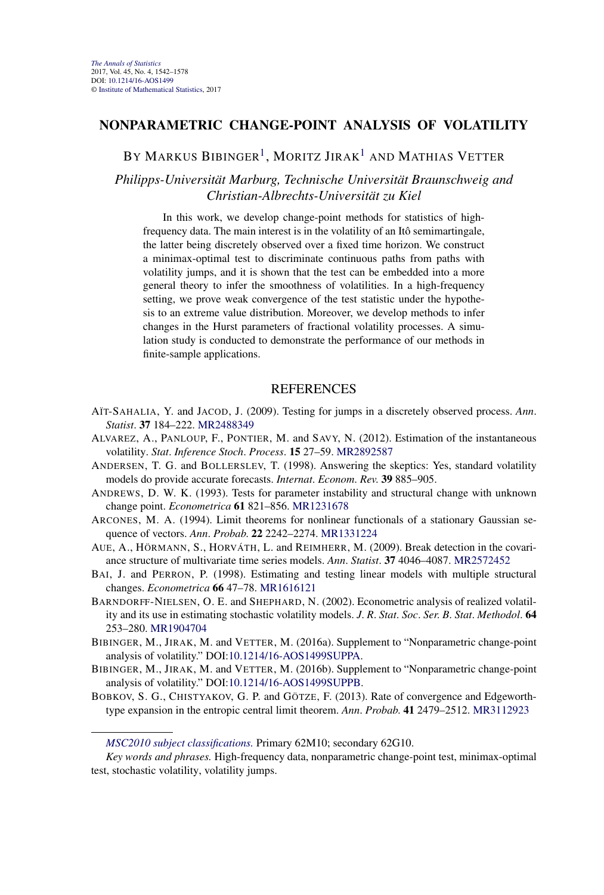## **NONPARAMETRIC CHANGE-POINT ANALYSIS OF VOLATILITY**

BY MARKUS BIBINGER<sup>1</sup>, MORITZ JIRAK<sup>1</sup> AND MATHIAS VETTER

*Philipps-Universität Marburg, Technische Universität Braunschweig and Christian-Albrechts-Universität zu Kiel*

In this work, we develop change-point methods for statistics of highfrequency data. The main interest is in the volatility of an Itô semimartingale, the latter being discretely observed over a fixed time horizon. We construct a minimax-optimal test to discriminate continuous paths from paths with volatility jumps, and it is shown that the test can be embedded into a more general theory to infer the smoothness of volatilities. In a high-frequency setting, we prove weak convergence of the test statistic under the hypothesis to an extreme value distribution. Moreover, we develop methods to infer changes in the Hurst parameters of fractional volatility processes. A simulation study is conducted to demonstrate the performance of our methods in finite-sample applications.

- AÏT-SAHALIA, Y. and JACOD, J. (2009). Testing for jumps in a discretely observed process. *Ann*. *Statist*. **37** 184–222. [MR2488349](http://www.ams.org/mathscinet-getitem?mr=2488349)
- ALVAREZ, A., PANLOUP, F., PONTIER, M. and SAVY, N. (2012). Estimation of the instantaneous volatility. *Stat*. *Inference Stoch*. *Process*. **15** 27–59. [MR2892587](http://www.ams.org/mathscinet-getitem?mr=2892587)
- ANDERSEN, T. G. and BOLLERSLEV, T. (1998). Answering the skeptics: Yes, standard volatility models do provide accurate forecasts. *Internat*. *Econom*. *Rev*. **39** 885–905.
- ANDREWS, D. W. K. (1993). Tests for parameter instability and structural change with unknown change point. *Econometrica* **61** 821–856. [MR1231678](http://www.ams.org/mathscinet-getitem?mr=1231678)
- ARCONES, M. A. (1994). Limit theorems for nonlinear functionals of a stationary Gaussian sequence of vectors. *Ann*. *Probab*. **22** 2242–2274. [MR1331224](http://www.ams.org/mathscinet-getitem?mr=1331224)
- AUE, A., HÖRMANN, S., HORVÁTH, L. and REIMHERR, M. (2009). Break detection in the covariance structure of multivariate time series models. *Ann*. *Statist*. **37** 4046–4087. [MR2572452](http://www.ams.org/mathscinet-getitem?mr=2572452)
- BAI, J. and PERRON, P. (1998). Estimating and testing linear models with multiple structural changes. *Econometrica* **66** 47–78. [MR1616121](http://www.ams.org/mathscinet-getitem?mr=1616121)
- BARNDORFF-NIELSEN, O. E. and SHEPHARD, N. (2002). Econometric analysis of realized volatility and its use in estimating stochastic volatility models. *J*. *R*. *Stat*. *Soc*. *Ser*. *B*. *Stat*. *Methodol*. **64** 253–280. [MR1904704](http://www.ams.org/mathscinet-getitem?mr=1904704)
- BIBINGER, M., JIRAK, M. and VETTER, M. (2016a). Supplement to "Nonparametric change-point analysis of volatility." DOI[:10.1214/16-AOS1499SUPPA](http://dx.doi.org/10.1214/16-AOS1499SUPPA).
- BIBINGER, M., JIRAK, M. and VETTER, M. (2016b). Supplement to "Nonparametric change-point analysis of volatility." DOI[:10.1214/16-AOS1499SUPPB](http://dx.doi.org/10.1214/16-AOS1499SUPPB).
- BOBKOV, S. G., CHISTYAKOV, G. P. and GÖTZE, F. (2013). Rate of convergence and Edgeworthtype expansion in the entropic central limit theorem. *Ann*. *Probab*. **41** 2479–2512. [MR3112923](http://www.ams.org/mathscinet-getitem?mr=3112923)

*[MSC2010 subject classifications.](http://www.ams.org/mathscinet/msc/msc2010.html)* Primary 62M10; secondary 62G10.

*Key words and phrases.* High-frequency data, nonparametric change-point test, minimax-optimal test, stochastic volatility, volatility jumps.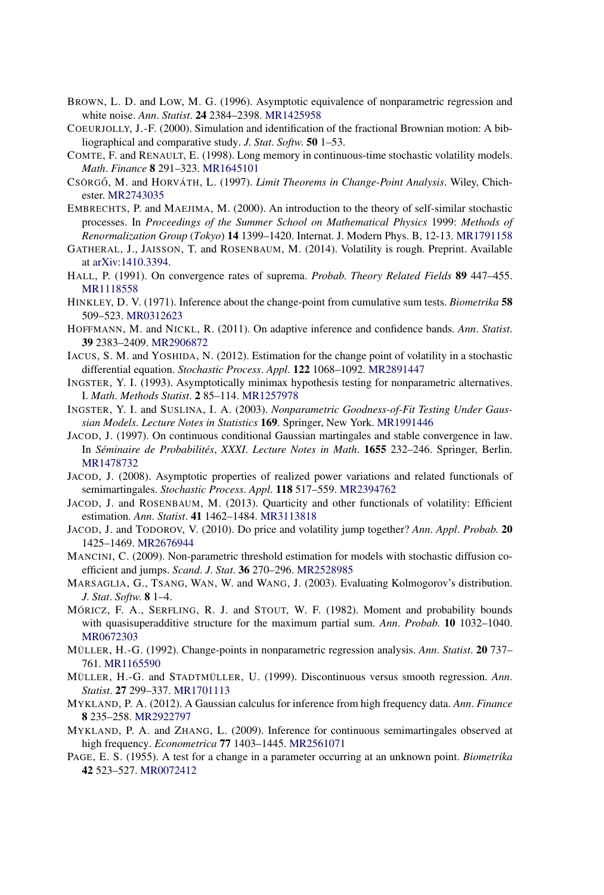- BROWN, L. D. and LOW, M. G. (1996). Asymptotic equivalence of nonparametric regression and white noise. *Ann*. *Statist*. **24** 2384–2398. [MR1425958](http://www.ams.org/mathscinet-getitem?mr=1425958)
- COEURJOLLY, J.-F. (2000). Simulation and identification of the fractional Brownian motion: A bibliographical and comparative study. *J*. *Stat*. *Softw*. **50** 1–53.
- COMTE, F. and RENAULT, E. (1998). Long memory in continuous-time stochastic volatility models. *Math*. *Finance* **8** 291–323. [MR1645101](http://www.ams.org/mathscinet-getitem?mr=1645101)
- CSÖRGO˝ , M. and HORVÁTH, L. (1997). *Limit Theorems in Change-Point Analysis*. Wiley, Chichester. [MR2743035](http://www.ams.org/mathscinet-getitem?mr=2743035)
- EMBRECHTS, P. and MAEJIMA, M. (2000). An introduction to the theory of self-similar stochastic processes. In *Proceedings of the Summer School on Mathematical Physics* 1999: *Methods of Renormalization Group* (*Tokyo*) **14** 1399–1420. Internat. J. Modern Phys. B, 12-13. [MR1791158](http://www.ams.org/mathscinet-getitem?mr=1791158)
- GATHERAL, J., JAISSON, T. and ROSENBAUM, M. (2014). Volatility is rough. Preprint. Available at [arXiv:1410.3394](http://arxiv.org/abs/arXiv:1410.3394).
- HALL, P. (1991). On convergence rates of suprema. *Probab*. *Theory Related Fields* **89** 447–455. [MR1118558](http://www.ams.org/mathscinet-getitem?mr=1118558)
- HINKLEY, D. V. (1971). Inference about the change-point from cumulative sum tests. *Biometrika* **58** 509–523. [MR0312623](http://www.ams.org/mathscinet-getitem?mr=0312623)
- HOFFMANN, M. and NICKL, R. (2011). On adaptive inference and confidence bands. *Ann*. *Statist*. **39** 2383–2409. [MR2906872](http://www.ams.org/mathscinet-getitem?mr=2906872)
- IACUS, S. M. and YOSHIDA, N. (2012). Estimation for the change point of volatility in a stochastic differential equation. *Stochastic Process*. *Appl*. **122** 1068–1092. [MR2891447](http://www.ams.org/mathscinet-getitem?mr=2891447)
- INGSTER, Y. I. (1993). Asymptotically minimax hypothesis testing for nonparametric alternatives. I. *Math*. *Methods Statist*. **2** 85–114. [MR1257978](http://www.ams.org/mathscinet-getitem?mr=1257978)
- INGSTER, Y. I. and SUSLINA, I. A. (2003). *Nonparametric Goodness-of-Fit Testing Under Gaussian Models*. *Lecture Notes in Statistics* **169**. Springer, New York. [MR1991446](http://www.ams.org/mathscinet-getitem?mr=1991446)
- JACOD, J. (1997). On continuous conditional Gaussian martingales and stable convergence in law. In *Séminaire de Probabilités*, *XXXI*. *Lecture Notes in Math*. **1655** 232–246. Springer, Berlin. [MR1478732](http://www.ams.org/mathscinet-getitem?mr=1478732)
- JACOD, J. (2008). Asymptotic properties of realized power variations and related functionals of semimartingales. *Stochastic Process*. *Appl*. **118** 517–559. [MR2394762](http://www.ams.org/mathscinet-getitem?mr=2394762)
- JACOD, J. and ROSENBAUM, M. (2013). Quarticity and other functionals of volatility: Efficient estimation. *Ann*. *Statist*. **41** 1462–1484. [MR3113818](http://www.ams.org/mathscinet-getitem?mr=3113818)
- JACOD, J. and TODOROV, V. (2010). Do price and volatility jump together? *Ann*. *Appl*. *Probab*. **20** 1425–1469. [MR2676944](http://www.ams.org/mathscinet-getitem?mr=2676944)
- MANCINI, C. (2009). Non-parametric threshold estimation for models with stochastic diffusion coefficient and jumps. *Scand*. *J*. *Stat*. **36** 270–296. [MR2528985](http://www.ams.org/mathscinet-getitem?mr=2528985)
- MARSAGLIA, G., TSANG, WAN, W. and WANG, J. (2003). Evaluating Kolmogorov's distribution. *J*. *Stat*. *Softw*. **8** 1–4.
- MÓRICZ, F. A., SERFLING, R. J. and STOUT, W. F. (1982). Moment and probability bounds with quasisuperadditive structure for the maximum partial sum. *Ann*. *Probab*. **10** 1032–1040. [MR0672303](http://www.ams.org/mathscinet-getitem?mr=0672303)
- MÜLLER, H.-G. (1992). Change-points in nonparametric regression analysis. *Ann*. *Statist*. **20** 737– 761. [MR1165590](http://www.ams.org/mathscinet-getitem?mr=1165590)
- MÜLLER, H.-G. and STADTMÜLLER, U. (1999). Discontinuous versus smooth regression. *Ann*. *Statist*. **27** 299–337. [MR1701113](http://www.ams.org/mathscinet-getitem?mr=1701113)
- MYKLAND, P. A. (2012). A Gaussian calculus for inference from high frequency data. *Ann*. *Finance* **8** 235–258. [MR2922797](http://www.ams.org/mathscinet-getitem?mr=2922797)
- MYKLAND, P. A. and ZHANG, L. (2009). Inference for continuous semimartingales observed at high frequency. *Econometrica* **77** 1403–1445. [MR2561071](http://www.ams.org/mathscinet-getitem?mr=2561071)
- PAGE, E. S. (1955). A test for a change in a parameter occurring at an unknown point. *Biometrika* **42** 523–527. [MR0072412](http://www.ams.org/mathscinet-getitem?mr=0072412)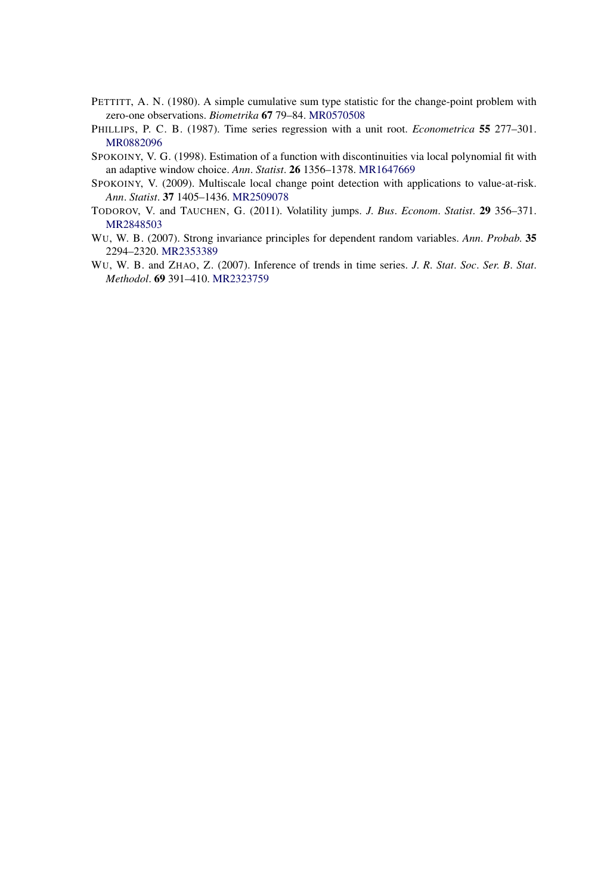- PETTITT, A. N. (1980). A simple cumulative sum type statistic for the change-point problem with zero-one observations. *Biometrika* **67** 79–84. [MR0570508](http://www.ams.org/mathscinet-getitem?mr=0570508)
- PHILLIPS, P. C. B. (1987). Time series regression with a unit root. *Econometrica* **55** 277–301. [MR0882096](http://www.ams.org/mathscinet-getitem?mr=0882096)
- SPOKOINY, V. G. (1998). Estimation of a function with discontinuities via local polynomial fit with an adaptive window choice. *Ann*. *Statist*. **26** 1356–1378. [MR1647669](http://www.ams.org/mathscinet-getitem?mr=1647669)
- SPOKOINY, V. (2009). Multiscale local change point detection with applications to value-at-risk. *Ann*. *Statist*. **37** 1405–1436. [MR2509078](http://www.ams.org/mathscinet-getitem?mr=2509078)
- TODOROV, V. and TAUCHEN, G. (2011). Volatility jumps. *J*. *Bus*. *Econom*. *Statist*. **29** 356–371. [MR2848503](http://www.ams.org/mathscinet-getitem?mr=2848503)
- WU, W. B. (2007). Strong invariance principles for dependent random variables. *Ann*. *Probab*. **35** 2294–2320. [MR2353389](http://www.ams.org/mathscinet-getitem?mr=2353389)
- WU, W. B. and ZHAO, Z. (2007). Inference of trends in time series. *J*. *R*. *Stat*. *Soc*. *Ser*. *B*. *Stat*. *Methodol*. **69** 391–410. [MR2323759](http://www.ams.org/mathscinet-getitem?mr=2323759)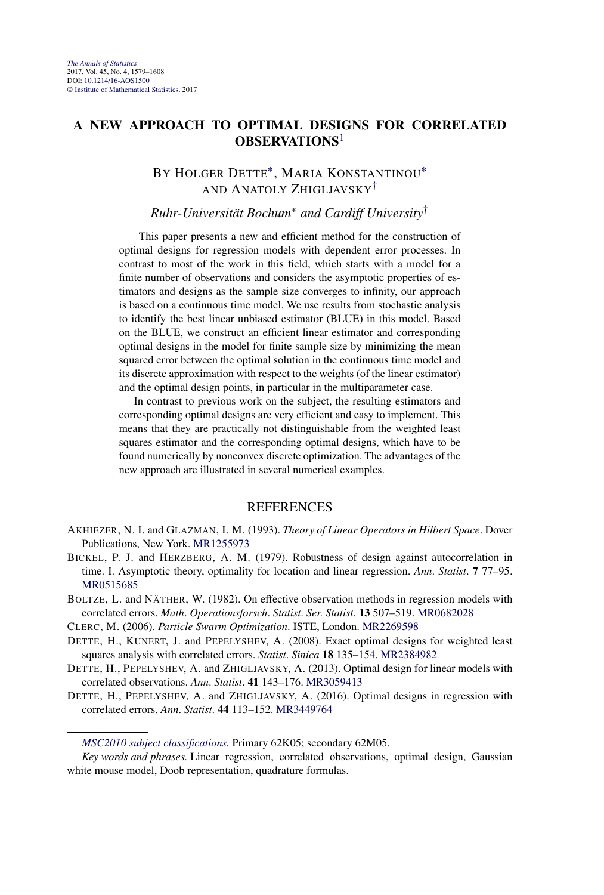## **A NEW APPROACH TO OPTIMAL DESIGNS FOR CORRELATED OBSERVATIONS**<sup>1</sup>

# BY HOLGER DETTE<sup>\*</sup>, MARIA KONSTANTINOU<sup>\*</sup> AND ANATOLY ZHIGLJAVSKY†

## *Ruhr-Universität Bochum*<sup>∗</sup> *and Cardiff University*†

This paper presents a new and efficient method for the construction of optimal designs for regression models with dependent error processes. In contrast to most of the work in this field, which starts with a model for a finite number of observations and considers the asymptotic properties of estimators and designs as the sample size converges to infinity, our approach is based on a continuous time model. We use results from stochastic analysis to identify the best linear unbiased estimator (BLUE) in this model. Based on the BLUE, we construct an efficient linear estimator and corresponding optimal designs in the model for finite sample size by minimizing the mean squared error between the optimal solution in the continuous time model and its discrete approximation with respect to the weights (of the linear estimator) and the optimal design points, in particular in the multiparameter case.

In contrast to previous work on the subject, the resulting estimators and corresponding optimal designs are very efficient and easy to implement. This means that they are practically not distinguishable from the weighted least squares estimator and the corresponding optimal designs, which have to be found numerically by nonconvex discrete optimization. The advantages of the new approach are illustrated in several numerical examples.

## **REFERENCES**

- AKHIEZER, N. I. and GLAZMAN, I. M. (1993). *Theory of Linear Operators in Hilbert Space*. Dover Publications, New York. [MR1255973](http://www.ams.org/mathscinet-getitem?mr=1255973)
- BICKEL, P. J. and HERZBERG, A. M. (1979). Robustness of design against autocorrelation in time. I. Asymptotic theory, optimality for location and linear regression. *Ann*. *Statist*. **7** 77–95. [MR0515685](http://www.ams.org/mathscinet-getitem?mr=0515685)
- BOLTZE, L. and NÄTHER, W. (1982). On effective observation methods in regression models with correlated errors. *Math*. *Operationsforsch*. *Statist*. *Ser*. *Statist*. **13** 507–519. [MR0682028](http://www.ams.org/mathscinet-getitem?mr=0682028)

CLERC, M. (2006). *Particle Swarm Optimization*. ISTE, London. [MR2269598](http://www.ams.org/mathscinet-getitem?mr=2269598)

- DETTE, H., KUNERT, J. and PEPELYSHEV, A. (2008). Exact optimal designs for weighted least squares analysis with correlated errors. *Statist*. *Sinica* **18** 135–154. [MR2384982](http://www.ams.org/mathscinet-getitem?mr=2384982)
- DETTE, H., PEPELYSHEV, A. and ZHIGLJAVSKY, A. (2013). Optimal design for linear models with correlated observations. *Ann*. *Statist*. **41** 143–176. [MR3059413](http://www.ams.org/mathscinet-getitem?mr=3059413)
- DETTE, H., PEPELYSHEV, A. and ZHIGLJAVSKY, A. (2016). Optimal designs in regression with correlated errors. *Ann*. *Statist*. **44** 113–152. [MR3449764](http://www.ams.org/mathscinet-getitem?mr=3449764)

*[MSC2010 subject classifications.](http://www.ams.org/mathscinet/msc/msc2010.html)* Primary 62K05; secondary 62M05.

*Key words and phrases.* Linear regression, correlated observations, optimal design, Gaussian white mouse model, Doob representation, quadrature formulas.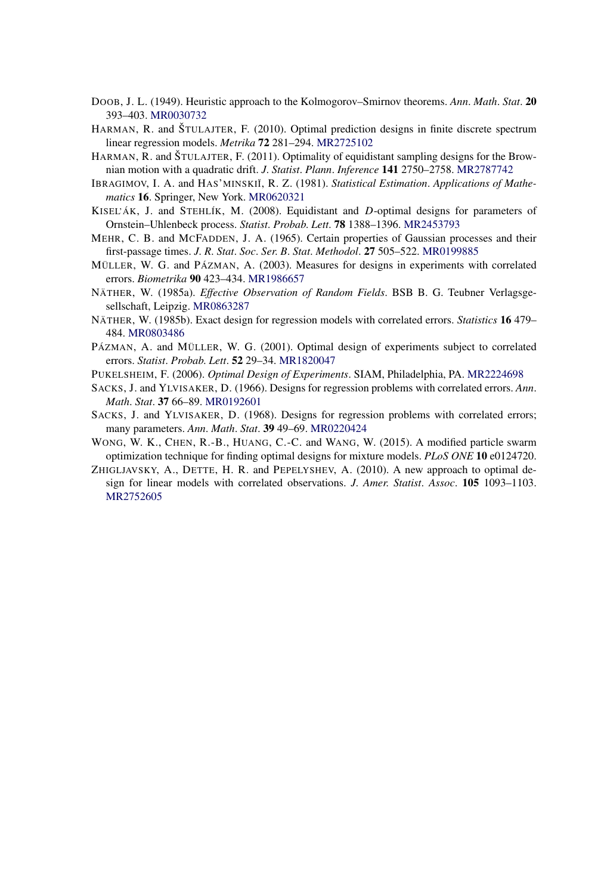- DOOB, J. L. (1949). Heuristic approach to the Kolmogorov–Smirnov theorems. *Ann*. *Math*. *Stat*. **20** 393–403. [MR0030732](http://www.ams.org/mathscinet-getitem?mr=0030732)
- HARMAN, R. and ŠTULAJTER, F. (2010). Optimal prediction designs in finite discrete spectrum linear regression models. *Metrika* **72** 281–294. [MR2725102](http://www.ams.org/mathscinet-getitem?mr=2725102)
- HARMAN, R. and ŠTULAJTER, F. (2011). Optimality of equidistant sampling designs for the Brownian motion with a quadratic drift. *J*. *Statist*. *Plann*. *Inference* **141** 2750–2758. [MR2787742](http://www.ams.org/mathscinet-getitem?mr=2787742)
- IBRAGIMOV, I. A. and HAS'MINSKIĬ, R. Z. (1981). *Statistical Estimation. Applications of Mathematics* **16**. Springer, New York. [MR0620321](http://www.ams.org/mathscinet-getitem?mr=0620321)
- KISEL'ÁK, J. and STEHLÍK, M. (2008). Equidistant and *D*-optimal designs for parameters of Ornstein–Uhlenbeck process. *Statist*. *Probab*. *Lett*. **78** 1388–1396. [MR2453793](http://www.ams.org/mathscinet-getitem?mr=2453793)
- MEHR, C. B. and MCFADDEN, J. A. (1965). Certain properties of Gaussian processes and their first-passage times. *J*. *R*. *Stat*. *Soc*. *Ser*. *B*. *Stat*. *Methodol*. **27** 505–522. [MR0199885](http://www.ams.org/mathscinet-getitem?mr=0199885)
- MÜLLER, W. G. and PÁZMAN, A. (2003). Measures for designs in experiments with correlated errors. *Biometrika* **90** 423–434. [MR1986657](http://www.ams.org/mathscinet-getitem?mr=1986657)
- NÄTHER, W. (1985a). *Effective Observation of Random Fields*. BSB B. G. Teubner Verlagsgesellschaft, Leipzig. [MR0863287](http://www.ams.org/mathscinet-getitem?mr=0863287)
- NÄTHER, W. (1985b). Exact design for regression models with correlated errors. *Statistics* **16** 479– 484. [MR0803486](http://www.ams.org/mathscinet-getitem?mr=0803486)
- PÁZMAN, A. and MÜLLER, W. G. (2001). Optimal design of experiments subject to correlated errors. *Statist*. *Probab*. *Lett*. **52** 29–34. [MR1820047](http://www.ams.org/mathscinet-getitem?mr=1820047)
- PUKELSHEIM, F. (2006). *Optimal Design of Experiments*. SIAM, Philadelphia, PA. [MR2224698](http://www.ams.org/mathscinet-getitem?mr=2224698)
- SACKS, J. and YLVISAKER, D. (1966). Designs for regression problems with correlated errors. *Ann*. *Math*. *Stat*. **37** 66–89. [MR0192601](http://www.ams.org/mathscinet-getitem?mr=0192601)
- SACKS, J. and YLVISAKER, D. (1968). Designs for regression problems with correlated errors; many parameters. *Ann*. *Math*. *Stat*. **39** 49–69. [MR0220424](http://www.ams.org/mathscinet-getitem?mr=0220424)
- WONG, W. K., CHEN, R.-B., HUANG, C.-C. and WANG, W. (2015). A modified particle swarm optimization technique for finding optimal designs for mixture models. *PLoS ONE* **10** e0124720.
- ZHIGLJAVSKY, A., DETTE, H. R. and PEPELYSHEV, A. (2010). A new approach to optimal design for linear models with correlated observations. *J*. *Amer*. *Statist*. *Assoc*. **105** 1093–1103. [MR2752605](http://www.ams.org/mathscinet-getitem?mr=2752605)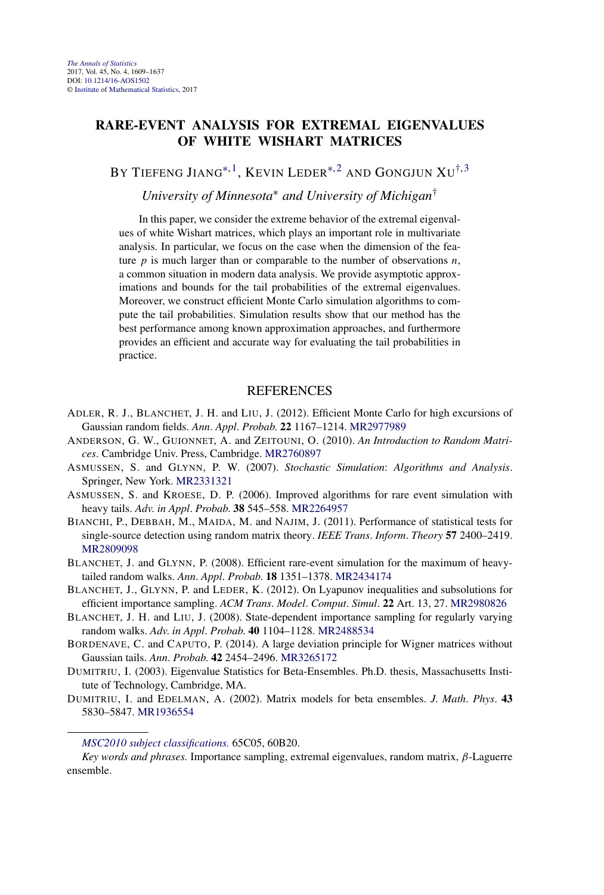## **RARE-EVENT ANALYSIS FOR EXTREMAL EIGENVALUES OF WHITE WISHART MATRICES**

BY TIEFENG JIANG<sup>\*, 1</sup>, KEVIN LEDER<sup>\*, 2</sup> AND GONGJUN  $XU^{\dagger,3}$ 

*University of Minnesota*<sup>∗</sup> *and University of Michigan*†

In this paper, we consider the extreme behavior of the extremal eigenvalues of white Wishart matrices, which plays an important role in multivariate analysis. In particular, we focus on the case when the dimension of the feature *p* is much larger than or comparable to the number of observations *n*, a common situation in modern data analysis. We provide asymptotic approximations and bounds for the tail probabilities of the extremal eigenvalues. Moreover, we construct efficient Monte Carlo simulation algorithms to compute the tail probabilities. Simulation results show that our method has the best performance among known approximation approaches, and furthermore provides an efficient and accurate way for evaluating the tail probabilities in practice.

#### REFERENCES

- ADLER, R. J., BLANCHET, J. H. and LIU, J. (2012). Efficient Monte Carlo for high excursions of Gaussian random fields. *Ann*. *Appl*. *Probab*. **22** 1167–1214. [MR2977989](http://www.ams.org/mathscinet-getitem?mr=2977989)
- ANDERSON, G. W., GUIONNET, A. and ZEITOUNI, O. (2010). *An Introduction to Random Matrices*. Cambridge Univ. Press, Cambridge. [MR2760897](http://www.ams.org/mathscinet-getitem?mr=2760897)
- ASMUSSEN, S. and GLYNN, P. W. (2007). *Stochastic Simulation*: *Algorithms and Analysis*. Springer, New York. [MR2331321](http://www.ams.org/mathscinet-getitem?mr=2331321)
- ASMUSSEN, S. and KROESE, D. P. (2006). Improved algorithms for rare event simulation with heavy tails. *Adv*. *in Appl*. *Probab*. **38** 545–558. [MR2264957](http://www.ams.org/mathscinet-getitem?mr=2264957)
- BIANCHI, P., DEBBAH, M., MAIDA, M. and NAJIM, J. (2011). Performance of statistical tests for single-source detection using random matrix theory. *IEEE Trans*. *Inform*. *Theory* **57** 2400–2419. [MR2809098](http://www.ams.org/mathscinet-getitem?mr=2809098)
- BLANCHET, J. and GLYNN, P. (2008). Efficient rare-event simulation for the maximum of heavytailed random walks. *Ann*. *Appl*. *Probab*. **18** 1351–1378. [MR2434174](http://www.ams.org/mathscinet-getitem?mr=2434174)
- BLANCHET, J., GLYNN, P. and LEDER, K. (2012). On Lyapunov inequalities and subsolutions for efficient importance sampling. *ACM Trans*. *Model*. *Comput*. *Simul*. **22** Art. 13, 27. [MR2980826](http://www.ams.org/mathscinet-getitem?mr=2980826)
- BLANCHET, J. H. and LIU, J. (2008). State-dependent importance sampling for regularly varying random walks. *Adv*. *in Appl*. *Probab*. **40** 1104–1128. [MR2488534](http://www.ams.org/mathscinet-getitem?mr=2488534)
- BORDENAVE, C. and CAPUTO, P. (2014). A large deviation principle for Wigner matrices without Gaussian tails. *Ann*. *Probab*. **42** 2454–2496. [MR3265172](http://www.ams.org/mathscinet-getitem?mr=3265172)
- DUMITRIU, I. (2003). Eigenvalue Statistics for Beta-Ensembles. Ph.D. thesis, Massachusetts Institute of Technology, Cambridge, MA.
- DUMITRIU, I. and EDELMAN, A. (2002). Matrix models for beta ensembles. *J*. *Math*. *Phys*. **43** 5830–5847. [MR1936554](http://www.ams.org/mathscinet-getitem?mr=1936554)

*Key words and phrases.* Importance sampling, extremal eigenvalues, random matrix, *β*-Laguerre ensemble.

*[MSC2010 subject classifications.](http://www.ams.org/mathscinet/msc/msc2010.html)* 65C05, 60B20.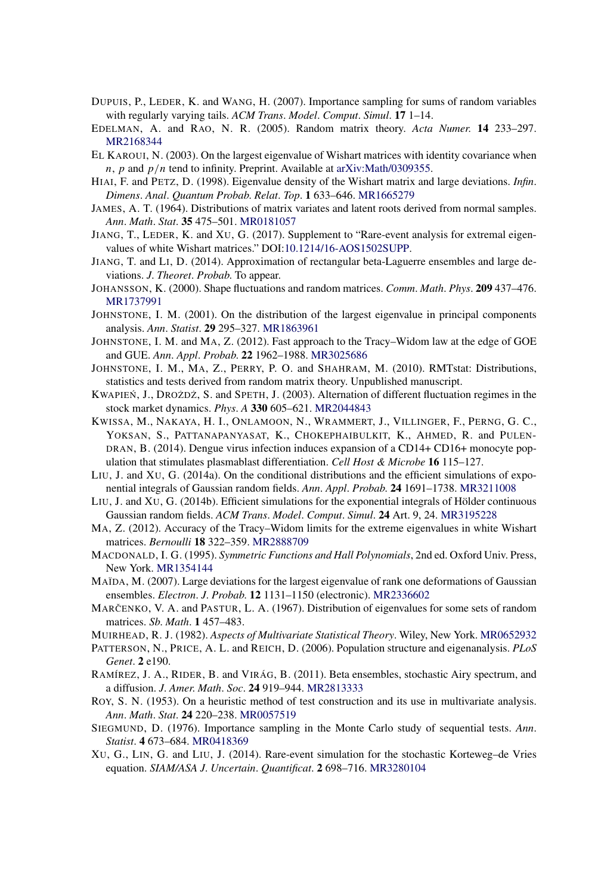- DUPUIS, P., LEDER, K. and WANG, H. (2007). Importance sampling for sums of random variables with regularly varying tails. *ACM Trans*. *Model*. *Comput*. *Simul*. **17** 1–14.
- EDELMAN, A. and RAO, N. R. (2005). Random matrix theory. *Acta Numer*. **14** 233–297. [MR2168344](http://www.ams.org/mathscinet-getitem?mr=2168344)
- EL KAROUI, N. (2003). On the largest eigenvalue of Wishart matrices with identity covariance when *n*, *p* and *p/n* tend to infinity. Preprint. Available at [arXiv:Math/0309355](http://arxiv.org/abs/arXiv:Math/0309355).
- HIAI, F. and PETZ, D. (1998). Eigenvalue density of the Wishart matrix and large deviations. *Infin*. *Dimens*. *Anal*. *Quantum Probab*. *Relat*. *Top*. **1** 633–646. [MR1665279](http://www.ams.org/mathscinet-getitem?mr=1665279)
- JAMES, A. T. (1964). Distributions of matrix variates and latent roots derived from normal samples. *Ann*. *Math*. *Stat*. **35** 475–501. [MR0181057](http://www.ams.org/mathscinet-getitem?mr=0181057)
- JIANG, T., LEDER, K. and XU, G. (2017). Supplement to "Rare-event analysis for extremal eigenvalues of white Wishart matrices." DOI[:10.1214/16-AOS1502SUPP](http://dx.doi.org/10.1214/16-AOS1502SUPP).
- JIANG, T. and LI, D. (2014). Approximation of rectangular beta-Laguerre ensembles and large deviations. *J*. *Theoret*. *Probab*. To appear.
- JOHANSSON, K. (2000). Shape fluctuations and random matrices. *Comm*. *Math*. *Phys*. **209** 437–476. [MR1737991](http://www.ams.org/mathscinet-getitem?mr=1737991)
- JOHNSTONE, I. M. (2001). On the distribution of the largest eigenvalue in principal components analysis. *Ann*. *Statist*. **29** 295–327. [MR1863961](http://www.ams.org/mathscinet-getitem?mr=1863961)
- JOHNSTONE, I. M. and MA, Z. (2012). Fast approach to the Tracy–Widom law at the edge of GOE and GUE. *Ann*. *Appl*. *Probab*. **22** 1962–1988. [MR3025686](http://www.ams.org/mathscinet-getitem?mr=3025686)
- JOHNSTONE, I. M., MA, Z., PERRY, P. O. and SHAHRAM, M. (2010). RMTstat: Distributions, statistics and tests derived from random matrix theory. Unpublished manuscript.
- KWAPIEŃ, J., DROŻDŻ, S. and SPETH, J. (2003). Alternation of different fluctuation regimes in the stock market dynamics. *Phys*. *A* **330** 605–621. [MR2044843](http://www.ams.org/mathscinet-getitem?mr=2044843)
- KWISSA, M., NAKAYA, H. I., ONLAMOON, N., WRAMMERT, J., VILLINGER, F., PERNG, G. C., YOKSAN, S., PATTANAPANYASAT, K., CHOKEPHAIBULKIT, K., AHMED, R. and PULEN-DRAN, B. (2014). Dengue virus infection induces expansion of a CD14+ CD16+ monocyte population that stimulates plasmablast differentiation. *Cell Host & Microbe* **16** 115–127.
- LIU, J. and XU, G. (2014a). On the conditional distributions and the efficient simulations of exponential integrals of Gaussian random fields. *Ann*. *Appl*. *Probab*. **24** 1691–1738. [MR3211008](http://www.ams.org/mathscinet-getitem?mr=3211008)
- LIU, J. and XU, G. (2014b). Efficient simulations for the exponential integrals of Hölder continuous Gaussian random fields. *ACM Trans*. *Model*. *Comput*. *Simul*. **24** Art. 9, 24. [MR3195228](http://www.ams.org/mathscinet-getitem?mr=3195228)
- MA, Z. (2012). Accuracy of the Tracy–Widom limits for the extreme eigenvalues in white Wishart matrices. *Bernoulli* **18** 322–359. [MR2888709](http://www.ams.org/mathscinet-getitem?mr=2888709)
- MACDONALD, I. G. (1995). *Symmetric Functions and Hall Polynomials*, 2nd ed. Oxford Univ. Press, New York. [MR1354144](http://www.ams.org/mathscinet-getitem?mr=1354144)
- MAÏDA, M. (2007). Large deviations for the largest eigenvalue of rank one deformations of Gaussian ensembles. *Electron*. *J*. *Probab*. **12** 1131–1150 (electronic). [MR2336602](http://www.ams.org/mathscinet-getitem?mr=2336602)
- MARCENKO, V. A. and PASTUR, L. A. (1967). Distribution of eigenvalues for some sets of random matrices. *Sb*. *Math*. **1** 457–483.
- MUIRHEAD, R. J. (1982). *Aspects of Multivariate Statistical Theory*. Wiley, New York. [MR0652932](http://www.ams.org/mathscinet-getitem?mr=0652932)
- PATTERSON, N., PRICE, A. L. and REICH, D. (2006). Population structure and eigenanalysis. *PLoS Genet*. **2** e190.
- RAMÍREZ, J. A., RIDER, B. and VIRÁG, B. (2011). Beta ensembles, stochastic Airy spectrum, and a diffusion. *J*. *Amer*. *Math*. *Soc*. **24** 919–944. [MR2813333](http://www.ams.org/mathscinet-getitem?mr=2813333)
- ROY, S. N. (1953). On a heuristic method of test construction and its use in multivariate analysis. *Ann*. *Math*. *Stat*. **24** 220–238. [MR0057519](http://www.ams.org/mathscinet-getitem?mr=0057519)
- SIEGMUND, D. (1976). Importance sampling in the Monte Carlo study of sequential tests. *Ann*. *Statist*. **4** 673–684. [MR0418369](http://www.ams.org/mathscinet-getitem?mr=0418369)
- XU, G., LIN, G. and LIU, J. (2014). Rare-event simulation for the stochastic Korteweg–de Vries equation. *SIAM/ASA J*. *Uncertain*. *Quantificat*. **2** 698–716. [MR3280104](http://www.ams.org/mathscinet-getitem?mr=3280104)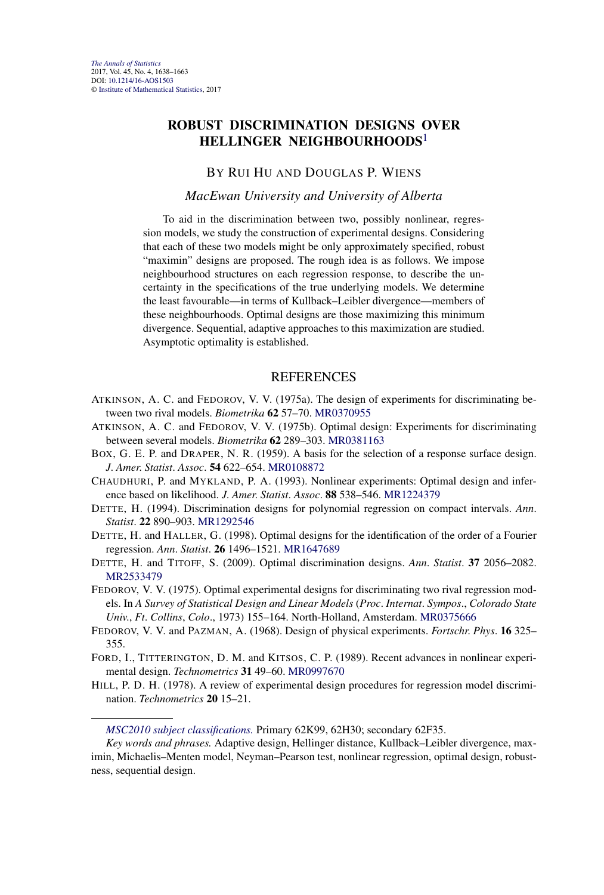## **ROBUST DISCRIMINATION DESIGNS OVER HELLINGER NEIGHBOURHOODS**<sup>1</sup>

#### BY RUI HU AND DOUGLAS P. WIENS

#### *MacEwan University and University of Alberta*

To aid in the discrimination between two, possibly nonlinear, regression models, we study the construction of experimental designs. Considering that each of these two models might be only approximately specified, robust "maximin" designs are proposed. The rough idea is as follows. We impose neighbourhood structures on each regression response, to describe the uncertainty in the specifications of the true underlying models. We determine the least favourable—in terms of Kullback–Leibler divergence—members of these neighbourhoods. Optimal designs are those maximizing this minimum divergence. Sequential, adaptive approaches to this maximization are studied. Asymptotic optimality is established.

- ATKINSON, A. C. and FEDOROV, V. V. (1975a). The design of experiments for discriminating between two rival models. *Biometrika* **62** 57–70. [MR0370955](http://www.ams.org/mathscinet-getitem?mr=0370955)
- ATKINSON, A. C. and FEDOROV, V. V. (1975b). Optimal design: Experiments for discriminating between several models. *Biometrika* **62** 289–303. [MR0381163](http://www.ams.org/mathscinet-getitem?mr=0381163)
- BOX, G. E. P. and DRAPER, N. R. (1959). A basis for the selection of a response surface design. *J*. *Amer*. *Statist*. *Assoc*. **54** 622–654. [MR0108872](http://www.ams.org/mathscinet-getitem?mr=0108872)
- CHAUDHURI, P. and MYKLAND, P. A. (1993). Nonlinear experiments: Optimal design and inference based on likelihood. *J*. *Amer*. *Statist*. *Assoc*. **88** 538–546. [MR1224379](http://www.ams.org/mathscinet-getitem?mr=1224379)
- DETTE, H. (1994). Discrimination designs for polynomial regression on compact intervals. *Ann*. *Statist*. **22** 890–903. [MR1292546](http://www.ams.org/mathscinet-getitem?mr=1292546)
- DETTE, H. and HALLER, G. (1998). Optimal designs for the identification of the order of a Fourier regression. *Ann*. *Statist*. **26** 1496–1521. [MR1647689](http://www.ams.org/mathscinet-getitem?mr=1647689)
- DETTE, H. and TITOFF, S. (2009). Optimal discrimination designs. *Ann*. *Statist*. **37** 2056–2082. [MR2533479](http://www.ams.org/mathscinet-getitem?mr=2533479)
- FEDOROV, V. V. (1975). Optimal experimental designs for discriminating two rival regression models. In *A Survey of Statistical Design and Linear Models* (*Proc*. *Internat*. *Sympos*., *Colorado State Univ*., *Ft*. *Collins*, *Colo*., 1973) 155–164. North-Holland, Amsterdam. [MR0375666](http://www.ams.org/mathscinet-getitem?mr=0375666)
- FEDOROV, V. V. and PAZMAN, A. (1968). Design of physical experiments. *Fortschr*. *Phys*. **16** 325– 355.
- FORD, I., TITTERINGTON, D. M. and KITSOS, C. P. (1989). Recent advances in nonlinear experimental design. *Technometrics* **31** 49–60. [MR0997670](http://www.ams.org/mathscinet-getitem?mr=0997670)
- HILL, P. D. H. (1978). A review of experimental design procedures for regression model discrimination. *Technometrics* **20** 15–21.

*[MSC2010 subject classifications.](http://www.ams.org/mathscinet/msc/msc2010.html)* Primary 62K99, 62H30; secondary 62F35.

*Key words and phrases.* Adaptive design, Hellinger distance, Kullback–Leibler divergence, maximin, Michaelis–Menten model, Neyman–Pearson test, nonlinear regression, optimal design, robustness, sequential design.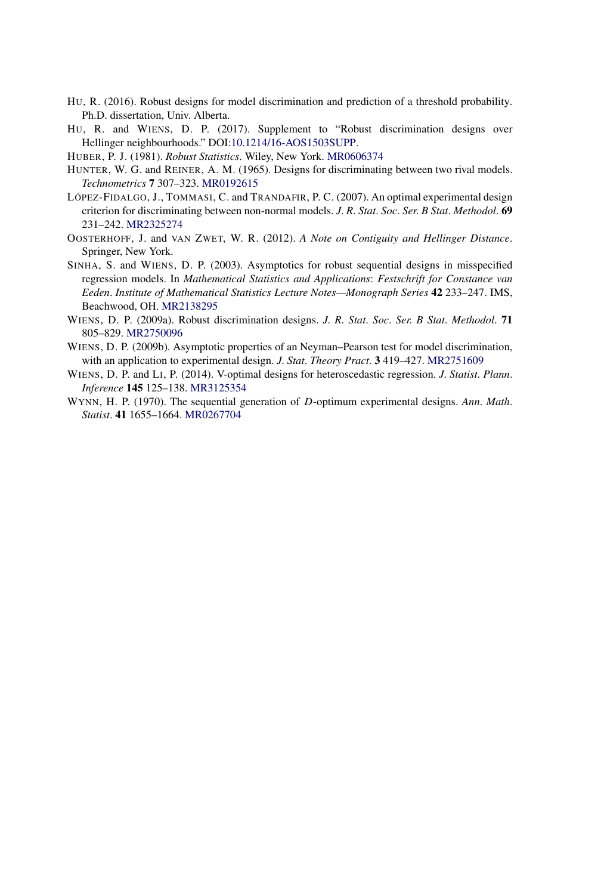- HU, R. (2016). Robust designs for model discrimination and prediction of a threshold probability. Ph.D. dissertation, Univ. Alberta.
- HU, R. and WIENS, D. P. (2017). Supplement to "Robust discrimination designs over Hellinger neighbourhoods." DOI[:10.1214/16-AOS1503SUPP.](http://dx.doi.org/10.1214/16-AOS1503SUPP)
- HUBER, P. J. (1981). *Robust Statistics*. Wiley, New York. [MR0606374](http://www.ams.org/mathscinet-getitem?mr=0606374)
- HUNTER, W. G. and REINER, A. M. (1965). Designs for discriminating between two rival models. *Technometrics* **7** 307–323. [MR0192615](http://www.ams.org/mathscinet-getitem?mr=0192615)
- LÓPEZ-FIDALGO, J., TOMMASI, C. and TRANDAFIR, P. C. (2007). An optimal experimental design criterion for discriminating between non-normal models. *J*. *R*. *Stat*. *Soc*. *Ser*. *B Stat*. *Methodol*. **69** 231–242. [MR2325274](http://www.ams.org/mathscinet-getitem?mr=2325274)
- OOSTERHOFF, J. and VAN ZWET, W. R. (2012). *A Note on Contiguity and Hellinger Distance*. Springer, New York.
- SINHA, S. and WIENS, D. P. (2003). Asymptotics for robust sequential designs in misspecified regression models. In *Mathematical Statistics and Applications*: *Festschrift for Constance van Eeden*. *Institute of Mathematical Statistics Lecture Notes—Monograph Series* **42** 233–247. IMS, Beachwood, OH. [MR2138295](http://www.ams.org/mathscinet-getitem?mr=2138295)
- WIENS, D. P. (2009a). Robust discrimination designs. *J*. *R*. *Stat*. *Soc*. *Ser*. *B Stat*. *Methodol*. **71** 805–829. [MR2750096](http://www.ams.org/mathscinet-getitem?mr=2750096)
- WIENS, D. P. (2009b). Asymptotic properties of an Neyman–Pearson test for model discrimination, with an application to experimental design. *J*. *Stat*. *Theory Pract*. **3** 419–427. [MR2751609](http://www.ams.org/mathscinet-getitem?mr=2751609)
- WIENS, D. P. and LI, P. (2014). V-optimal designs for heteroscedastic regression. *J*. *Statist*. *Plann*. *Inference* **145** 125–138. [MR3125354](http://www.ams.org/mathscinet-getitem?mr=3125354)
- WYNN, H. P. (1970). The sequential generation of *D*-optimum experimental designs. *Ann*. *Math*. *Statist*. **41** 1655–1664. [MR0267704](http://www.ams.org/mathscinet-getitem?mr=0267704)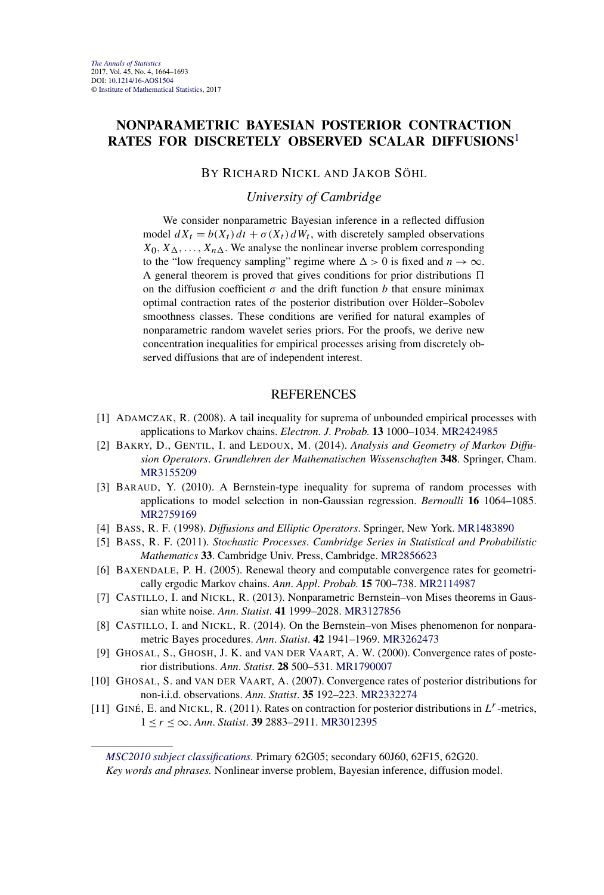## **NONPARAMETRIC BAYESIAN POSTERIOR CONTRACTION RATES FOR DISCRETELY OBSERVED SCALAR DIFFUSIONS**<sup>1</sup>

#### BY RICHARD NICKL AND JAKOB SÖHL

*University of Cambridge*

We consider nonparametric Bayesian inference in a reflected diffusion model  $dX_t = b(X_t) dt + \sigma(X_t) dW_t$ , with discretely sampled observations  $X_0, X_\Delta, \ldots, X_{n\Delta}$ . We analyse the nonlinear inverse problem corresponding to the "low frequency sampling" regime where  $\Delta > 0$  is fixed and  $n \to \infty$ . A general theorem is proved that gives conditions for prior distributions  on the diffusion coefficient  $\sigma$  and the drift function *b* that ensure minimax optimal contraction rates of the posterior distribution over Hölder–Sobolev smoothness classes. These conditions are verified for natural examples of nonparametric random wavelet series priors. For the proofs, we derive new concentration inequalities for empirical processes arising from discretely observed diffusions that are of independent interest.

#### **REFERENCES**

- [1] ADAMCZAK, R. (2008). A tail inequality for suprema of unbounded empirical processes with applications to Markov chains. *Electron*. *J*. *Probab*. **13** 1000–1034. [MR2424985](http://www.ams.org/mathscinet-getitem?mr=2424985)
- [2] BAKRY, D., GENTIL, I. and LEDOUX, M. (2014). *Analysis and Geometry of Markov Diffusion Operators*. *Grundlehren der Mathematischen Wissenschaften* **348**. Springer, Cham. [MR3155209](http://www.ams.org/mathscinet-getitem?mr=3155209)
- [3] BARAUD, Y. (2010). A Bernstein-type inequality for suprema of random processes with applications to model selection in non-Gaussian regression. *Bernoulli* **16** 1064–1085. [MR2759169](http://www.ams.org/mathscinet-getitem?mr=2759169)
- [4] BASS, R. F. (1998). *Diffusions and Elliptic Operators*. Springer, New York. [MR1483890](http://www.ams.org/mathscinet-getitem?mr=1483890)
- [5] BASS, R. F. (2011). *Stochastic Processes*. *Cambridge Series in Statistical and Probabilistic Mathematics* **33**. Cambridge Univ. Press, Cambridge. [MR2856623](http://www.ams.org/mathscinet-getitem?mr=2856623)
- [6] BAXENDALE, P. H. (2005). Renewal theory and computable convergence rates for geometrically ergodic Markov chains. *Ann*. *Appl*. *Probab*. **15** 700–738. [MR2114987](http://www.ams.org/mathscinet-getitem?mr=2114987)
- [7] CASTILLO, I. and NICKL, R. (2013). Nonparametric Bernstein–von Mises theorems in Gaussian white noise. *Ann*. *Statist*. **41** 1999–2028. [MR3127856](http://www.ams.org/mathscinet-getitem?mr=3127856)
- [8] CASTILLO, I. and NICKL, R. (2014). On the Bernstein–von Mises phenomenon for nonparametric Bayes procedures. *Ann*. *Statist*. **42** 1941–1969. [MR3262473](http://www.ams.org/mathscinet-getitem?mr=3262473)
- [9] GHOSAL, S., GHOSH, J. K. and VAN DER VAART, A. W. (2000). Convergence rates of posterior distributions. *Ann*. *Statist*. **28** 500–531. [MR1790007](http://www.ams.org/mathscinet-getitem?mr=1790007)
- [10] GHOSAL, S. and VAN DER VAART, A. (2007). Convergence rates of posterior distributions for non-i.i.d. observations. *Ann*. *Statist*. **35** 192–223. [MR2332274](http://www.ams.org/mathscinet-getitem?mr=2332274)
- [11] GINÉ, E. and NICKL, R. (2011). Rates on contraction for posterior distributions in *Lr*-metrics, 1 ≤ *r* ≤ ∞. *Ann*. *Statist*. **39** 2883–2911. [MR3012395](http://www.ams.org/mathscinet-getitem?mr=3012395)

*[MSC2010 subject classifications.](http://www.ams.org/mathscinet/msc/msc2010.html)* Primary 62G05; secondary 60J60, 62F15, 62G20. *Key words and phrases.* Nonlinear inverse problem, Bayesian inference, diffusion model.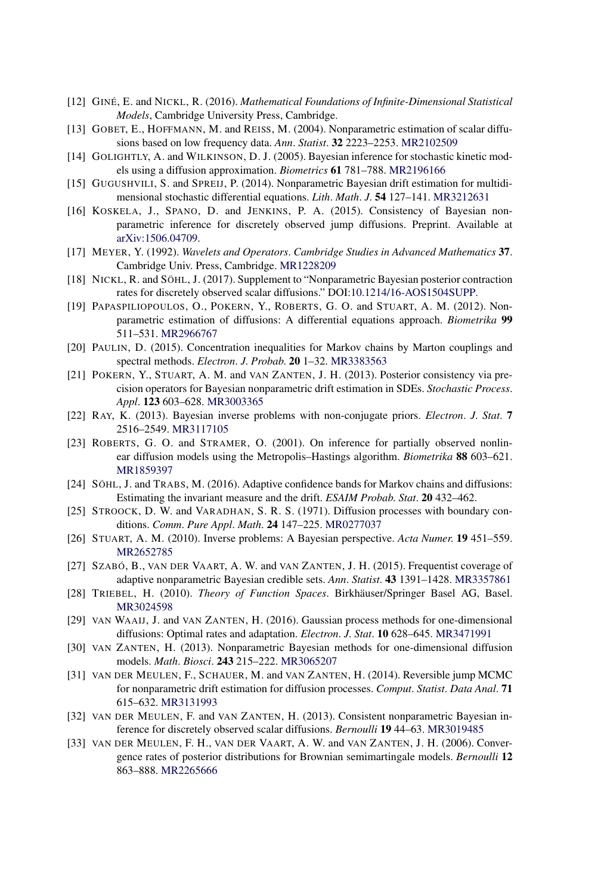- [12] GINÉ, E. and NICKL, R. (2016). *Mathematical Foundations of Infinite-Dimensional Statistical Models*, Cambridge University Press, Cambridge.
- [13] GOBET, E., HOFFMANN, M. and REISS, M. (2004). Nonparametric estimation of scalar diffusions based on low frequency data. *Ann*. *Statist*. **32** 2223–2253. [MR2102509](http://www.ams.org/mathscinet-getitem?mr=2102509)
- [14] GOLIGHTLY, A. and WILKINSON, D. J. (2005). Bayesian inference for stochastic kinetic models using a diffusion approximation. *Biometrics* **61** 781–788. [MR2196166](http://www.ams.org/mathscinet-getitem?mr=2196166)
- [15] GUGUSHVILI, S. and SPREIJ, P. (2014). Nonparametric Bayesian drift estimation for multidimensional stochastic differential equations. *Lith*. *Math*. *J*. **54** 127–141. [MR3212631](http://www.ams.org/mathscinet-getitem?mr=3212631)
- [16] KOSKELA, J., SPANO, D. and JENKINS, P. A. (2015). Consistency of Bayesian nonparametric inference for discretely observed jump diffusions. Preprint. Available at [arXiv:1506.04709](http://arxiv.org/abs/arXiv:1506.04709).
- [17] MEYER, Y. (1992). *Wavelets and Operators*. *Cambridge Studies in Advanced Mathematics* **37**. Cambridge Univ. Press, Cambridge. [MR1228209](http://www.ams.org/mathscinet-getitem?mr=1228209)
- [18] NICKL, R. and SÖHL, J. (2017). Supplement to "Nonparametric Bayesian posterior contraction rates for discretely observed scalar diffusions." DOI[:10.1214/16-AOS1504SUPP.](http://dx.doi.org/10.1214/16-AOS1504SUPP)
- [19] PAPASPILIOPOULOS, O., POKERN, Y., ROBERTS, G. O. and STUART, A. M. (2012). Nonparametric estimation of diffusions: A differential equations approach. *Biometrika* **99** 511–531. [MR2966767](http://www.ams.org/mathscinet-getitem?mr=2966767)
- [20] PAULIN, D. (2015). Concentration inequalities for Markov chains by Marton couplings and spectral methods. *Electron*. *J*. *Probab*. **20** 1–32. [MR3383563](http://www.ams.org/mathscinet-getitem?mr=3383563)
- [21] POKERN, Y., STUART, A. M. and VAN ZANTEN, J. H. (2013). Posterior consistency via precision operators for Bayesian nonparametric drift estimation in SDEs. *Stochastic Process*. *Appl*. **123** 603–628. [MR3003365](http://www.ams.org/mathscinet-getitem?mr=3003365)
- [22] RAY, K. (2013). Bayesian inverse problems with non-conjugate priors. *Electron*. *J*. *Stat*. **7** 2516–2549. [MR3117105](http://www.ams.org/mathscinet-getitem?mr=3117105)
- [23] ROBERTS, G. O. and STRAMER, O. (2001). On inference for partially observed nonlinear diffusion models using the Metropolis–Hastings algorithm. *Biometrika* **88** 603–621. [MR1859397](http://www.ams.org/mathscinet-getitem?mr=1859397)
- [24] SÖHL, J. and TRABS, M. (2016). Adaptive confidence bands for Markov chains and diffusions: Estimating the invariant measure and the drift. *ESAIM Probab*. *Stat*. **20** 432–462.
- [25] STROOCK, D. W. and VARADHAN, S. R. S. (1971). Diffusion processes with boundary conditions. *Comm*. *Pure Appl*. *Math*. **24** 147–225. [MR0277037](http://www.ams.org/mathscinet-getitem?mr=0277037)
- [26] STUART, A. M. (2010). Inverse problems: A Bayesian perspective. *Acta Numer*. **19** 451–559. [MR2652785](http://www.ams.org/mathscinet-getitem?mr=2652785)
- [27] SZABÓ, B., VAN DER VAART, A. W. and VAN ZANTEN, J. H. (2015). Frequentist coverage of adaptive nonparametric Bayesian credible sets. *Ann*. *Statist*. **43** 1391–1428. [MR3357861](http://www.ams.org/mathscinet-getitem?mr=3357861)
- [28] TRIEBEL, H. (2010). *Theory of Function Spaces*. Birkhäuser/Springer Basel AG, Basel. [MR3024598](http://www.ams.org/mathscinet-getitem?mr=3024598)
- [29] VAN WAAIJ, J. and VAN ZANTEN, H. (2016). Gaussian process methods for one-dimensional diffusions: Optimal rates and adaptation. *Electron*. *J*. *Stat*. **10** 628–645. [MR3471991](http://www.ams.org/mathscinet-getitem?mr=3471991)
- [30] VAN ZANTEN, H. (2013). Nonparametric Bayesian methods for one-dimensional diffusion models. *Math*. *Biosci*. **243** 215–222. [MR3065207](http://www.ams.org/mathscinet-getitem?mr=3065207)
- [31] VAN DER MEULEN, F., SCHAUER, M. and VAN ZANTEN, H. (2014). Reversible jump MCMC for nonparametric drift estimation for diffusion processes. *Comput*. *Statist*. *Data Anal*. **71** 615–632. [MR3131993](http://www.ams.org/mathscinet-getitem?mr=3131993)
- [32] VAN DER MEULEN, F. and VAN ZANTEN, H. (2013). Consistent nonparametric Bayesian inference for discretely observed scalar diffusions. *Bernoulli* **19** 44–63. [MR3019485](http://www.ams.org/mathscinet-getitem?mr=3019485)
- [33] VAN DER MEULEN, F. H., VAN DER VAART, A. W. and VAN ZANTEN, J. H. (2006). Convergence rates of posterior distributions for Brownian semimartingale models. *Bernoulli* **12** 863–888. [MR2265666](http://www.ams.org/mathscinet-getitem?mr=2265666)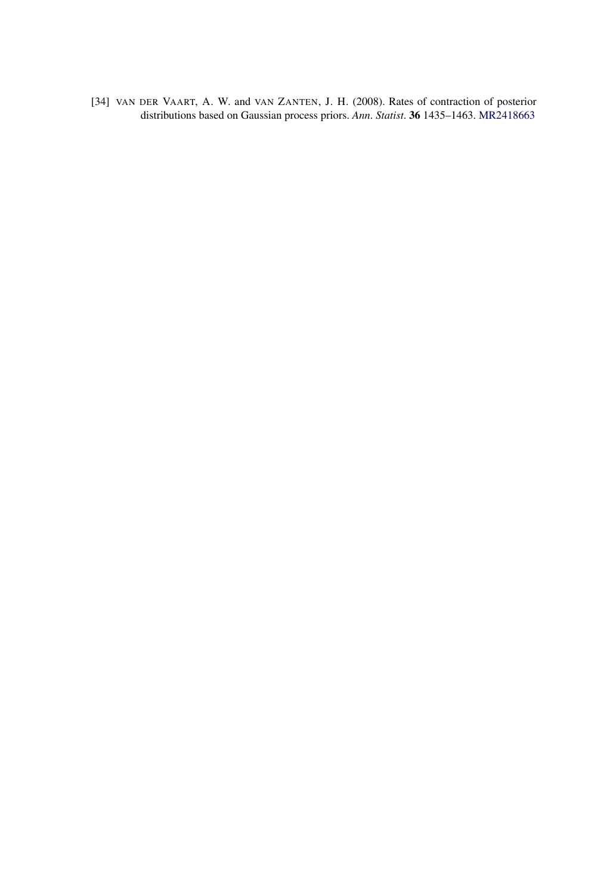[34] VAN DER VAART, A. W. and VAN ZANTEN, J. H. (2008). Rates of contraction of posterior distributions based on Gaussian process priors. *Ann*. *Statist*. **36** 1435–1463. [MR2418663](http://www.ams.org/mathscinet-getitem?mr=2418663)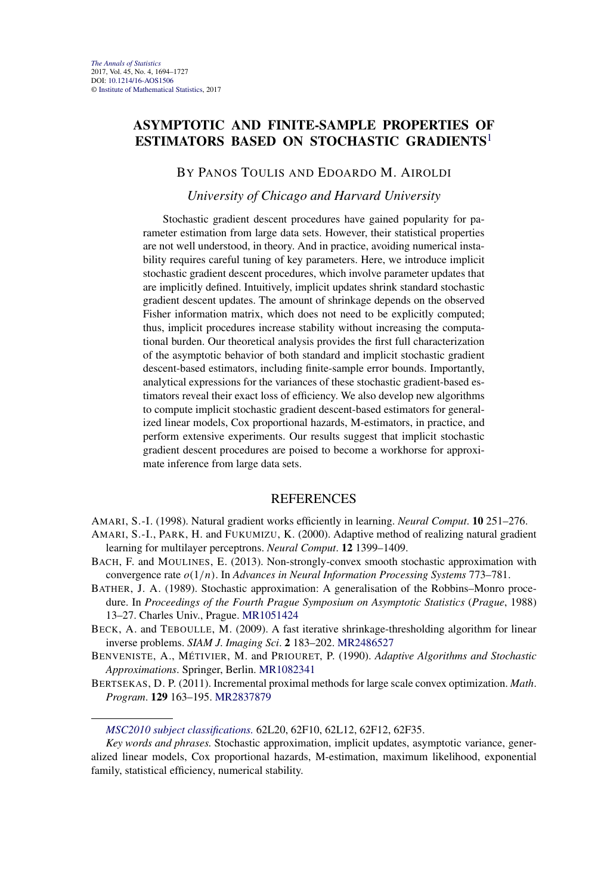## **ASYMPTOTIC AND FINITE-SAMPLE PROPERTIES OF ESTIMATORS BASED ON STOCHASTIC GRADIENTS**<sup>1</sup>

#### BY PANOS TOULIS AND EDOARDO M. AIROLDI

#### *University of Chicago and Harvard University*

Stochastic gradient descent procedures have gained popularity for parameter estimation from large data sets. However, their statistical properties are not well understood, in theory. And in practice, avoiding numerical instability requires careful tuning of key parameters. Here, we introduce implicit stochastic gradient descent procedures, which involve parameter updates that are implicitly defined. Intuitively, implicit updates shrink standard stochastic gradient descent updates. The amount of shrinkage depends on the observed Fisher information matrix, which does not need to be explicitly computed; thus, implicit procedures increase stability without increasing the computational burden. Our theoretical analysis provides the first full characterization of the asymptotic behavior of both standard and implicit stochastic gradient descent-based estimators, including finite-sample error bounds. Importantly, analytical expressions for the variances of these stochastic gradient-based estimators reveal their exact loss of efficiency. We also develop new algorithms to compute implicit stochastic gradient descent-based estimators for generalized linear models, Cox proportional hazards, M-estimators, in practice, and perform extensive experiments. Our results suggest that implicit stochastic gradient descent procedures are poised to become a workhorse for approximate inference from large data sets.

#### **REFERENCES**

AMARI, S.-I. (1998). Natural gradient works efficiently in learning. *Neural Comput*. **10** 251–276.

- AMARI, S.-I., PARK, H. and FUKUMIZU, K. (2000). Adaptive method of realizing natural gradient learning for multilayer perceptrons. *Neural Comput*. **12** 1399–1409.
- BACH, F. and MOULINES, E. (2013). Non-strongly-convex smooth stochastic approximation with convergence rate *o(*1*/n)*. In *Advances in Neural Information Processing Systems* 773–781.
- BATHER, J. A. (1989). Stochastic approximation: A generalisation of the Robbins–Monro procedure. In *Proceedings of the Fourth Prague Symposium on Asymptotic Statistics* (*Prague*, 1988) 13–27. Charles Univ., Prague. [MR1051424](http://www.ams.org/mathscinet-getitem?mr=1051424)
- BECK, A. and TEBOULLE, M. (2009). A fast iterative shrinkage-thresholding algorithm for linear inverse problems. *SIAM J*. *Imaging Sci*. **2** 183–202. [MR2486527](http://www.ams.org/mathscinet-getitem?mr=2486527)
- BENVENISTE, A., MÉTIVIER, M. and PRIOURET, P. (1990). *Adaptive Algorithms and Stochastic Approximations*. Springer, Berlin. [MR1082341](http://www.ams.org/mathscinet-getitem?mr=1082341)
- BERTSEKAS, D. P. (2011). Incremental proximal methods for large scale convex optimization. *Math*. *Program*. **129** 163–195. [MR2837879](http://www.ams.org/mathscinet-getitem?mr=2837879)

*[MSC2010 subject classifications.](http://www.ams.org/mathscinet/msc/msc2010.html)* 62L20, 62F10, 62L12, 62F12, 62F35.

*Key words and phrases.* Stochastic approximation, implicit updates, asymptotic variance, generalized linear models, Cox proportional hazards, M-estimation, maximum likelihood, exponential family, statistical efficiency, numerical stability.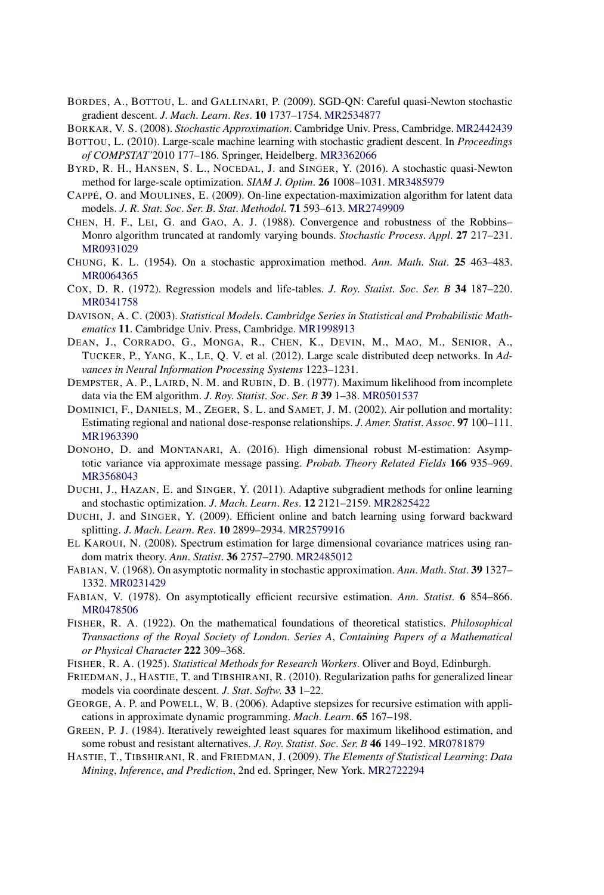- BORDES, A., BOTTOU, L. and GALLINARI, P. (2009). SGD-QN: Careful quasi-Newton stochastic gradient descent. *J*. *Mach*. *Learn*. *Res*. **10** 1737–1754. [MR2534877](http://www.ams.org/mathscinet-getitem?mr=2534877)
- BORKAR, V. S. (2008). *Stochastic Approximation*. Cambridge Univ. Press, Cambridge. [MR2442439](http://www.ams.org/mathscinet-getitem?mr=2442439)
- BOTTOU, L. (2010). Large-scale machine learning with stochastic gradient descent. In *Proceedings of COMPSTAT'*2010 177–186. Springer, Heidelberg. [MR3362066](http://www.ams.org/mathscinet-getitem?mr=3362066)
- BYRD, R. H., HANSEN, S. L., NOCEDAL, J. and SINGER, Y. (2016). A stochastic quasi-Newton method for large-scale optimization. *SIAM J*. *Optim*. **26** 1008–1031. [MR3485979](http://www.ams.org/mathscinet-getitem?mr=3485979)
- CAPPÉ, O. and MOULINES, E. (2009). On-line expectation-maximization algorithm for latent data models. *J*. *R*. *Stat*. *Soc*. *Ser*. *B*. *Stat*. *Methodol*. **71** 593–613. [MR2749909](http://www.ams.org/mathscinet-getitem?mr=2749909)
- CHEN, H. F., LEI, G. and GAO, A. J. (1988). Convergence and robustness of the Robbins– Monro algorithm truncated at randomly varying bounds. *Stochastic Process*. *Appl*. **27** 217–231. [MR0931029](http://www.ams.org/mathscinet-getitem?mr=0931029)
- CHUNG, K. L. (1954). On a stochastic approximation method. *Ann*. *Math*. *Stat*. **25** 463–483. [MR0064365](http://www.ams.org/mathscinet-getitem?mr=0064365)
- COX, D. R. (1972). Regression models and life-tables. *J*. *Roy*. *Statist*. *Soc*. *Ser*. *B* **34** 187–220. [MR0341758](http://www.ams.org/mathscinet-getitem?mr=0341758)
- DAVISON, A. C. (2003). *Statistical Models*. *Cambridge Series in Statistical and Probabilistic Mathematics* **11**. Cambridge Univ. Press, Cambridge. [MR1998913](http://www.ams.org/mathscinet-getitem?mr=1998913)
- DEAN, J., CORRADO, G., MONGA, R., CHEN, K., DEVIN, M., MAO, M., SENIOR, A., TUCKER, P., YANG, K., LE, Q. V. et al. (2012). Large scale distributed deep networks. In *Advances in Neural Information Processing Systems* 1223–1231.
- DEMPSTER, A. P., LAIRD, N. M. and RUBIN, D. B. (1977). Maximum likelihood from incomplete data via the EM algorithm. *J*. *Roy*. *Statist*. *Soc*. *Ser*. *B* **39** 1–38. [MR0501537](http://www.ams.org/mathscinet-getitem?mr=0501537)
- DOMINICI, F., DANIELS, M., ZEGER, S. L. and SAMET, J. M. (2002). Air pollution and mortality: Estimating regional and national dose-response relationships. *J*. *Amer*. *Statist*. *Assoc*. **97** 100–111. [MR1963390](http://www.ams.org/mathscinet-getitem?mr=1963390)
- DONOHO, D. and MONTANARI, A. (2016). High dimensional robust M-estimation: Asymptotic variance via approximate message passing. *Probab*. *Theory Related Fields* **166** 935–969. [MR3568043](http://www.ams.org/mathscinet-getitem?mr=3568043)
- DUCHI, J., HAZAN, E. and SINGER, Y. (2011). Adaptive subgradient methods for online learning and stochastic optimization. *J*. *Mach*. *Learn*. *Res*. **12** 2121–2159. [MR2825422](http://www.ams.org/mathscinet-getitem?mr=2825422)
- DUCHI, J. and SINGER, Y. (2009). Efficient online and batch learning using forward backward splitting. *J*. *Mach*. *Learn*. *Res*. **10** 2899–2934. [MR2579916](http://www.ams.org/mathscinet-getitem?mr=2579916)
- EL KAROUI, N. (2008). Spectrum estimation for large dimensional covariance matrices using random matrix theory. *Ann*. *Statist*. **36** 2757–2790. [MR2485012](http://www.ams.org/mathscinet-getitem?mr=2485012)
- FABIAN, V. (1968). On asymptotic normality in stochastic approximation. *Ann*. *Math*. *Stat*. **39** 1327– 1332. [MR0231429](http://www.ams.org/mathscinet-getitem?mr=0231429)
- FABIAN, V. (1978). On asymptotically efficient recursive estimation. *Ann*. *Statist*. **6** 854–866. [MR0478506](http://www.ams.org/mathscinet-getitem?mr=0478506)
- FISHER, R. A. (1922). On the mathematical foundations of theoretical statistics. *Philosophical Transactions of the Royal Society of London*. *Series A*, *Containing Papers of a Mathematical or Physical Character* **222** 309–368.
- FISHER, R. A. (1925). *Statistical Methods for Research Workers*. Oliver and Boyd, Edinburgh.
- FRIEDMAN, J., HASTIE, T. and TIBSHIRANI, R. (2010). Regularization paths for generalized linear models via coordinate descent. *J*. *Stat*. *Softw*. **33** 1–22.
- GEORGE, A. P. and POWELL, W. B. (2006). Adaptive stepsizes for recursive estimation with applications in approximate dynamic programming. *Mach*. *Learn*. **65** 167–198.
- GREEN, P. J. (1984). Iteratively reweighted least squares for maximum likelihood estimation, and some robust and resistant alternatives. *J*. *Roy*. *Statist*. *Soc*. *Ser*. *B* **46** 149–192. [MR0781879](http://www.ams.org/mathscinet-getitem?mr=0781879)
- HASTIE, T., TIBSHIRANI, R. and FRIEDMAN, J. (2009). *The Elements of Statistical Learning*: *Data Mining*, *Inference*, *and Prediction*, 2nd ed. Springer, New York. [MR2722294](http://www.ams.org/mathscinet-getitem?mr=2722294)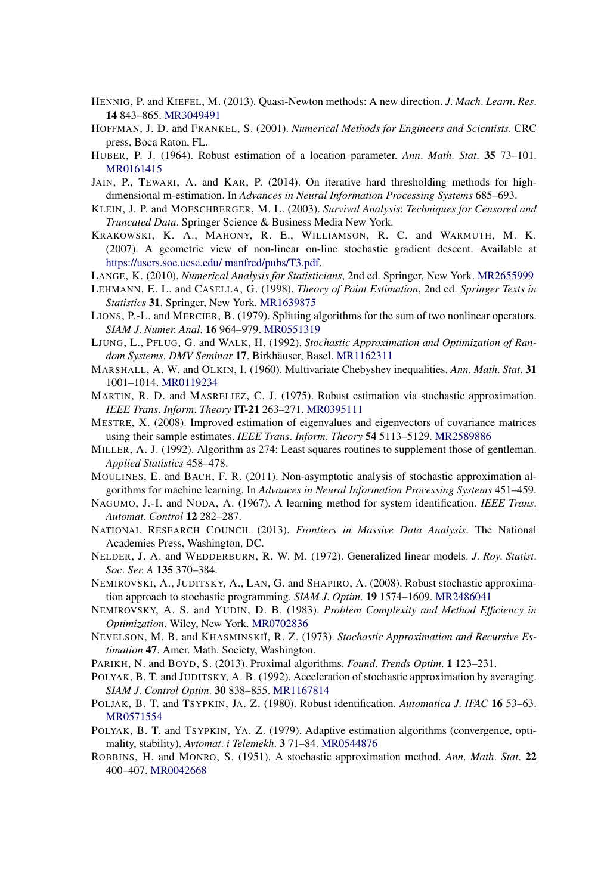- HENNIG, P. and KIEFEL, M. (2013). Quasi-Newton methods: A new direction. *J*. *Mach*. *Learn*. *Res*. **14** 843–865. [MR3049491](http://www.ams.org/mathscinet-getitem?mr=3049491)
- HOFFMAN, J. D. and FRANKEL, S. (2001). *Numerical Methods for Engineers and Scientists*. CRC press, Boca Raton, FL.
- HUBER, P. J. (1964). Robust estimation of a location parameter. *Ann*. *Math*. *Stat*. **35** 73–101. [MR0161415](http://www.ams.org/mathscinet-getitem?mr=0161415)
- JAIN, P., TEWARI, A. and KAR, P. (2014). On iterative hard thresholding methods for highdimensional m-estimation. In *Advances in Neural Information Processing Systems* 685–693.
- KLEIN, J. P. and MOESCHBERGER, M. L. (2003). *Survival Analysis*: *Techniques for Censored and Truncated Data*. Springer Science & Business Media New York.
- KRAKOWSKI, K. A., MAHONY, R. E., WILLIAMSON, R. C. and WARMUTH, M. K. (2007). A geometric view of non-linear on-line stochastic gradient descent. Available at [https://users.soe.ucsc.edu/ manfred/pubs/T3.pdf.](https://users.soe.ucsc.edu/~manfred/pubs/T3.pdf)
- LANGE, K. (2010). *Numerical Analysis for Statisticians*, 2nd ed. Springer, New York. [MR2655999](http://www.ams.org/mathscinet-getitem?mr=2655999)
- LEHMANN, E. L. and CASELLA, G. (1998). *Theory of Point Estimation*, 2nd ed. *Springer Texts in Statistics* **31**. Springer, New York. [MR1639875](http://www.ams.org/mathscinet-getitem?mr=1639875)
- LIONS, P.-L. and MERCIER, B. (1979). Splitting algorithms for the sum of two nonlinear operators. *SIAM J*. *Numer*. *Anal*. **16** 964–979. [MR0551319](http://www.ams.org/mathscinet-getitem?mr=0551319)
- LJUNG, L., PFLUG, G. and WALK, H. (1992). *Stochastic Approximation and Optimization of Random Systems*. *DMV Seminar* **17**. Birkhäuser, Basel. [MR1162311](http://www.ams.org/mathscinet-getitem?mr=1162311)
- MARSHALL, A. W. and OLKIN, I. (1960). Multivariate Chebyshev inequalities. *Ann*. *Math*. *Stat*. **31** 1001–1014. [MR0119234](http://www.ams.org/mathscinet-getitem?mr=0119234)
- MARTIN, R. D. and MASRELIEZ, C. J. (1975). Robust estimation via stochastic approximation. *IEEE Trans*. *Inform*. *Theory* **IT-21** 263–271. [MR0395111](http://www.ams.org/mathscinet-getitem?mr=0395111)
- MESTRE, X. (2008). Improved estimation of eigenvalues and eigenvectors of covariance matrices using their sample estimates. *IEEE Trans*. *Inform*. *Theory* **54** 5113–5129. [MR2589886](http://www.ams.org/mathscinet-getitem?mr=2589886)
- MILLER, A. J. (1992). Algorithm as 274: Least squares routines to supplement those of gentleman. *Applied Statistics* 458–478.
- MOULINES, E. and BACH, F. R. (2011). Non-asymptotic analysis of stochastic approximation algorithms for machine learning. In *Advances in Neural Information Processing Systems* 451–459.
- NAGUMO, J.-I. and NODA, A. (1967). A learning method for system identification. *IEEE Trans*. *Automat*. *Control* **12** 282–287.
- NATIONAL RESEARCH COUNCIL (2013). *Frontiers in Massive Data Analysis*. The National Academies Press, Washington, DC.
- NELDER, J. A. and WEDDERBURN, R. W. M. (1972). Generalized linear models. *J*. *Roy*. *Statist*. *Soc*. *Ser*. *A* **135** 370–384.
- NEMIROVSKI, A., JUDITSKY, A., LAN, G. and SHAPIRO, A. (2008). Robust stochastic approximation approach to stochastic programming. *SIAM J*. *Optim*. **19** 1574–1609. [MR2486041](http://www.ams.org/mathscinet-getitem?mr=2486041)
- NEMIROVSKY, A. S. and YUDIN, D. B. (1983). *Problem Complexity and Method Efficiency in Optimization*. Wiley, New York. [MR0702836](http://www.ams.org/mathscinet-getitem?mr=0702836)
- NEVELSON, M. B. and KHASMINSKI<sup>I</sup>, R. Z. (1973). *Stochastic Approximation and Recursive Estimation* **47**. Amer. Math. Society, Washington.
- PARIKH, N. and BOYD, S. (2013). Proximal algorithms. *Found*. *Trends Optim*. **1** 123–231.
- POLYAK, B. T. and JUDITSKY, A. B. (1992). Acceleration of stochastic approximation by averaging. *SIAM J*. *Control Optim*. **30** 838–855. [MR1167814](http://www.ams.org/mathscinet-getitem?mr=1167814)
- POLJAK, B. T. and TSYPKIN, JA. Z. (1980). Robust identification. *Automatica J*. *IFAC* **16** 53–63. [MR0571554](http://www.ams.org/mathscinet-getitem?mr=0571554)
- POLYAK, B. T. and TSYPKIN, YA. Z. (1979). Adaptive estimation algorithms (convergence, optimality, stability). *Avtomat*. *i Telemekh*. **3** 71–84. [MR0544876](http://www.ams.org/mathscinet-getitem?mr=0544876)
- ROBBINS, H. and MONRO, S. (1951). A stochastic approximation method. *Ann*. *Math*. *Stat*. **22** 400–407. [MR0042668](http://www.ams.org/mathscinet-getitem?mr=0042668)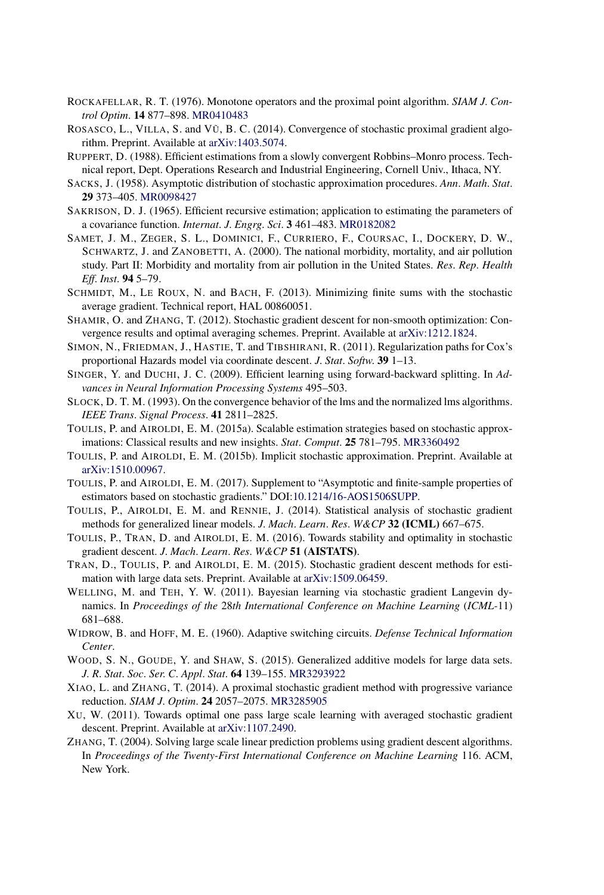- ROCKAFELLAR, R. T. (1976). Monotone operators and the proximal point algorithm. *SIAM J*. *Control Optim*. **14** 877–898. [MR0410483](http://www.ams.org/mathscinet-getitem?mr=0410483)
- ROSASCO, L., VILLA, S. and VŨ, B. C. (2014). Convergence of stochastic proximal gradient algorithm. Preprint. Available at [arXiv:1403.5074.](http://arxiv.org/abs/arXiv:1403.5074)
- RUPPERT, D. (1988). Efficient estimations from a slowly convergent Robbins–Monro process. Technical report, Dept. Operations Research and Industrial Engineering, Cornell Univ., Ithaca, NY.
- SACKS, J. (1958). Asymptotic distribution of stochastic approximation procedures. *Ann*. *Math*. *Stat*. **29** 373–405. [MR0098427](http://www.ams.org/mathscinet-getitem?mr=0098427)
- SAKRISON, D. J. (1965). Efficient recursive estimation; application to estimating the parameters of a covariance function. *Internat*. *J*. *Engrg*. *Sci*. **3** 461–483. [MR0182082](http://www.ams.org/mathscinet-getitem?mr=0182082)
- SAMET, J. M., ZEGER, S. L., DOMINICI, F., CURRIERO, F., COURSAC, I., DOCKERY, D. W., SCHWARTZ, J. and ZANOBETTI, A. (2000). The national morbidity, mortality, and air pollution study. Part II: Morbidity and mortality from air pollution in the United States. *Res*. *Rep*. *Health Eff*. *Inst*. **94** 5–79.
- SCHMIDT, M., LE ROUX, N. and BACH, F. (2013). Minimizing finite sums with the stochastic average gradient. Technical report, HAL 00860051.
- SHAMIR, O. and ZHANG, T. (2012). Stochastic gradient descent for non-smooth optimization: Convergence results and optimal averaging schemes. Preprint. Available at [arXiv:1212.1824.](http://arxiv.org/abs/arXiv:1212.1824)
- SIMON, N., FRIEDMAN, J., HASTIE, T. and TIBSHIRANI, R. (2011). Regularization paths for Cox's proportional Hazards model via coordinate descent. *J*. *Stat*. *Softw*. **39** 1–13.
- SINGER, Y. and DUCHI, J. C. (2009). Efficient learning using forward-backward splitting. In *Advances in Neural Information Processing Systems* 495–503.
- SLOCK, D. T. M. (1993). On the convergence behavior of the lms and the normalized lms algorithms. *IEEE Trans*. *Signal Process*. **41** 2811–2825.
- TOULIS, P. and AIROLDI, E. M. (2015a). Scalable estimation strategies based on stochastic approximations: Classical results and new insights. *Stat*. *Comput*. **25** 781–795. [MR3360492](http://www.ams.org/mathscinet-getitem?mr=3360492)
- TOULIS, P. and AIROLDI, E. M. (2015b). Implicit stochastic approximation. Preprint. Available at [arXiv:1510.00967](http://arxiv.org/abs/arXiv:1510.00967).
- TOULIS, P. and AIROLDI, E. M. (2017). Supplement to "Asymptotic and finite-sample properties of estimators based on stochastic gradients." DOI[:10.1214/16-AOS1506SUPP](http://dx.doi.org/10.1214/16-AOS1506SUPP).
- TOULIS, P., AIROLDI, E. M. and RENNIE, J. (2014). Statistical analysis of stochastic gradient methods for generalized linear models. *J*. *Mach*. *Learn*. *Res*. *W&CP* **32 (ICML)** 667–675.
- TOULIS, P., TRAN, D. and AIROLDI, E. M. (2016). Towards stability and optimality in stochastic gradient descent. *J*. *Mach*. *Learn*. *Res*. *W&CP* **51 (AISTATS)**.
- TRAN, D., TOULIS, P. and AIROLDI, E. M. (2015). Stochastic gradient descent methods for estimation with large data sets. Preprint. Available at [arXiv:1509.06459.](http://arxiv.org/abs/arXiv:1509.06459)
- WELLING, M. and TEH, Y. W. (2011). Bayesian learning via stochastic gradient Langevin dynamics. In *Proceedings of the* 28*th International Conference on Machine Learning* (*ICML-*11) 681–688.
- WIDROW, B. and HOFF, M. E. (1960). Adaptive switching circuits. *Defense Technical Information Center*.
- WOOD, S. N., GOUDE, Y. and SHAW, S. (2015). Generalized additive models for large data sets. *J*. *R*. *Stat*. *Soc*. *Ser*. *C*. *Appl*. *Stat*. **64** 139–155. [MR3293922](http://www.ams.org/mathscinet-getitem?mr=3293922)
- XIAO, L. and ZHANG, T. (2014). A proximal stochastic gradient method with progressive variance reduction. *SIAM J*. *Optim*. **24** 2057–2075. [MR3285905](http://www.ams.org/mathscinet-getitem?mr=3285905)
- XU, W. (2011). Towards optimal one pass large scale learning with averaged stochastic gradient descent. Preprint. Available at [arXiv:1107.2490](http://arxiv.org/abs/arXiv:1107.2490).
- ZHANG, T. (2004). Solving large scale linear prediction problems using gradient descent algorithms. In *Proceedings of the Twenty-First International Conference on Machine Learning* 116. ACM, New York.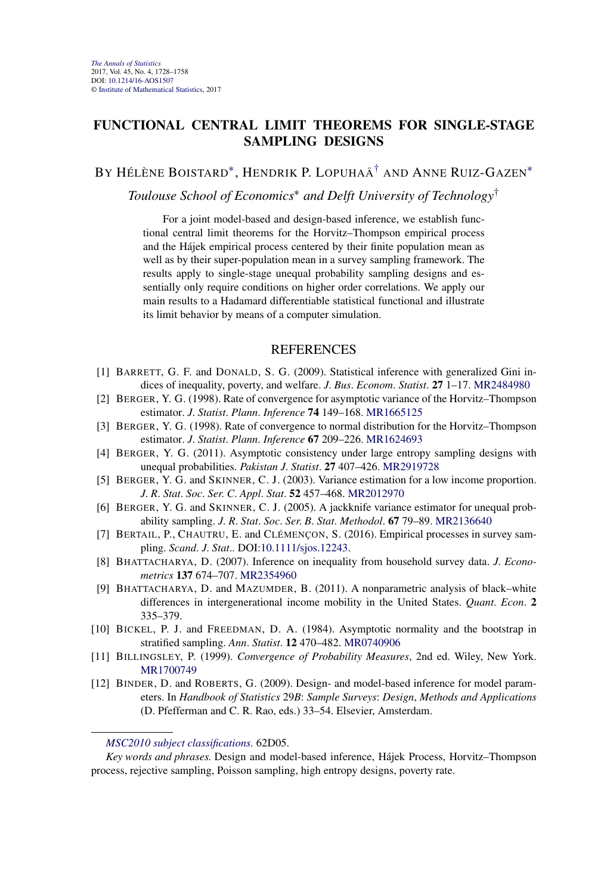## **FUNCTIONAL CENTRAL LIMIT THEOREMS FOR SINGLE-STAGE SAMPLING DESIGNS**

# BY HÉLÈNE BOISTARD[∗](#page-9-0), HENDRIK P. LOPUHAÄ[†](#page-9-0) AND ANNE RUIZ-GAZEN[∗](#page-9-0)

*Toulouse School of Economics*<sup>∗</sup> *and Delft University of Technology*†

For a joint model-based and design-based inference, we establish functional central limit theorems for the Horvitz–Thompson empirical process and the Hájek empirical process centered by their finite population mean as well as by their super-population mean in a survey sampling framework. The results apply to single-stage unequal probability sampling designs and essentially only require conditions on higher order correlations. We apply our main results to a Hadamard differentiable statistical functional and illustrate its limit behavior by means of a computer simulation.

- [1] BARRETT, G. F. and DONALD, S. G. (2009). Statistical inference with generalized Gini indices of inequality, poverty, and welfare. *J*. *Bus*. *Econom*. *Statist*. **27** 1–17. [MR2484980](http://www.ams.org/mathscinet-getitem?mr=2484980)
- [2] BERGER, Y. G. (1998). Rate of convergence for asymptotic variance of the Horvitz–Thompson estimator. *J*. *Statist*. *Plann*. *Inference* **74** 149–168. [MR1665125](http://www.ams.org/mathscinet-getitem?mr=1665125)
- [3] BERGER, Y. G. (1998). Rate of convergence to normal distribution for the Horvitz–Thompson estimator. *J*. *Statist*. *Plann*. *Inference* **67** 209–226. [MR1624693](http://www.ams.org/mathscinet-getitem?mr=1624693)
- [4] BERGER, Y. G. (2011). Asymptotic consistency under large entropy sampling designs with unequal probabilities. *Pakistan J*. *Statist*. **27** 407–426. [MR2919728](http://www.ams.org/mathscinet-getitem?mr=2919728)
- [5] BERGER, Y. G. and SKINNER, C. J. (2003). Variance estimation for a low income proportion. *J*. *R*. *Stat*. *Soc*. *Ser*. *C*. *Appl*. *Stat*. **52** 457–468. [MR2012970](http://www.ams.org/mathscinet-getitem?mr=2012970)
- [6] BERGER, Y. G. and SKINNER, C. J. (2005). A jackknife variance estimator for unequal probability sampling. *J*. *R*. *Stat*. *Soc*. *Ser*. *B*. *Stat*. *Methodol*. **67** 79–89. [MR2136640](http://www.ams.org/mathscinet-getitem?mr=2136640)
- [7] BERTAIL, P., CHAUTRU, E. and CLÉMENÇON, S. (2016). Empirical processes in survey sampling. *Scand*. *J*. *Stat*.. DOI[:10.1111/sjos.12243](http://dx.doi.org/10.1111/sjos.12243).
- [8] BHATTACHARYA, D. (2007). Inference on inequality from household survey data. *J*. *Econometrics* **137** 674–707. [MR2354960](http://www.ams.org/mathscinet-getitem?mr=2354960)
- [9] BHATTACHARYA, D. and MAZUMDER, B. (2011). A nonparametric analysis of black–white differences in intergenerational income mobility in the United States. *Quant*. *Econ*. **2** 335–379.
- [10] BICKEL, P. J. and FREEDMAN, D. A. (1984). Asymptotic normality and the bootstrap in stratified sampling. *Ann*. *Statist*. **12** 470–482. [MR0740906](http://www.ams.org/mathscinet-getitem?mr=0740906)
- [11] BILLINGSLEY, P. (1999). *Convergence of Probability Measures*, 2nd ed. Wiley, New York. [MR1700749](http://www.ams.org/mathscinet-getitem?mr=1700749)
- [12] BINDER, D. and ROBERTS, G. (2009). Design- and model-based inference for model parameters. In *Handbook of Statistics* 29*B*: *Sample Surveys*: *Design*, *Methods and Applications* (D. Pfefferman and C. R. Rao, eds.) 33–54. Elsevier, Amsterdam.

*[MSC2010 subject classifications.](http://www.ams.org/mathscinet/msc/msc2010.html)* 62D05.

*Key words and phrases.* Design and model-based inference, Hájek Process, Horvitz–Thompson process, rejective sampling, Poisson sampling, high entropy designs, poverty rate.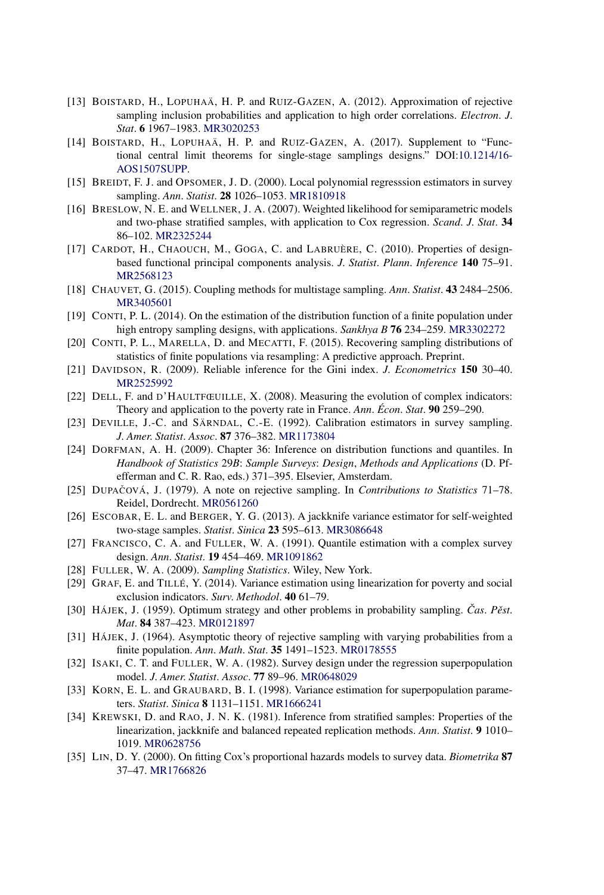- [13] BOISTARD, H., LOPUHAÄ, H. P. and RUIZ-GAZEN, A. (2012). Approximation of rejective sampling inclusion probabilities and application to high order correlations. *Electron*. *J*. *Stat*. **6** 1967–1983. [MR3020253](http://www.ams.org/mathscinet-getitem?mr=3020253)
- [14] BOISTARD, H., LOPUHAÄ, H. P. and RUIZ-GAZEN, A. (2017). Supplement to "Functional central limit theorems for single-stage samplings designs." DOI[:10.1214/16-](http://dx.doi.org/10.1214/16-AOS1507SUPP) [AOS1507SUPP.](http://dx.doi.org/10.1214/16-AOS1507SUPP)
- [15] BREIDT, F. J. and OPSOMER, J. D. (2000). Local polynomial regresssion estimators in survey sampling. *Ann*. *Statist*. **28** 1026–1053. [MR1810918](http://www.ams.org/mathscinet-getitem?mr=1810918)
- [16] BRESLOW, N. E. and WELLNER, J. A. (2007). Weighted likelihood for semiparametric models and two-phase stratified samples, with application to Cox regression. *Scand*. *J*. *Stat*. **34** 86–102. [MR2325244](http://www.ams.org/mathscinet-getitem?mr=2325244)
- [17] CARDOT, H., CHAOUCH, M., GOGA, C. and LABRUÈRE, C. (2010). Properties of designbased functional principal components analysis. *J*. *Statist*. *Plann*. *Inference* **140** 75–91. [MR2568123](http://www.ams.org/mathscinet-getitem?mr=2568123)
- [18] CHAUVET, G. (2015). Coupling methods for multistage sampling. *Ann*. *Statist*. **43** 2484–2506. [MR3405601](http://www.ams.org/mathscinet-getitem?mr=3405601)
- [19] CONTI, P. L. (2014). On the estimation of the distribution function of a finite population under high entropy sampling designs, with applications. *Sankhya B* **76** 234–259. [MR3302272](http://www.ams.org/mathscinet-getitem?mr=3302272)
- [20] CONTI, P. L., MARELLA, D. and MECATTI, F. (2015). Recovering sampling distributions of statistics of finite populations via resampling: A predictive approach. Preprint.
- [21] DAVIDSON, R. (2009). Reliable inference for the Gini index. *J*. *Econometrics* **150** 30–40. [MR2525992](http://www.ams.org/mathscinet-getitem?mr=2525992)
- [22] DELL, F. and D'HAULTFŒUILLE, X. (2008). Measuring the evolution of complex indicators: Theory and application to the poverty rate in France. *Ann*. *Écon*. *Stat*. **90** 259–290.
- [23] DEVILLE, J.-C. and SÄRNDAL, C.-E. (1992). Calibration estimators in survey sampling. *J*. *Amer*. *Statist*. *Assoc*. **87** 376–382. [MR1173804](http://www.ams.org/mathscinet-getitem?mr=1173804)
- [24] DORFMAN, A. H. (2009). Chapter 36: Inference on distribution functions and quantiles. In *Handbook of Statistics* 29*B*: *Sample Surveys*: *Design*, *Methods and Applications* (D. Pfefferman and C. R. Rao, eds.) 371–395. Elsevier, Amsterdam.
- [25] DUPAČOVÁ, J. (1979). A note on rejective sampling. In *Contributions to Statistics* 71–78. Reidel, Dordrecht. [MR0561260](http://www.ams.org/mathscinet-getitem?mr=0561260)
- [26] ESCOBAR, E. L. and BERGER, Y. G. (2013). A jackknife variance estimator for self-weighted two-stage samples. *Statist*. *Sinica* **23** 595–613. [MR3086648](http://www.ams.org/mathscinet-getitem?mr=3086648)
- [27] FRANCISCO, C. A. and FULLER, W. A. (1991). Quantile estimation with a complex survey design. *Ann*. *Statist*. **19** 454–469. [MR1091862](http://www.ams.org/mathscinet-getitem?mr=1091862)
- [28] FULLER, W. A. (2009). *Sampling Statistics*. Wiley, New York.
- [29] GRAF, E. and TILLÉ, Y. (2014). Variance estimation using linearization for poverty and social exclusion indicators. *Surv*. *Methodol*. **40** 61–79.
- [30] HÁJEK, J. (1959). Optimum strategy and other problems in probability sampling. Čas. Pěst. *Mat*. **84** 387–423. [MR0121897](http://www.ams.org/mathscinet-getitem?mr=0121897)
- [31] HÁJEK, J. (1964). Asymptotic theory of rejective sampling with varying probabilities from a finite population. *Ann*. *Math*. *Stat*. **35** 1491–1523. [MR0178555](http://www.ams.org/mathscinet-getitem?mr=0178555)
- [32] ISAKI, C. T. and FULLER, W. A. (1982). Survey design under the regression superpopulation model. *J*. *Amer*. *Statist*. *Assoc*. **77** 89–96. [MR0648029](http://www.ams.org/mathscinet-getitem?mr=0648029)
- [33] KORN, E. L. and GRAUBARD, B. I. (1998). Variance estimation for superpopulation parameters. *Statist*. *Sinica* **8** 1131–1151. [MR1666241](http://www.ams.org/mathscinet-getitem?mr=1666241)
- [34] KREWSKI, D. and RAO, J. N. K. (1981). Inference from stratified samples: Properties of the linearization, jackknife and balanced repeated replication methods. *Ann*. *Statist*. **9** 1010– 1019. [MR0628756](http://www.ams.org/mathscinet-getitem?mr=0628756)
- [35] LIN, D. Y. (2000). On fitting Cox's proportional hazards models to survey data. *Biometrika* **87** 37–47. [MR1766826](http://www.ams.org/mathscinet-getitem?mr=1766826)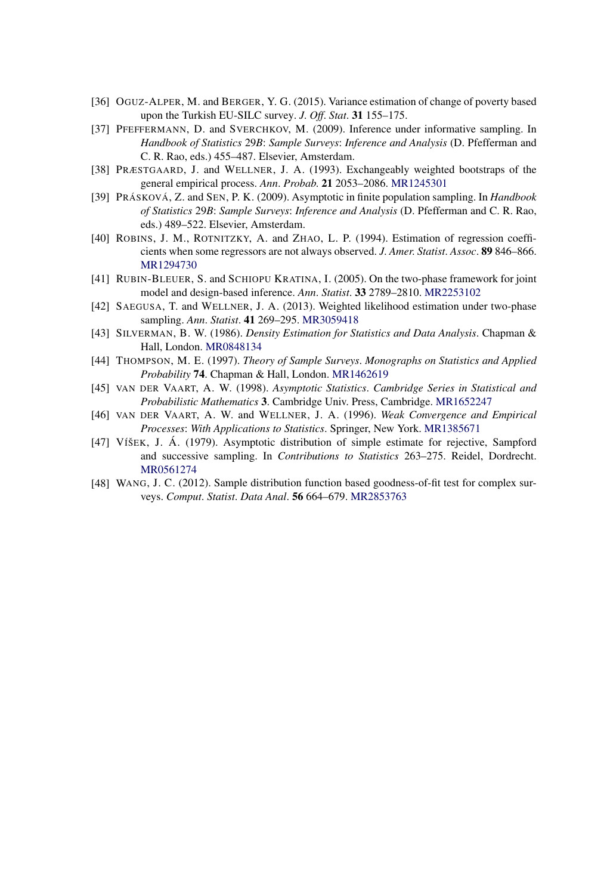- [36] OGUZ-ALPER, M. and BERGER, Y. G. (2015). Variance estimation of change of poverty based upon the Turkish EU-SILC survey. *J*. *Off*. *Stat*. **31** 155–175.
- [37] PFEFFERMANN, D. and SVERCHKOV, M. (2009). Inference under informative sampling. In *Handbook of Statistics* 29*B*: *Sample Surveys*: *Inference and Analysis* (D. Pfefferman and C. R. Rao, eds.) 455–487. Elsevier, Amsterdam.
- [38] PRÆSTGAARD, J. and WELLNER, J. A. (1993). Exchangeably weighted bootstraps of the general empirical process. *Ann*. *Probab*. **21** 2053–2086. [MR1245301](http://www.ams.org/mathscinet-getitem?mr=1245301)
- [39] PRÁSKOVÁ, Z. and SEN, P. K. (2009). Asymptotic in finite population sampling. In *Handbook of Statistics* 29*B*: *Sample Surveys*: *Inference and Analysis* (D. Pfefferman and C. R. Rao, eds.) 489–522. Elsevier, Amsterdam.
- [40] ROBINS, J. M., ROTNITZKY, A. and ZHAO, L. P. (1994). Estimation of regression coefficients when some regressors are not always observed. *J*. *Amer*. *Statist*. *Assoc*. **89** 846–866. [MR1294730](http://www.ams.org/mathscinet-getitem?mr=1294730)
- [41] RUBIN-BLEUER, S. and SCHIOPU KRATINA, I. (2005). On the two-phase framework for joint model and design-based inference. *Ann*. *Statist*. **33** 2789–2810. [MR2253102](http://www.ams.org/mathscinet-getitem?mr=2253102)
- [42] SAEGUSA, T. and WELLNER, J. A. (2013). Weighted likelihood estimation under two-phase sampling. *Ann*. *Statist*. **41** 269–295. [MR3059418](http://www.ams.org/mathscinet-getitem?mr=3059418)
- [43] SILVERMAN, B. W. (1986). *Density Estimation for Statistics and Data Analysis*. Chapman & Hall, London. [MR0848134](http://www.ams.org/mathscinet-getitem?mr=0848134)
- [44] THOMPSON, M. E. (1997). *Theory of Sample Surveys*. *Monographs on Statistics and Applied Probability* **74**. Chapman & Hall, London. [MR1462619](http://www.ams.org/mathscinet-getitem?mr=1462619)
- [45] VAN DER VAART, A. W. (1998). *Asymptotic Statistics*. *Cambridge Series in Statistical and Probabilistic Mathematics* **3**. Cambridge Univ. Press, Cambridge. [MR1652247](http://www.ams.org/mathscinet-getitem?mr=1652247)
- [46] VAN DER VAART, A. W. and WELLNER, J. A. (1996). *Weak Convergence and Empirical Processes*: *With Applications to Statistics*. Springer, New York. [MR1385671](http://www.ams.org/mathscinet-getitem?mr=1385671)
- [47] VÍŠEK, J. Á. (1979). Asymptotic distribution of simple estimate for rejective, Sampford and successive sampling. In *Contributions to Statistics* 263–275. Reidel, Dordrecht. [MR0561274](http://www.ams.org/mathscinet-getitem?mr=0561274)
- [48] WANG, J. C. (2012). Sample distribution function based goodness-of-fit test for complex surveys. *Comput*. *Statist*. *Data Anal*. **56** 664–679. [MR2853763](http://www.ams.org/mathscinet-getitem?mr=2853763)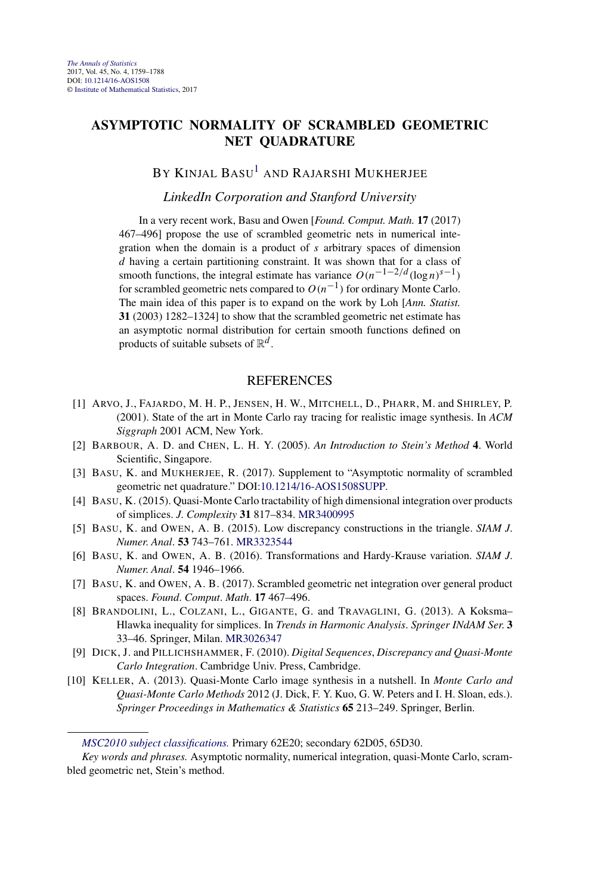# **ASYMPTOTIC NORMALITY OF SCRAMBLED GEOMETRIC NET QUADRATURE**

## BY KINJAL BASU<sup>[1](#page-1-0)</sup> AND RAJARSHI MUKHERJEE

#### *LinkedIn Corporation and Stanford University*

In a very recent work, Basu and Owen [*Found. Comput. Math.* **17** (2017) 467–496] propose the use of scrambled geometric nets in numerical integration when the domain is a product of *s* arbitrary spaces of dimension *d* having a certain partitioning constraint. It was shown that for a class of smooth functions, the integral estimate has variance  $O(n^{-1-2/d} (\log n)^{s-1})$ for scrambled geometric nets compared to  $O(n^{-1})$  for ordinary Monte Carlo. The main idea of this paper is to expand on the work by Loh [*Ann. Statist.* **31** (2003) 1282–1324] to show that the scrambled geometric net estimate has an asymptotic normal distribution for certain smooth functions defined on products of suitable subsets of  $\mathbb{R}^d$ .

- [1] ARVO, J., FAJARDO, M. H. P., JENSEN, H. W., MITCHELL, D., PHARR, M. and SHIRLEY, P. (2001). State of the art in Monte Carlo ray tracing for realistic image synthesis. In *ACM Siggraph* 2001 ACM, New York.
- [2] BARBOUR, A. D. and CHEN, L. H. Y. (2005). *An Introduction to Stein's Method* **4**. World Scientific, Singapore.
- [3] BASU, K. and MUKHERJEE, R. (2017). Supplement to "Asymptotic normality of scrambled geometric net quadrature." DOI[:10.1214/16-AOS1508SUPP](http://dx.doi.org/10.1214/16-AOS1508SUPP).
- [4] BASU, K. (2015). Quasi-Monte Carlo tractability of high dimensional integration over products of simplices. *J*. *Complexity* **31** 817–834. [MR3400995](http://www.ams.org/mathscinet-getitem?mr=3400995)
- [5] BASU, K. and OWEN, A. B. (2015). Low discrepancy constructions in the triangle. *SIAM J*. *Numer*. *Anal*. **53** 743–761. [MR3323544](http://www.ams.org/mathscinet-getitem?mr=3323544)
- [6] BASU, K. and OWEN, A. B. (2016). Transformations and Hardy-Krause variation. *SIAM J*. *Numer*. *Anal*. **54** 1946–1966.
- [7] BASU, K. and OWEN, A. B. (2017). Scrambled geometric net integration over general product spaces. *Found*. *Comput*. *Math*. **17** 467–496.
- [8] BRANDOLINI, L., COLZANI, L., GIGANTE, G. and TRAVAGLINI, G. (2013). A Koksma– Hlawka inequality for simplices. In *Trends in Harmonic Analysis*. *Springer INdAM Ser*. **3** 33–46. Springer, Milan. [MR3026347](http://www.ams.org/mathscinet-getitem?mr=3026347)
- [9] DICK, J. and PILLICHSHAMMER, F. (2010). *Digital Sequences*, *Discrepancy and Quasi-Monte Carlo Integration*. Cambridge Univ. Press, Cambridge.
- [10] KELLER, A. (2013). Quasi-Monte Carlo image synthesis in a nutshell. In *Monte Carlo and Quasi-Monte Carlo Methods* 2012 (J. Dick, F. Y. Kuo, G. W. Peters and I. H. Sloan, eds.). *Springer Proceedings in Mathematics & Statistics* **65** 213–249. Springer, Berlin.

*[MSC2010 subject classifications.](http://www.ams.org/mathscinet/msc/msc2010.html)* Primary 62E20; secondary 62D05, 65D30.

*Key words and phrases.* Asymptotic normality, numerical integration, quasi-Monte Carlo, scrambled geometric net, Stein's method.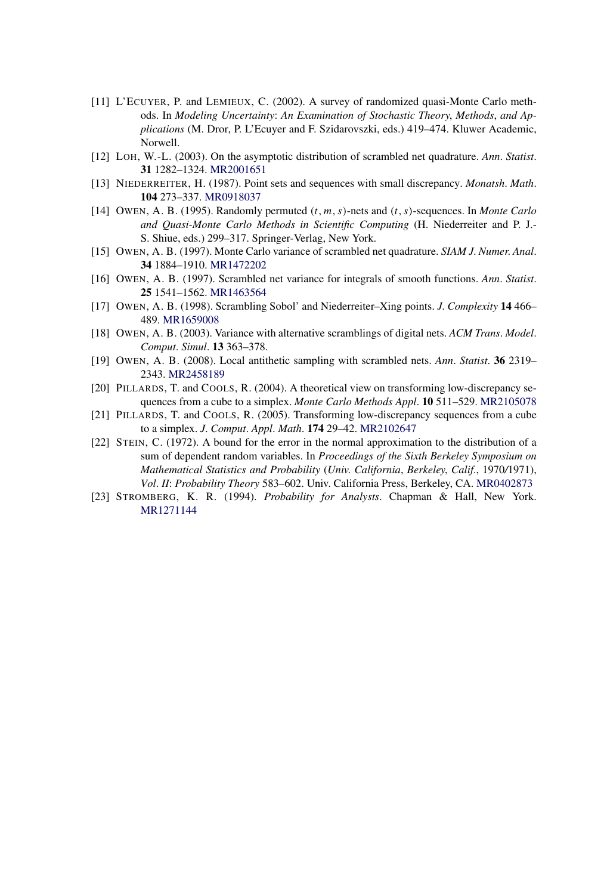- [11] L'ECUYER, P. and LEMIEUX, C. (2002). A survey of randomized quasi-Monte Carlo methods. In *Modeling Uncertainty*: *An Examination of Stochastic Theory*, *Methods*, *and Applications* (M. Dror, P. L'Ecuyer and F. Szidarovszki, eds.) 419–474. Kluwer Academic, Norwell.
- [12] LOH, W.-L. (2003). On the asymptotic distribution of scrambled net quadrature. *Ann*. *Statist*. **31** 1282–1324. [MR2001651](http://www.ams.org/mathscinet-getitem?mr=2001651)
- [13] NIEDERREITER, H. (1987). Point sets and sequences with small discrepancy. *Monatsh*. *Math*. **104** 273–337. [MR0918037](http://www.ams.org/mathscinet-getitem?mr=0918037)
- [14] OWEN, A. B. (1995). Randomly permuted *(t, m, s)*-nets and *(t, s)*-sequences. In *Monte Carlo and Quasi-Monte Carlo Methods in Scientific Computing* (H. Niederreiter and P. J.- S. Shiue, eds.) 299–317. Springer-Verlag, New York.
- [15] OWEN, A. B. (1997). Monte Carlo variance of scrambled net quadrature. *SIAM J*. *Numer*. *Anal*. **34** 1884–1910. [MR1472202](http://www.ams.org/mathscinet-getitem?mr=1472202)
- [16] OWEN, A. B. (1997). Scrambled net variance for integrals of smooth functions. *Ann*. *Statist*. **25** 1541–1562. [MR1463564](http://www.ams.org/mathscinet-getitem?mr=1463564)
- [17] OWEN, A. B. (1998). Scrambling Sobol' and Niederreiter–Xing points. *J*. *Complexity* **14** 466– 489. [MR1659008](http://www.ams.org/mathscinet-getitem?mr=1659008)
- [18] OWEN, A. B. (2003). Variance with alternative scramblings of digital nets. *ACM Trans*. *Model*. *Comput*. *Simul*. **13** 363–378.
- [19] OWEN, A. B. (2008). Local antithetic sampling with scrambled nets. *Ann*. *Statist*. **36** 2319– 2343. [MR2458189](http://www.ams.org/mathscinet-getitem?mr=2458189)
- [20] PILLARDS, T. and COOLS, R. (2004). A theoretical view on transforming low-discrepancy sequences from a cube to a simplex. *Monte Carlo Methods Appl*. **10** 511–529. [MR2105078](http://www.ams.org/mathscinet-getitem?mr=2105078)
- [21] PILLARDS, T. and COOLS, R. (2005). Transforming low-discrepancy sequences from a cube to a simplex. *J*. *Comput*. *Appl*. *Math*. **174** 29–42. [MR2102647](http://www.ams.org/mathscinet-getitem?mr=2102647)
- [22] STEIN, C. (1972). A bound for the error in the normal approximation to the distribution of a sum of dependent random variables. In *Proceedings of the Sixth Berkeley Symposium on Mathematical Statistics and Probability* (*Univ*. *California*, *Berkeley*, *Calif*., 1970*/*1971), *Vol*. *II*: *Probability Theory* 583–602. Univ. California Press, Berkeley, CA. [MR0402873](http://www.ams.org/mathscinet-getitem?mr=0402873)
- [23] STROMBERG, K. R. (1994). *Probability for Analysts*. Chapman & Hall, New York. [MR1271144](http://www.ams.org/mathscinet-getitem?mr=1271144)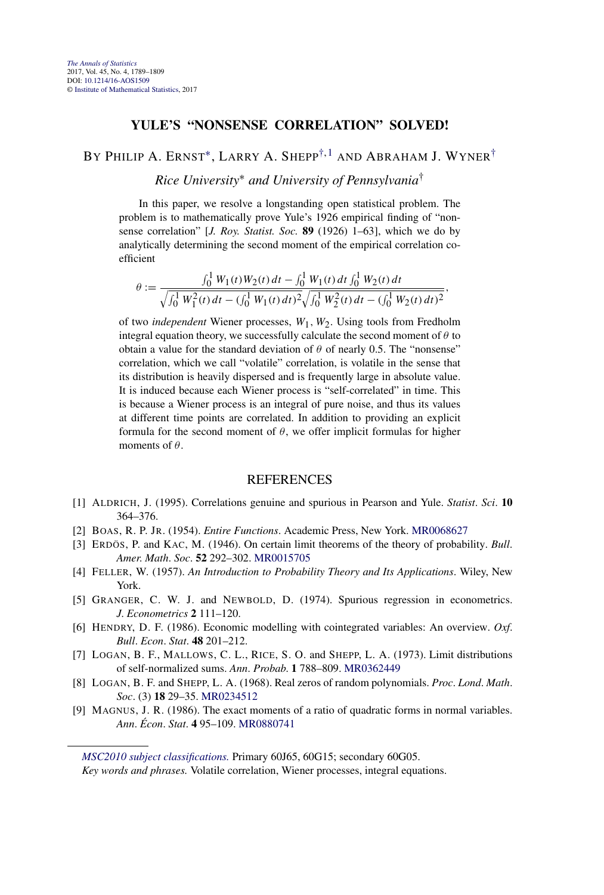#### **YULE'S "NONSENSE CORRELATION" SOLVED!**

## BY PHILIP A. ERNST<sup>\*</sup>, LARRY A. SHEPP<sup>[†,](#page-9-0) 1</sup> AND ABRAHAM J. WYNER<sup>[†](#page-9-0)</sup>

*Rice University*<sup>∗</sup> *and University of Pennsylvania*†

In this paper, we resolve a longstanding open statistical problem. The problem is to mathematically prove Yule's 1926 empirical finding of "nonsense correlation" [*J. Roy. Statist. Soc.* **89** (1926) 1–63], which we do by analytically determining the second moment of the empirical correlation coefficient

$$
\theta := \frac{\int_0^1 W_1(t)W_2(t) dt - \int_0^1 W_1(t) dt \int_0^1 W_2(t) dt}{\sqrt{\int_0^1 W_1^2(t) dt - (\int_0^1 W_1(t) dt)^2} \sqrt{\int_0^1 W_2^2(t) dt - (\int_0^1 W_2(t) dt)^2}}
$$

*,*

of two *independent* Wiener processes, *W*1*,W*2. Using tools from Fredholm integral equation theory, we successfully calculate the second moment of  $\theta$  to obtain a value for the standard deviation of  $\theta$  of nearly 0.5. The "nonsense" correlation, which we call "volatile" correlation, is volatile in the sense that its distribution is heavily dispersed and is frequently large in absolute value. It is induced because each Wiener process is "self-correlated" in time. This is because a Wiener process is an integral of pure noise, and thus its values at different time points are correlated. In addition to providing an explicit formula for the second moment of  $\theta$ , we offer implicit formulas for higher moments of *θ*.

#### **REFERENCES**

- [1] ALDRICH, J. (1995). Correlations genuine and spurious in Pearson and Yule. *Statist*. *Sci*. **10** 364–376.
- [2] BOAS, R. P. JR. (1954). *Entire Functions*. Academic Press, New York. [MR0068627](http://www.ams.org/mathscinet-getitem?mr=0068627)
- [3] ERDÖS, P. and KAC, M. (1946). On certain limit theorems of the theory of probability. *Bull*. *Amer*. *Math*. *Soc*. **52** 292–302. [MR0015705](http://www.ams.org/mathscinet-getitem?mr=0015705)
- [4] FELLER, W. (1957). *An Introduction to Probability Theory and Its Applications*. Wiley, New York.
- [5] GRANGER, C. W. J. and NEWBOLD, D. (1974). Spurious regression in econometrics. *J*. *Econometrics* **2** 111–120.
- [6] HENDRY, D. F. (1986). Economic modelling with cointegrated variables: An overview. *Oxf*. *Bull*. *Econ*. *Stat*. **48** 201–212.
- [7] LOGAN, B. F., MALLOWS, C. L., RICE, S. O. and SHEPP, L. A. (1973). Limit distributions of self-normalized sums. *Ann*. *Probab*. **1** 788–809. [MR0362449](http://www.ams.org/mathscinet-getitem?mr=0362449)
- [8] LOGAN, B. F. and SHEPP, L. A. (1968). Real zeros of random polynomials. *Proc*. *Lond*. *Math*. *Soc*. (3) **18** 29–35. [MR0234512](http://www.ams.org/mathscinet-getitem?mr=0234512)
- [9] MAGNUS, J. R. (1986). The exact moments of a ratio of quadratic forms in normal variables. *Ann*. *Écon*. *Stat*. **4** 95–109. [MR0880741](http://www.ams.org/mathscinet-getitem?mr=0880741)

*[MSC2010 subject classifications.](http://www.ams.org/mathscinet/msc/msc2010.html)* Primary 60J65, 60G15; secondary 60G05.

*Key words and phrases.* Volatile correlation, Wiener processes, integral equations.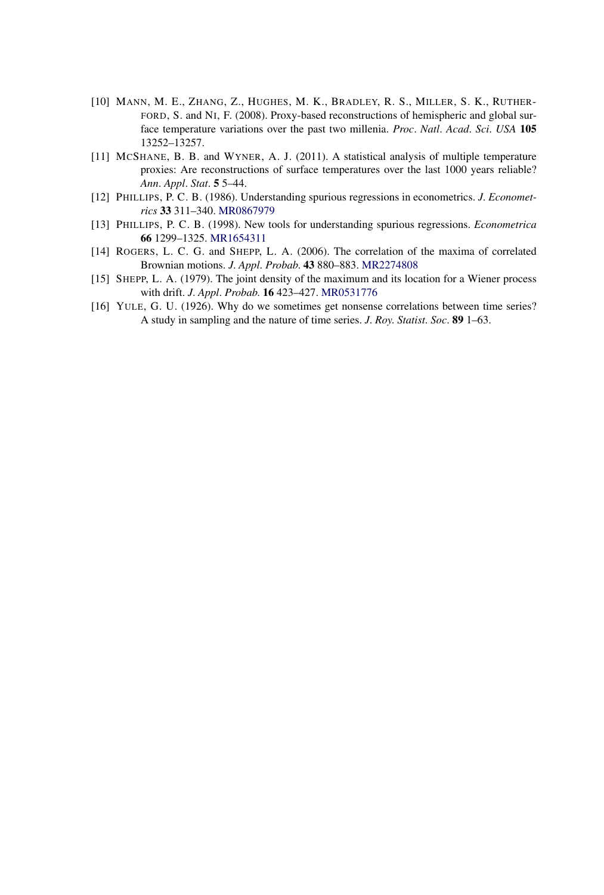- [10] MANN, M. E., ZHANG, Z., HUGHES, M. K., BRADLEY, R. S., MILLER, S. K., RUTHER-FORD, S. and NI, F. (2008). Proxy-based reconstructions of hemispheric and global surface temperature variations over the past two millenia. *Proc*. *Natl*. *Acad*. *Sci*. *USA* **105** 13252–13257.
- [11] MCSHANE, B. B. and WYNER, A. J. (2011). A statistical analysis of multiple temperature proxies: Are reconstructions of surface temperatures over the last 1000 years reliable? *Ann*. *Appl*. *Stat*. **5** 5–44.
- [12] PHILLIPS, P. C. B. (1986). Understanding spurious regressions in econometrics. *J*. *Econometrics* **33** 311–340. [MR0867979](http://www.ams.org/mathscinet-getitem?mr=0867979)
- [13] PHILLIPS, P. C. B. (1998). New tools for understanding spurious regressions. *Econometrica* **66** 1299–1325. [MR1654311](http://www.ams.org/mathscinet-getitem?mr=1654311)
- [14] ROGERS, L. C. G. and SHEPP, L. A. (2006). The correlation of the maxima of correlated Brownian motions. *J*. *Appl*. *Probab*. **43** 880–883. [MR2274808](http://www.ams.org/mathscinet-getitem?mr=2274808)
- [15] SHEPP, L. A. (1979). The joint density of the maximum and its location for a Wiener process with drift. *J*. *Appl*. *Probab*. **16** 423–427. [MR0531776](http://www.ams.org/mathscinet-getitem?mr=0531776)
- [16] YULE, G. U. (1926). Why do we sometimes get nonsense correlations between time series? A study in sampling and the nature of time series. *J*. *Roy*. *Statist*. *Soc*. **89** 1–63.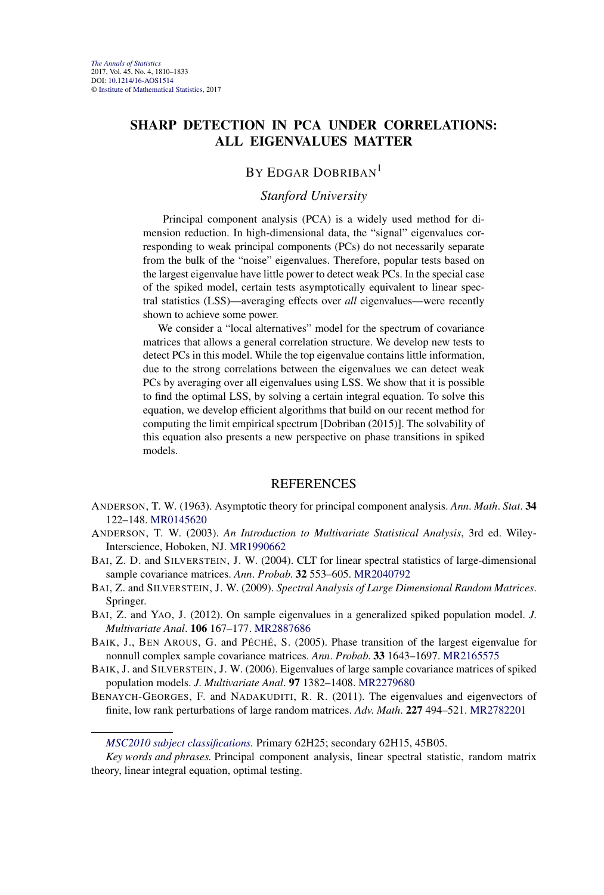## **SHARP DETECTION IN PCA UNDER CORRELATIONS: ALL EIGENVALUES MATTER**

## BY EDGAR DOBRIBAN<sup>1</sup>

### *Stanford University*

Principal component analysis (PCA) is a widely used method for dimension reduction. In high-dimensional data, the "signal" eigenvalues corresponding to weak principal components (PCs) do not necessarily separate from the bulk of the "noise" eigenvalues. Therefore, popular tests based on the largest eigenvalue have little power to detect weak PCs. In the special case of the spiked model, certain tests asymptotically equivalent to linear spectral statistics (LSS)—averaging effects over *all* eigenvalues—were recently shown to achieve some power.

We consider a "local alternatives" model for the spectrum of covariance matrices that allows a general correlation structure. We develop new tests to detect PCs in this model. While the top eigenvalue contains little information, due to the strong correlations between the eigenvalues we can detect weak PCs by averaging over all eigenvalues using LSS. We show that it is possible to find the optimal LSS, by solving a certain integral equation. To solve this equation, we develop efficient algorithms that build on our recent method for computing the limit empirical spectrum [Dobriban (2015)]. The solvability of this equation also presents a new perspective on phase transitions in spiked models.

- ANDERSON, T. W. (1963). Asymptotic theory for principal component analysis. *Ann*. *Math*. *Stat*. **34** 122–148. [MR0145620](http://www.ams.org/mathscinet-getitem?mr=0145620)
- ANDERSON, T. W. (2003). *An Introduction to Multivariate Statistical Analysis*, 3rd ed. Wiley-Interscience, Hoboken, NJ. [MR1990662](http://www.ams.org/mathscinet-getitem?mr=1990662)
- BAI, Z. D. and SILVERSTEIN, J. W. (2004). CLT for linear spectral statistics of large-dimensional sample covariance matrices. *Ann*. *Probab*. **32** 553–605. [MR2040792](http://www.ams.org/mathscinet-getitem?mr=2040792)
- BAI, Z. and SILVERSTEIN, J. W. (2009). *Spectral Analysis of Large Dimensional Random Matrices*. Springer.
- BAI, Z. and YAO, J. (2012). On sample eigenvalues in a generalized spiked population model. *J*. *Multivariate Anal*. **106** 167–177. [MR2887686](http://www.ams.org/mathscinet-getitem?mr=2887686)
- BAIK, J., BEN AROUS, G. and PÉCHÉ, S. (2005). Phase transition of the largest eigenvalue for nonnull complex sample covariance matrices. *Ann*. *Probab*. **33** 1643–1697. [MR2165575](http://www.ams.org/mathscinet-getitem?mr=2165575)
- BAIK, J. and SILVERSTEIN, J. W. (2006). Eigenvalues of large sample covariance matrices of spiked population models. *J*. *Multivariate Anal*. **97** 1382–1408. [MR2279680](http://www.ams.org/mathscinet-getitem?mr=2279680)
- BENAYCH-GEORGES, F. and NADAKUDITI, R. R. (2011). The eigenvalues and eigenvectors of finite, low rank perturbations of large random matrices. *Adv*. *Math*. **227** 494–521. [MR2782201](http://www.ams.org/mathscinet-getitem?mr=2782201)

*[MSC2010 subject classifications.](http://www.ams.org/mathscinet/msc/msc2010.html)* Primary 62H25; secondary 62H15, 45B05.

*Key words and phrases.* Principal component analysis, linear spectral statistic, random matrix theory, linear integral equation, optimal testing.